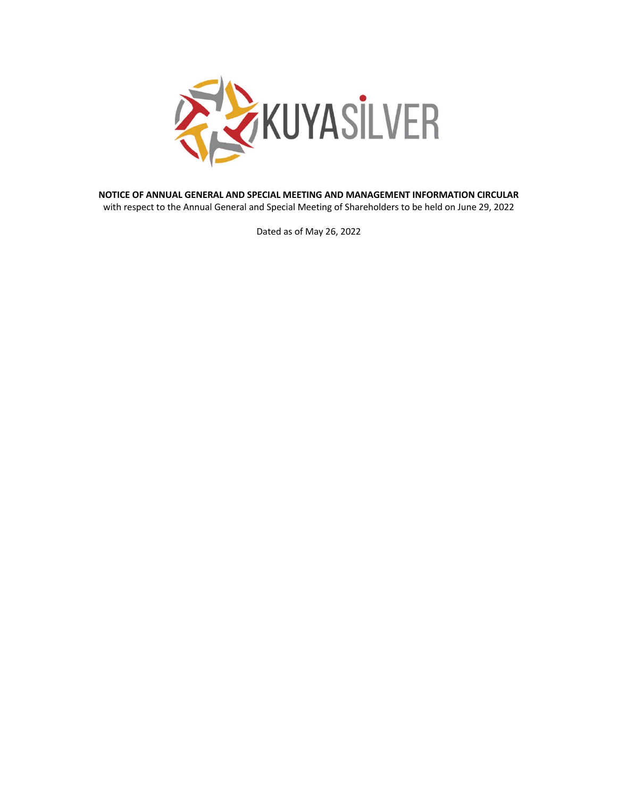

**NOTICE OF ANNUAL GENERAL AND SPECIAL MEETING AND MANAGEMENT INFORMATION CIRCULAR** with respect to the Annual General and Special Meeting of Shareholders to be held on June 29, 2022

Dated as of May 26, 2022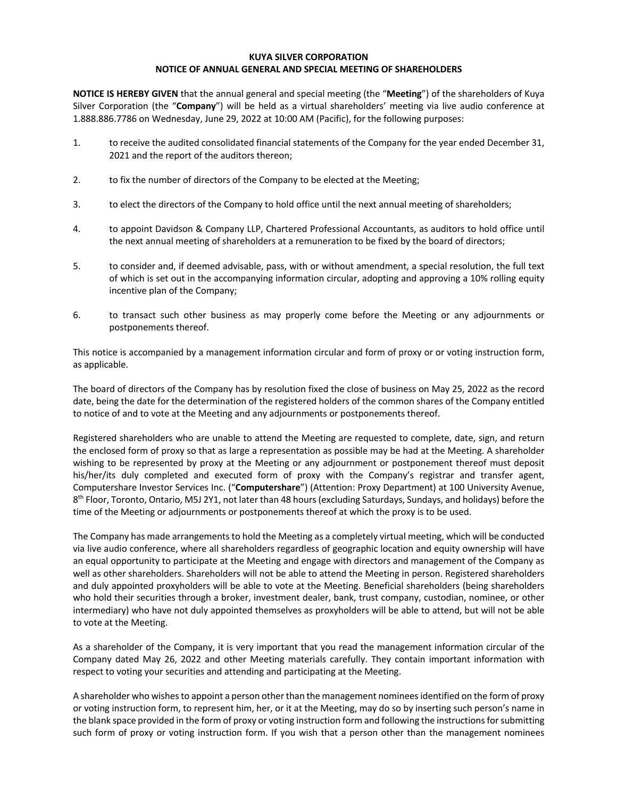#### **KUYA SILVER CORPORATION NOTICE OF ANNUAL GENERAL AND SPECIAL MEETING OF SHAREHOLDERS**

**NOTICE IS HEREBY GIVEN** that the annual general and special meeting (the "**Meeting**") of the shareholders of Kuya Silver Corporation (the "**Company**") will be held as a virtual shareholders' meeting via live audio conference at 1.888.886.7786 on Wednesday, June 29, 2022 at 10:00 AM (Pacific), for the following purposes:

- 1. to receive the audited consolidated financial statements of the Company for the year ended December 31, 2021 and the report of the auditors thereon;
- 2. to fix the number of directors of the Company to be elected at the Meeting;
- 3. to elect the directors of the Company to hold office until the next annual meeting of shareholders;
- 4. to appoint Davidson & Company LLP, Chartered Professional Accountants, as auditors to hold office until the next annual meeting of shareholders at a remuneration to be fixed by the board of directors;
- 5. to consider and, if deemed advisable, pass, with or without amendment, a special resolution, the full text of which is set out in the accompanying information circular, adopting and approving a 10% rolling equity incentive plan of the Company;
- 6. to transact such other business as may properly come before the Meeting or any adjournments or postponements thereof.

This notice is accompanied by a management information circular and form of proxy or or voting instruction form, as applicable.

The board of directors of the Company has by resolution fixed the close of business on May 25, 2022 as the record date, being the date for the determination of the registered holders of the common shares of the Company entitled to notice of and to vote at the Meeting and any adjournments or postponements thereof.

Registered shareholders who are unable to attend the Meeting are requested to complete, date, sign, and return the enclosed form of proxy so that as large a representation as possible may be had at the Meeting. A shareholder wishing to be represented by proxy at the Meeting or any adjournment or postponement thereof must deposit his/her/its duly completed and executed form of proxy with the Company's registrar and transfer agent, Computershare Investor Services Inc. ("**Computershare**") (Attention: Proxy Department) at 100 University Avenue,  $8<sup>th</sup>$  Floor, Toronto, Ontario, M5J 2Y1, not later than 48 hours (excluding Saturdays, Sundays, and holidays) before the time of the Meeting or adjournments or postponements thereof at which the proxy is to be used.

The Company has made arrangements to hold the Meeting as a completely virtual meeting, which will be conducted via live audio conference, where all shareholders regardless of geographic location and equity ownership will have an equal opportunity to participate at the Meeting and engage with directors and management of the Company as well as other shareholders. Shareholders will not be able to attend the Meeting in person. Registered shareholders and duly appointed proxyholders will be able to vote at the Meeting. Beneficial shareholders (being shareholders who hold their securities through a broker, investment dealer, bank, trust company, custodian, nominee, or other intermediary) who have not duly appointed themselves as proxyholders will be able to attend, but will not be able to vote at the Meeting.

As a shareholder of the Company, it is very important that you read the management information circular of the Company dated May 26, 2022 and other Meeting materials carefully. They contain important information with respect to voting your securities and attending and participating at the Meeting.

A shareholder who wishes to appoint a person other than the management nominees identified on the form of proxy or voting instruction form, to represent him, her, or it at the Meeting, may do so by inserting such person's name in the blank space provided in the form of proxy or voting instruction form and following the instructions for submitting such form of proxy or voting instruction form. If you wish that a person other than the management nominees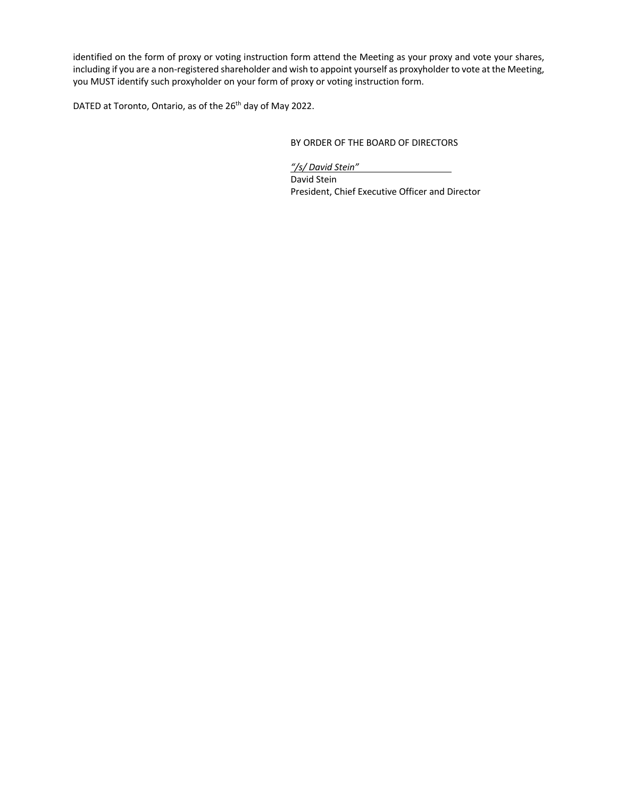identified on the form of proxy or voting instruction form attend the Meeting as your proxy and vote your shares, including if you are a non-registered shareholder and wish to appoint yourself as proxyholder to vote at the Meeting, you MUST identify such proxyholder on your form of proxy or voting instruction form.

DATED at Toronto, Ontario, as of the 26<sup>th</sup> day of May 2022.

BY ORDER OF THE BOARD OF DIRECTORS

*"/s/ David Stein"* David Stein President, Chief Executive Officer and Director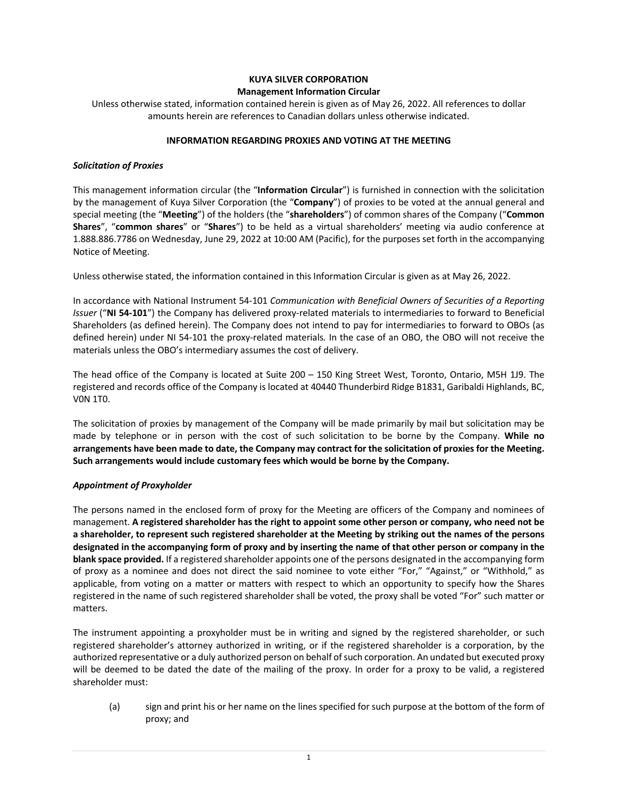#### **KUYA SILVER CORPORATION Management Information Circular**

Unless otherwise stated, information contained herein is given as of May 26, 2022. All references to dollar amounts herein are references to Canadian dollars unless otherwise indicated.

#### **INFORMATION REGARDING PROXIES AND VOTING AT THE MEETING**

#### *Solicitation of Proxies*

This management information circular (the "**Information Circular**") is furnished in connection with the solicitation by the management of Kuya Silver Corporation (the "**Company**") of proxies to be voted at the annual general and special meeting (the "**Meeting**") of the holders (the "**shareholders**") of common shares of the Company ("**Common Shares**", "**common shares**" or "**Shares**") to be held as a virtual shareholders' meeting via audio conference at 1.888.886.7786 on Wednesday, June 29, 2022 at 10:00 AM (Pacific), for the purposes set forth in the accompanying Notice of Meeting.

Unless otherwise stated, the information contained in this Information Circular is given as at May 26, 2022.

In accordance with National Instrument 54-101 *Communication with Beneficial Owners of Securities of a Reporting Issuer* ("**NI 54-101**") the Company has delivered proxy-related materials to intermediaries to forward to Beneficial Shareholders (as defined herein). The Company does not intend to pay for intermediaries to forward to OBOs (as defined herein) under NI 54-101 the proxy-related materials*.* In the case of an OBO, the OBO will not receive the materials unless the OBO's intermediary assumes the cost of delivery.

The head office of the Company is located at Suite 200 – 150 King Street West, Toronto, Ontario, M5H 1J9. The registered and records office of the Company is located at 40440 Thunderbird Ridge B1831, Garibaldi Highlands, BC, V0N 1T0.

The solicitation of proxies by management of the Company will be made primarily by mail but solicitation may be made by telephone or in person with the cost of such solicitation to be borne by the Company. **While no arrangements have been made to date, the Company may contract for the solicitation of proxies for the Meeting. Such arrangements would include customary fees which would be borne by the Company.**

## *Appointment of Proxyholder*

The persons named in the enclosed form of proxy for the Meeting are officers of the Company and nominees of management. **A registered shareholder has the right to appoint some other person or company, who need not be a shareholder, to represent such registered shareholder at the Meeting by striking out the names of the persons designated in the accompanying form of proxy and by inserting the name of that other person or company in the blank space provided.** If a registered shareholder appoints one of the persons designated in the accompanying form of proxy as a nominee and does not direct the said nominee to vote either "For," "Against," or "Withhold," as applicable, from voting on a matter or matters with respect to which an opportunity to specify how the Shares registered in the name of such registered shareholder shall be voted, the proxy shall be voted "For" such matter or matters.

The instrument appointing a proxyholder must be in writing and signed by the registered shareholder, or such registered shareholder's attorney authorized in writing, or if the registered shareholder is a corporation, by the authorized representative or a duly authorized person on behalf of such corporation. An undated but executed proxy will be deemed to be dated the date of the mailing of the proxy. In order for a proxy to be valid, a registered shareholder must:

(a) sign and print his or her name on the lines specified for such purpose at the bottom of the form of proxy; and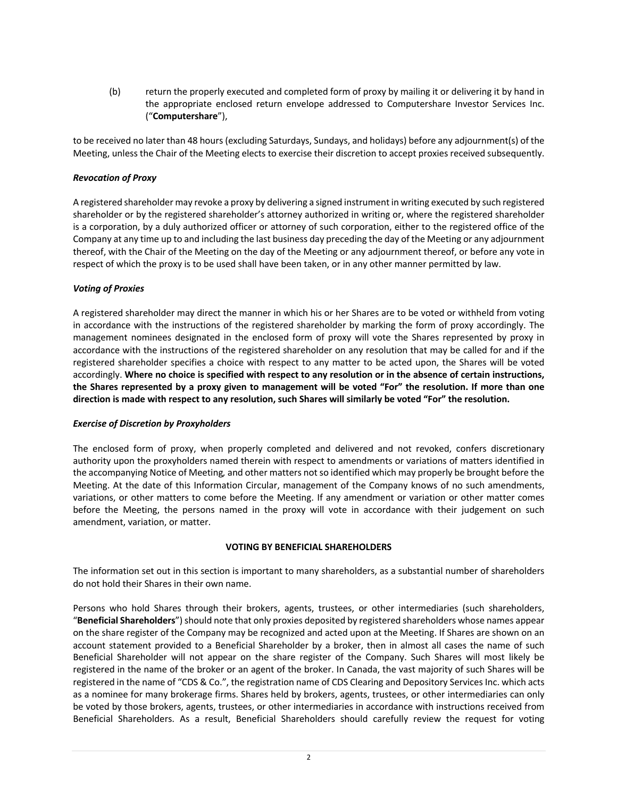(b) return the properly executed and completed form of proxy by mailing it or delivering it by hand in the appropriate enclosed return envelope addressed to Computershare Investor Services Inc. ("**Computershare**"),

to be received no later than 48 hours (excluding Saturdays, Sundays, and holidays) before any adjournment(s) of the Meeting, unless the Chair of the Meeting elects to exercise their discretion to accept proxies received subsequently.

#### *Revocation of Proxy*

A registered shareholder may revoke a proxy by delivering a signed instrument in writing executed by such registered shareholder or by the registered shareholder's attorney authorized in writing or, where the registered shareholder is a corporation, by a duly authorized officer or attorney of such corporation, either to the registered office of the Company at any time up to and including the last business day preceding the day of the Meeting or any adjournment thereof, with the Chair of the Meeting on the day of the Meeting or any adjournment thereof, or before any vote in respect of which the proxy is to be used shall have been taken, or in any other manner permitted by law.

### *Voting of Proxies*

A registered shareholder may direct the manner in which his or her Shares are to be voted or withheld from voting in accordance with the instructions of the registered shareholder by marking the form of proxy accordingly. The management nominees designated in the enclosed form of proxy will vote the Shares represented by proxy in accordance with the instructions of the registered shareholder on any resolution that may be called for and if the registered shareholder specifies a choice with respect to any matter to be acted upon, the Shares will be voted accordingly. **Where no choice is specified with respect to any resolution or in the absence of certain instructions, the Shares represented by a proxy given to management will be voted "For" the resolution. If more than one direction is made with respect to any resolution, such Shares will similarly be voted "For" the resolution.**

#### *Exercise of Discretion by Proxyholders*

The enclosed form of proxy, when properly completed and delivered and not revoked, confers discretionary authority upon the proxyholders named therein with respect to amendments or variations of matters identified in the accompanying Notice of Meeting*,* and other matters not so identified which may properly be brought before the Meeting. At the date of this Information Circular, management of the Company knows of no such amendments, variations, or other matters to come before the Meeting. If any amendment or variation or other matter comes before the Meeting, the persons named in the proxy will vote in accordance with their judgement on such amendment, variation, or matter.

## **VOTING BY BENEFICIAL SHAREHOLDERS**

The information set out in this section is important to many shareholders, as a substantial number of shareholders do not hold their Shares in their own name.

Persons who hold Shares through their brokers, agents, trustees, or other intermediaries (such shareholders, "**Beneficial Shareholders**") should note that only proxies deposited by registered shareholders whose names appear on the share register of the Company may be recognized and acted upon at the Meeting. If Shares are shown on an account statement provided to a Beneficial Shareholder by a broker, then in almost all cases the name of such Beneficial Shareholder will not appear on the share register of the Company. Such Shares will most likely be registered in the name of the broker or an agent of the broker. In Canada, the vast majority of such Shares will be registered in the name of "CDS & Co.", the registration name of CDS Clearing and Depository Services Inc. which acts as a nominee for many brokerage firms. Shares held by brokers, agents, trustees, or other intermediaries can only be voted by those brokers, agents, trustees, or other intermediaries in accordance with instructions received from Beneficial Shareholders. As a result, Beneficial Shareholders should carefully review the request for voting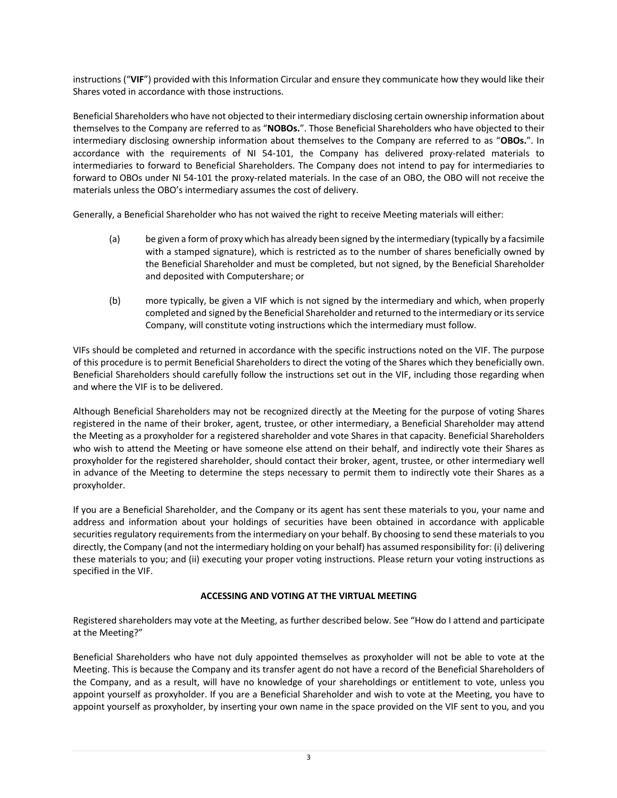instructions ("**VIF**") provided with this Information Circular and ensure they communicate how they would like their Shares voted in accordance with those instructions.

Beneficial Shareholders who have not objected to their intermediary disclosing certain ownership information about themselves to the Company are referred to as "**NOBOs.**". Those Beneficial Shareholders who have objected to their intermediary disclosing ownership information about themselves to the Company are referred to as "**OBOs.**". In accordance with the requirements of NI 54-101, the Company has delivered proxy-related materials to intermediaries to forward to Beneficial Shareholders. The Company does not intend to pay for intermediaries to forward to OBOs under NI 54-101 the proxy-related materials. In the case of an OBO, the OBO will not receive the materials unless the OBO's intermediary assumes the cost of delivery.

Generally, a Beneficial Shareholder who has not waived the right to receive Meeting materials will either:

- (a) be given a form of proxy which has already been signed by the intermediary (typically by a facsimile with a stamped signature), which is restricted as to the number of shares beneficially owned by the Beneficial Shareholder and must be completed, but not signed, by the Beneficial Shareholder and deposited with Computershare; or
- (b) more typically, be given a VIF which is not signed by the intermediary and which, when properly completed and signed by the Beneficial Shareholder and returned to the intermediary or its service Company, will constitute voting instructions which the intermediary must follow.

VIFs should be completed and returned in accordance with the specific instructions noted on the VIF. The purpose of this procedure is to permit Beneficial Shareholders to direct the voting of the Shares which they beneficially own. Beneficial Shareholders should carefully follow the instructions set out in the VIF, including those regarding when and where the VIF is to be delivered.

Although Beneficial Shareholders may not be recognized directly at the Meeting for the purpose of voting Shares registered in the name of their broker, agent, trustee, or other intermediary, a Beneficial Shareholder may attend the Meeting as a proxyholder for a registered shareholder and vote Shares in that capacity. Beneficial Shareholders who wish to attend the Meeting or have someone else attend on their behalf, and indirectly vote their Shares as proxyholder for the registered shareholder, should contact their broker, agent, trustee, or other intermediary well in advance of the Meeting to determine the steps necessary to permit them to indirectly vote their Shares as a proxyholder.

If you are a Beneficial Shareholder, and the Company or its agent has sent these materials to you, your name and address and information about your holdings of securities have been obtained in accordance with applicable securities regulatory requirements from the intermediary on your behalf. By choosing to send these materials to you directly, the Company (and not the intermediary holding on your behalf) has assumed responsibility for: (i) delivering these materials to you; and (ii) executing your proper voting instructions. Please return your voting instructions as specified in the VIF.

## **ACCESSING AND VOTING AT THE VIRTUAL MEETING**

Registered shareholders may vote at the Meeting, as further described below. See "How do I attend and participate at the Meeting?"

Beneficial Shareholders who have not duly appointed themselves as proxyholder will not be able to vote at the Meeting. This is because the Company and its transfer agent do not have a record of the Beneficial Shareholders of the Company, and as a result, will have no knowledge of your shareholdings or entitlement to vote, unless you appoint yourself as proxyholder. If you are a Beneficial Shareholder and wish to vote at the Meeting, you have to appoint yourself as proxyholder, by inserting your own name in the space provided on the VIF sent to you, and you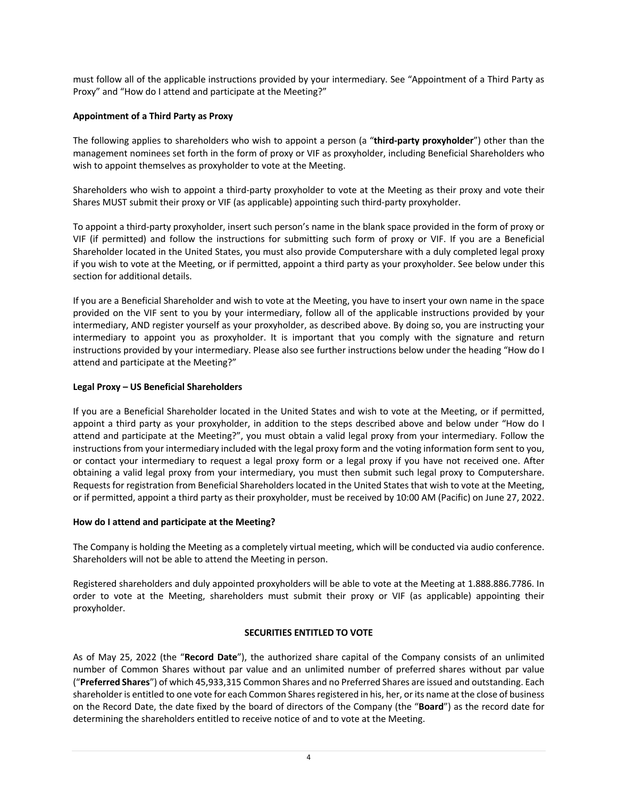must follow all of the applicable instructions provided by your intermediary. See "Appointment of a Third Party as Proxy" and "How do I attend and participate at the Meeting?"

### **Appointment of a Third Party as Proxy**

The following applies to shareholders who wish to appoint a person (a "**third-party proxyholder**") other than the management nominees set forth in the form of proxy or VIF as proxyholder, including Beneficial Shareholders who wish to appoint themselves as proxyholder to vote at the Meeting.

Shareholders who wish to appoint a third-party proxyholder to vote at the Meeting as their proxy and vote their Shares MUST submit their proxy or VIF (as applicable) appointing such third-party proxyholder.

To appoint a third-party proxyholder, insert such person's name in the blank space provided in the form of proxy or VIF (if permitted) and follow the instructions for submitting such form of proxy or VIF. If you are a Beneficial Shareholder located in the United States, you must also provide Computershare with a duly completed legal proxy if you wish to vote at the Meeting, or if permitted, appoint a third party as your proxyholder. See below under this section for additional details.

If you are a Beneficial Shareholder and wish to vote at the Meeting, you have to insert your own name in the space provided on the VIF sent to you by your intermediary, follow all of the applicable instructions provided by your intermediary, AND register yourself as your proxyholder, as described above. By doing so, you are instructing your intermediary to appoint you as proxyholder. It is important that you comply with the signature and return instructions provided by your intermediary. Please also see further instructions below under the heading "How do I attend and participate at the Meeting?"

### **Legal Proxy – US Beneficial Shareholders**

If you are a Beneficial Shareholder located in the United States and wish to vote at the Meeting, or if permitted, appoint a third party as your proxyholder, in addition to the steps described above and below under "How do I attend and participate at the Meeting?", you must obtain a valid legal proxy from your intermediary. Follow the instructions from your intermediary included with the legal proxy form and the voting information form sent to you, or contact your intermediary to request a legal proxy form or a legal proxy if you have not received one. After obtaining a valid legal proxy from your intermediary, you must then submit such legal proxy to Computershare. Requests for registration from Beneficial Shareholders located in the United States that wish to vote at the Meeting, or if permitted, appoint a third party as their proxyholder, must be received by 10:00 AM (Pacific) on June 27, 2022.

#### **How do I attend and participate at the Meeting?**

The Company is holding the Meeting as a completely virtual meeting, which will be conducted via audio conference. Shareholders will not be able to attend the Meeting in person.

Registered shareholders and duly appointed proxyholders will be able to vote at the Meeting at 1.888.886.7786. In order to vote at the Meeting, shareholders must submit their proxy or VIF (as applicable) appointing their proxyholder.

## **SECURITIES ENTITLED TO VOTE**

As of May 25, 2022 (the "**Record Date**"), the authorized share capital of the Company consists of an unlimited number of Common Shares without par value and an unlimited number of preferred shares without par value ("**Preferred Shares**") of which 45,933,315 Common Shares and no Preferred Shares are issued and outstanding. Each shareholder is entitled to one vote for each Common Shares registered in his, her, or its name at the close of business on the Record Date, the date fixed by the board of directors of the Company (the "**Board**") as the record date for determining the shareholders entitled to receive notice of and to vote at the Meeting.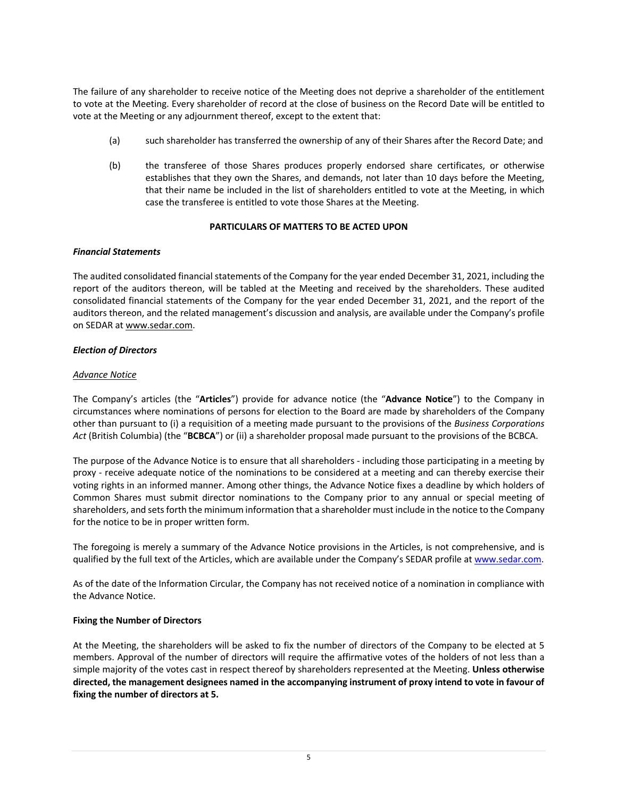The failure of any shareholder to receive notice of the Meeting does not deprive a shareholder of the entitlement to vote at the Meeting. Every shareholder of record at the close of business on the Record Date will be entitled to vote at the Meeting or any adjournment thereof, except to the extent that:

- (a) such shareholder has transferred the ownership of any of their Shares after the Record Date; and
- (b) the transferee of those Shares produces properly endorsed share certificates, or otherwise establishes that they own the Shares, and demands, not later than 10 days before the Meeting, that their name be included in the list of shareholders entitled to vote at the Meeting, in which case the transferee is entitled to vote those Shares at the Meeting.

### **PARTICULARS OF MATTERS TO BE ACTED UPON**

### *Financial Statements*

The audited consolidated financial statements of the Company for the year ended December 31, 2021, including the report of the auditors thereon, will be tabled at the Meeting and received by the shareholders. These audited consolidated financial statements of the Company for the year ended December 31, 2021, and the report of the auditors thereon, and the related management's discussion and analysis, are available under the Company's profile on SEDAR at www.sedar.com.

### *Election of Directors*

### *Advance Notice*

The Company's articles (the "**Articles**") provide for advance notice (the "**Advance Notice**") to the Company in circumstances where nominations of persons for election to the Board are made by shareholders of the Company other than pursuant to (i) a requisition of a meeting made pursuant to the provisions of the *Business Corporations Act* (British Columbia) (the "**BCBCA**") or (ii) a shareholder proposal made pursuant to the provisions of the BCBCA.

The purpose of the Advance Notice is to ensure that all shareholders - including those participating in a meeting by proxy - receive adequate notice of the nominations to be considered at a meeting and can thereby exercise their voting rights in an informed manner. Among other things, the Advance Notice fixes a deadline by which holders of Common Shares must submit director nominations to the Company prior to any annual or special meeting of shareholders, and sets forth the minimum information that a shareholder must include in the notice to the Company for the notice to be in proper written form.

The foregoing is merely a summary of the Advance Notice provisions in the Articles, is not comprehensive, and is qualified by the full text of the Articles, which are available under the Company's SEDAR profile at www.sedar.com.

As of the date of the Information Circular, the Company has not received notice of a nomination in compliance with the Advance Notice.

#### **Fixing the Number of Directors**

At the Meeting, the shareholders will be asked to fix the number of directors of the Company to be elected at 5 members. Approval of the number of directors will require the affirmative votes of the holders of not less than a simple majority of the votes cast in respect thereof by shareholders represented at the Meeting. **Unless otherwise directed, the management designees named in the accompanying instrument of proxy intend to vote in favour of fixing the number of directors at 5.**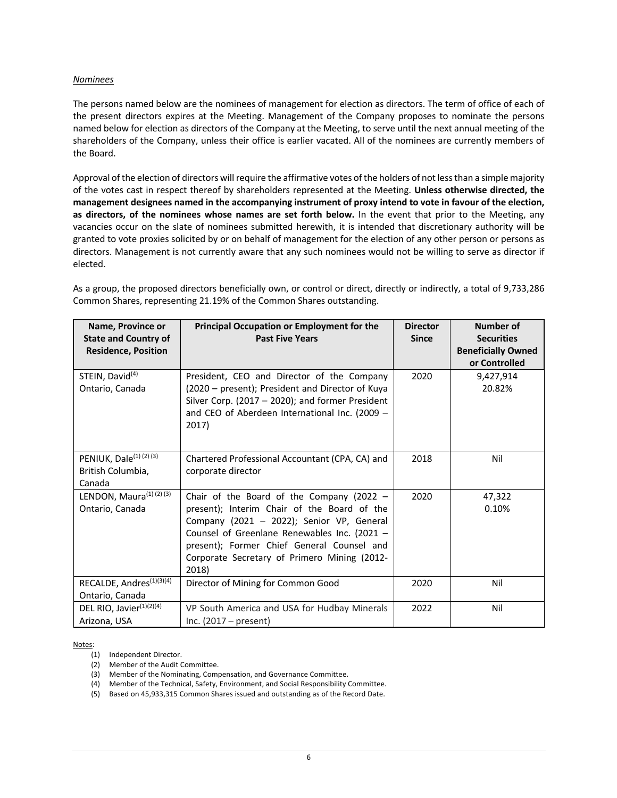#### *Nominees*

The persons named below are the nominees of management for election as directors. The term of office of each of the present directors expires at the Meeting. Management of the Company proposes to nominate the persons named below for election as directors of the Company at the Meeting, to serve until the next annual meeting of the shareholders of the Company, unless their office is earlier vacated. All of the nominees are currently members of the Board.

Approval of the election of directors will require the affirmative votes of the holders of not less than a simple majority of the votes cast in respect thereof by shareholders represented at the Meeting. **Unless otherwise directed, the management designees named in the accompanying instrument of proxy intend to vote in favour of the election, as directors, of the nominees whose names are set forth below.** In the event that prior to the Meeting, any vacancies occur on the slate of nominees submitted herewith, it is intended that discretionary authority will be granted to vote proxies solicited by or on behalf of management for the election of any other person or persons as directors. Management is not currently aware that any such nominees would not be willing to serve as director if elected.

**Name, Province or State and Country of Residence, Position Principal Occupation or Employment for the Past Five Years Director Since Number of Securities Beneficially Owned or Controlled** STEIN, David<sup>(4)</sup> Ontario, Canada President, CEO and Director of the Company (2020 – present); President and Director of Kuya Silver Corp. (2017 – 2020); and former President and CEO of Aberdeen International Inc. (2009 – 2017) 2020 9,427,914 20.82%

As a group, the proposed directors beneficially own, or control or direct, directly or indirectly, a total of 9,733,286 Common Shares, representing 21.19% of the Common Shares outstanding.

|                                      | 2017)                                           |      |        |
|--------------------------------------|-------------------------------------------------|------|--------|
| PENIUK, Dale <sup>(1)</sup> (2)(3)   | Chartered Professional Accountant (CPA, CA) and | 2018 | Nil    |
| British Columbia,                    | corporate director                              |      |        |
| Canada                               |                                                 |      |        |
| LENDON, Maura <sup>(1)</sup> (2) (3) | Chair of the Board of the Company (2022 $-$     | 2020 | 47,322 |
| Ontario, Canada                      | present); Interim Chair of the Board of the     |      | 0.10%  |
|                                      | Company (2021 - 2022); Senior VP, General       |      |        |
|                                      | Counsel of Greenlane Renewables Inc. (2021 $-$  |      |        |
|                                      | present); Former Chief General Counsel and      |      |        |
|                                      | Corporate Secretary of Primero Mining (2012-    |      |        |
|                                      | 2018)                                           |      |        |
| RECALDE, Andres <sup>(1)(3)(4)</sup> | Director of Mining for Common Good              | 2020 | Nil    |
| Ontario, Canada                      |                                                 |      |        |
| DEL RIO, Javier <sup>(1)(2)(4)</sup> | VP South America and USA for Hudbay Minerals    | 2022 | Nil    |
| Arizona, USA                         | Inc. $(2017 - present)$                         |      |        |

Notes:

- (1) Independent Director.
- (2) Member of the Audit Committee.
- (3) Member of the Nominating, Compensation, and Governance Committee.
- (4) Member of the Technical, Safety, Environment, and Social Responsibility Committee.
- (5) Based on 45,933,315 Common Shares issued and outstanding as of the Record Date.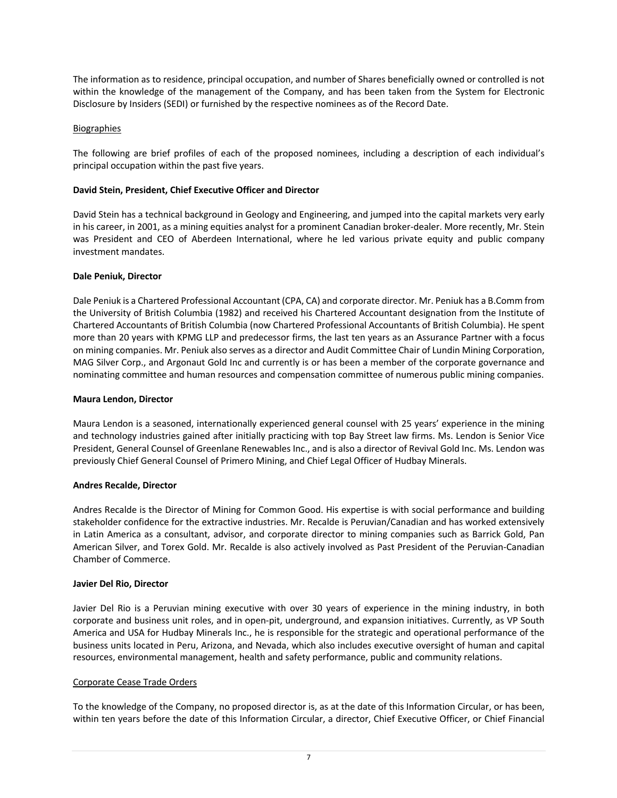The information as to residence, principal occupation, and number of Shares beneficially owned or controlled is not within the knowledge of the management of the Company, and has been taken from the System for Electronic Disclosure by Insiders (SEDI) or furnished by the respective nominees as of the Record Date.

### Biographies

The following are brief profiles of each of the proposed nominees, including a description of each individual's principal occupation within the past five years.

### **David Stein, President, Chief Executive Officer and Director**

David Stein has a technical background in Geology and Engineering, and jumped into the capital markets very early in his career, in 2001, as a mining equities analyst for a prominent Canadian broker-dealer. More recently, Mr. Stein was President and CEO of Aberdeen International, where he led various private equity and public company investment mandates.

#### **Dale Peniuk, Director**

Dale Peniuk is a Chartered Professional Accountant (CPA, CA) and corporate director. Mr. Peniuk has a B.Comm from the University of British Columbia (1982) and received his Chartered Accountant designation from the Institute of Chartered Accountants of British Columbia (now Chartered Professional Accountants of British Columbia). He spent more than 20 years with KPMG LLP and predecessor firms, the last ten years as an Assurance Partner with a focus on mining companies. Mr. Peniuk also serves as a director and Audit Committee Chair of Lundin Mining Corporation, MAG Silver Corp., and Argonaut Gold Inc and currently is or has been a member of the corporate governance and nominating committee and human resources and compensation committee of numerous public mining companies.

#### **Maura Lendon, Director**

Maura Lendon is a seasoned, internationally experienced general counsel with 25 years' experience in the mining and technology industries gained after initially practicing with top Bay Street law firms. Ms. Lendon is Senior Vice President, General Counsel of Greenlane Renewables Inc., and is also a director of Revival Gold Inc. Ms. Lendon was previously Chief General Counsel of Primero Mining, and Chief Legal Officer of Hudbay Minerals.

#### **Andres Recalde, Director**

Andres Recalde is the Director of Mining for Common Good. His expertise is with social performance and building stakeholder confidence for the extractive industries. Mr. Recalde is Peruvian/Canadian and has worked extensively in Latin America as a consultant, advisor, and corporate director to mining companies such as Barrick Gold, Pan American Silver, and Torex Gold. Mr. Recalde is also actively involved as Past President of the Peruvian-Canadian Chamber of Commerce.

#### **Javier Del Rio, Director**

Javier Del Rio is a Peruvian mining executive with over 30 years of experience in the mining industry, in both corporate and business unit roles, and in open-pit, underground, and expansion initiatives. Currently, as VP South America and USA for Hudbay Minerals Inc., he is responsible for the strategic and operational performance of the business units located in Peru, Arizona, and Nevada, which also includes executive oversight of human and capital resources, environmental management, health and safety performance, public and community relations.

#### Corporate Cease Trade Orders

To the knowledge of the Company, no proposed director is, as at the date of this Information Circular, or has been, within ten years before the date of this Information Circular, a director, Chief Executive Officer, or Chief Financial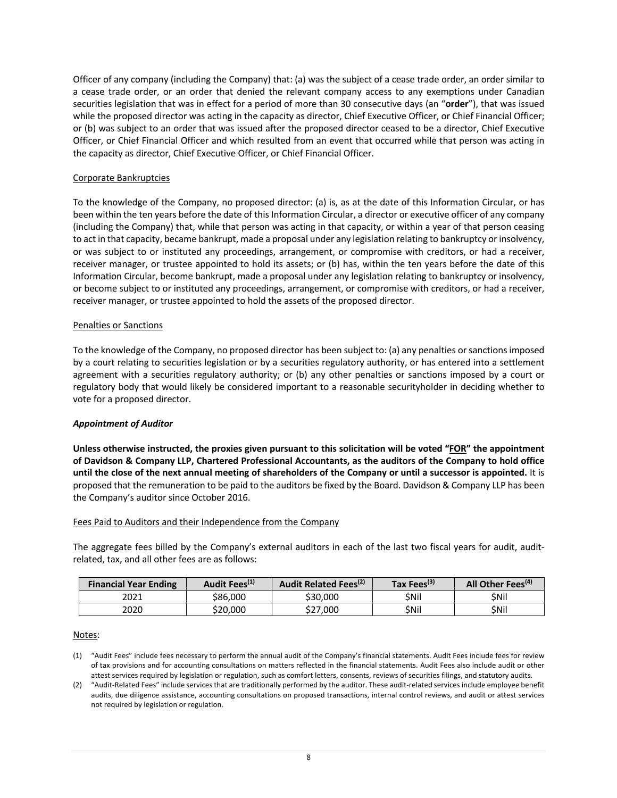Officer of any company (including the Company) that: (a) was the subject of a cease trade order, an order similar to a cease trade order, or an order that denied the relevant company access to any exemptions under Canadian securities legislation that was in effect for a period of more than 30 consecutive days (an "**order**"), that was issued while the proposed director was acting in the capacity as director, Chief Executive Officer, or Chief Financial Officer; or (b) was subject to an order that was issued after the proposed director ceased to be a director, Chief Executive Officer, or Chief Financial Officer and which resulted from an event that occurred while that person was acting in the capacity as director, Chief Executive Officer, or Chief Financial Officer.

### Corporate Bankruptcies

To the knowledge of the Company, no proposed director: (a) is, as at the date of this Information Circular, or has been within the ten years before the date of this Information Circular, a director or executive officer of any company (including the Company) that, while that person was acting in that capacity, or within a year of that person ceasing to act in that capacity, became bankrupt, made a proposal under any legislation relating to bankruptcy or insolvency, or was subject to or instituted any proceedings, arrangement, or compromise with creditors, or had a receiver, receiver manager, or trustee appointed to hold its assets; or (b) has, within the ten years before the date of this Information Circular, become bankrupt, made a proposal under any legislation relating to bankruptcy or insolvency, or become subject to or instituted any proceedings, arrangement, or compromise with creditors, or had a receiver, receiver manager, or trustee appointed to hold the assets of the proposed director.

#### Penalties or Sanctions

To the knowledge of the Company, no proposed director has been subject to: (a) any penalties or sanctions imposed by a court relating to securities legislation or by a securities regulatory authority, or has entered into a settlement agreement with a securities regulatory authority; or (b) any other penalties or sanctions imposed by a court or regulatory body that would likely be considered important to a reasonable securityholder in deciding whether to vote for a proposed director.

#### *Appointment of Auditor*

**Unless otherwise instructed, the proxies given pursuant to this solicitation will be voted "FOR" the appointment of Davidson & Company LLP, Chartered Professional Accountants, as the auditors of the Company to hold office until the close of the next annual meeting of shareholders of the Company or until a successor is appointed.** It is proposed that the remuneration to be paid to the auditors be fixed by the Board. Davidson & Company LLP has been the Company's auditor since October 2016.

#### Fees Paid to Auditors and their Independence from the Company

The aggregate fees billed by the Company's external auditors in each of the last two fiscal years for audit, auditrelated, tax, and all other fees are as follows:

| <b>Financial Year Ending</b> | Audit Fees <sup>(1)</sup> | Audit Related Fees <sup>(2)</sup> | Tax Fees <sup>(3)</sup> | All Other Fees <sup>(4)</sup> |
|------------------------------|---------------------------|-----------------------------------|-------------------------|-------------------------------|
| 2021                         | \$86.000                  | \$30,000                          | \$Nil                   | \$Nil                         |
| 2020                         | \$20.000                  | \$27.000                          | \$Nil                   | \$Nil                         |

#### Notes:

(1) "Audit Fees" include fees necessary to perform the annual audit of the Company's financial statements. Audit Fees include fees for review of tax provisions and for accounting consultations on matters reflected in the financial statements. Audit Fees also include audit or other attest services required by legislation or regulation, such as comfort letters, consents, reviews of securities filings, and statutory audits.

(2) "Audit-Related Fees" include services that are traditionally performed by the auditor. These audit-related services include employee benefit audits, due diligence assistance, accounting consultations on proposed transactions, internal control reviews, and audit or attest services not required by legislation or regulation.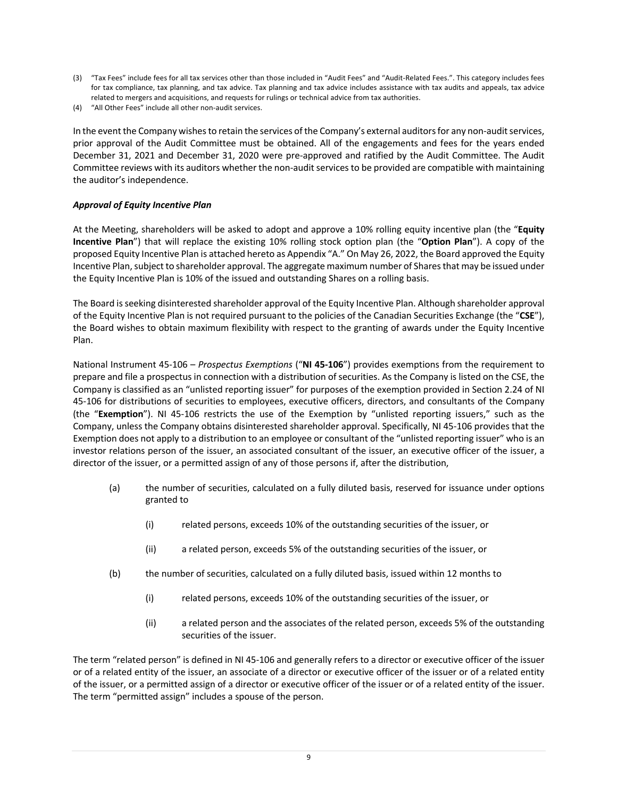- (3) "Tax Fees" include fees for all tax services other than those included in "Audit Fees" and "Audit-Related Fees.". This category includes fees for tax compliance, tax planning, and tax advice. Tax planning and tax advice includes assistance with tax audits and appeals, tax advice related to mergers and acquisitions, and requests for rulings or technical advice from tax authorities.
- (4) "All Other Fees" include all other non-audit services.

In the event the Company wishes to retain the services of the Company's external auditors for any non-audit services, prior approval of the Audit Committee must be obtained. All of the engagements and fees for the years ended December 31, 2021 and December 31, 2020 were pre-approved and ratified by the Audit Committee. The Audit Committee reviews with its auditors whether the non-audit services to be provided are compatible with maintaining the auditor's independence.

## *Approval of Equity Incentive Plan*

At the Meeting, shareholders will be asked to adopt and approve a 10% rolling equity incentive plan (the "**Equity Incentive Plan**") that will replace the existing 10% rolling stock option plan (the "**Option Plan**"). A copy of the proposed Equity Incentive Plan is attached hereto as Appendix "A." On May 26, 2022, the Board approved the Equity Incentive Plan, subject to shareholder approval. The aggregate maximum number of Shares that may be issued under the Equity Incentive Plan is 10% of the issued and outstanding Shares on a rolling basis.

The Board is seeking disinterested shareholder approval of the Equity Incentive Plan. Although shareholder approval of the Equity Incentive Plan is not required pursuant to the policies of the Canadian Securities Exchange (the "**CSE**"), the Board wishes to obtain maximum flexibility with respect to the granting of awards under the Equity Incentive Plan.

National Instrument 45-106 – *Prospectus Exemptions* ("**NI 45-106**") provides exemptions from the requirement to prepare and file a prospectus in connection with a distribution of securities. As the Company is listed on the CSE, the Company is classified as an "unlisted reporting issuer" for purposes of the exemption provided in Section 2.24 of NI 45-106 for distributions of securities to employees, executive officers, directors, and consultants of the Company (the "**Exemption**"). NI 45-106 restricts the use of the Exemption by "unlisted reporting issuers," such as the Company, unless the Company obtains disinterested shareholder approval. Specifically, NI 45-106 provides that the Exemption does not apply to a distribution to an employee or consultant of the "unlisted reporting issuer" who is an investor relations person of the issuer, an associated consultant of the issuer, an executive officer of the issuer, a director of the issuer, or a permitted assign of any of those persons if, after the distribution,

- (a) the number of securities, calculated on a fully diluted basis, reserved for issuance under options granted to
	- (i) related persons, exceeds 10% of the outstanding securities of the issuer, or
	- (ii) a related person, exceeds 5% of the outstanding securities of the issuer, or
- (b) the number of securities, calculated on a fully diluted basis, issued within 12 months to
	- (i) related persons, exceeds 10% of the outstanding securities of the issuer, or
	- (ii) a related person and the associates of the related person, exceeds 5% of the outstanding securities of the issuer.

The term "related person" is defined in NI 45-106 and generally refers to a director or executive officer of the issuer or of a related entity of the issuer, an associate of a director or executive officer of the issuer or of a related entity of the issuer, or a permitted assign of a director or executive officer of the issuer or of a related entity of the issuer. The term "permitted assign" includes a spouse of the person.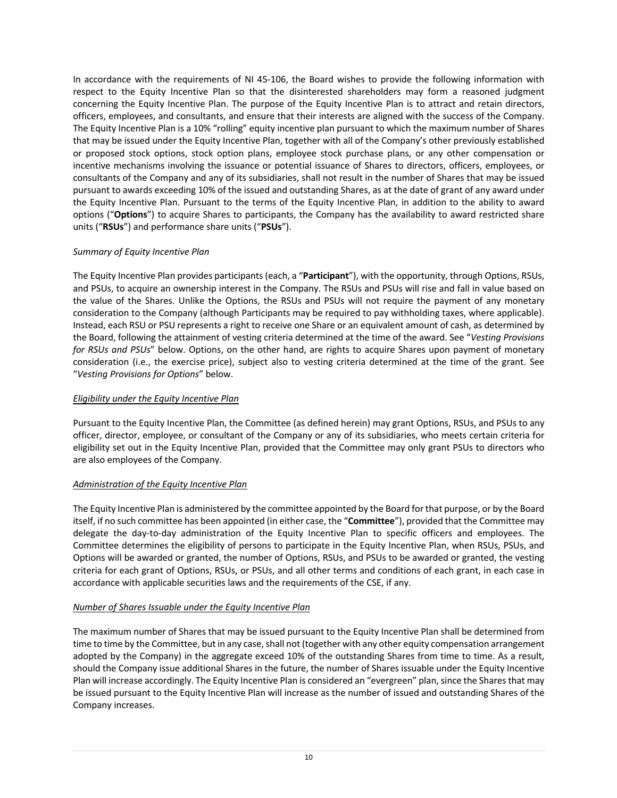In accordance with the requirements of NI 45-106, the Board wishes to provide the following information with respect to the Equity Incentive Plan so that the disinterested shareholders may form a reasoned judgment concerning the Equity Incentive Plan. The purpose of the Equity Incentive Plan is to attract and retain directors, officers, employees, and consultants, and ensure that their interests are aligned with the success of the Company. The Equity Incentive Plan is a 10% "rolling" equity incentive plan pursuant to which the maximum number of Shares that may be issued under the Equity Incentive Plan, together with all of the Company's other previously established or proposed stock options, stock option plans, employee stock purchase plans, or any other compensation or incentive mechanisms involving the issuance or potential issuance of Shares to directors, officers, employees, or consultants of the Company and any of its subsidiaries, shall not result in the number of Shares that may be issued pursuant to awards exceeding 10% of the issued and outstanding Shares, as at the date of grant of any award under the Equity Incentive Plan. Pursuant to the terms of the Equity Incentive Plan, in addition to the ability to award options ("**Options**") to acquire Shares to participants, the Company has the availability to award restricted share units ("**RSUs**") and performance share units ("**PSUs**").

## *Summary of Equity Incentive Plan*

The Equity Incentive Plan provides participants (each, a "**Participant**"), with the opportunity, through Options, RSUs, and PSUs, to acquire an ownership interest in the Company. The RSUs and PSUs will rise and fall in value based on the value of the Shares. Unlike the Options, the RSUs and PSUs will not require the payment of any monetary consideration to the Company (although Participants may be required to pay withholding taxes, where applicable). Instead, each RSU or PSU represents a right to receive one Share or an equivalent amount of cash, as determined by the Board, following the attainment of vesting criteria determined at the time of the award. See "*Vesting Provisions for RSUs and PSUs*" below. Options, on the other hand, are rights to acquire Shares upon payment of monetary consideration (i.e., the exercise price), subject also to vesting criteria determined at the time of the grant. See "*Vesting Provisions for Options*" below.

## *Eligibility under the Equity Incentive Plan*

Pursuant to the Equity Incentive Plan, the Committee (as defined herein) may grant Options, RSUs, and PSUs to any officer, director, employee, or consultant of the Company or any of its subsidiaries, who meets certain criteria for eligibility set out in the Equity Incentive Plan, provided that the Committee may only grant PSUs to directors who are also employees of the Company.

# *Administration of the Equity Incentive Plan*

The Equity Incentive Plan is administered by the committee appointed by the Board for that purpose, or by the Board itself, if no such committee has been appointed (in either case, the "**Committee**"), provided that the Committee may delegate the day-to-day administration of the Equity Incentive Plan to specific officers and employees. The Committee determines the eligibility of persons to participate in the Equity Incentive Plan, when RSUs, PSUs, and Options will be awarded or granted, the number of Options, RSUs, and PSUs to be awarded or granted, the vesting criteria for each grant of Options, RSUs, or PSUs, and all other terms and conditions of each grant, in each case in accordance with applicable securities laws and the requirements of the CSE, if any.

## *Number of Shares Issuable under the Equity Incentive Plan*

The maximum number of Shares that may be issued pursuant to the Equity Incentive Plan shall be determined from time to time by the Committee, but in any case, shall not (together with any other equity compensation arrangement adopted by the Company) in the aggregate exceed 10% of the outstanding Shares from time to time. As a result, should the Company issue additional Shares in the future, the number of Shares issuable under the Equity Incentive Plan will increase accordingly. The Equity Incentive Plan is considered an "evergreen" plan, since the Shares that may be issued pursuant to the Equity Incentive Plan will increase as the number of issued and outstanding Shares of the Company increases.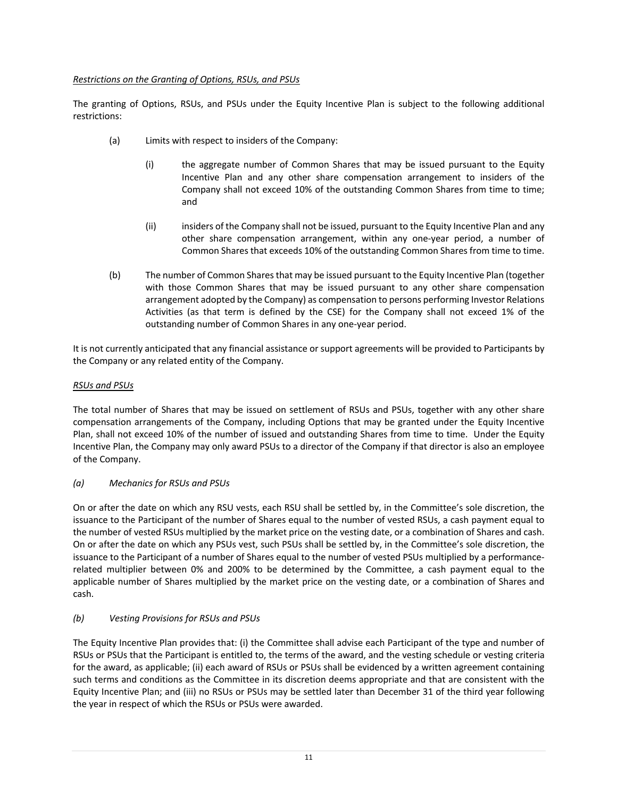## *Restrictions on the Granting of Options, RSUs, and PSUs*

The granting of Options, RSUs, and PSUs under the Equity Incentive Plan is subject to the following additional restrictions:

- (a) Limits with respect to insiders of the Company:
	- (i) the aggregate number of Common Shares that may be issued pursuant to the Equity Incentive Plan and any other share compensation arrangement to insiders of the Company shall not exceed 10% of the outstanding Common Shares from time to time; and
	- (ii) insiders of the Company shall not be issued, pursuant to the Equity Incentive Plan and any other share compensation arrangement, within any one-year period, a number of Common Shares that exceeds 10% of the outstanding Common Shares from time to time.
- (b) The number of Common Shares that may be issued pursuant to the Equity Incentive Plan (together with those Common Shares that may be issued pursuant to any other share compensation arrangement adopted by the Company) as compensation to persons performing Investor Relations Activities (as that term is defined by the CSE) for the Company shall not exceed 1% of the outstanding number of Common Shares in any one-year period.

It is not currently anticipated that any financial assistance or support agreements will be provided to Participants by the Company or any related entity of the Company.

## *RSUs and PSUs*

The total number of Shares that may be issued on settlement of RSUs and PSUs, together with any other share compensation arrangements of the Company, including Options that may be granted under the Equity Incentive Plan, shall not exceed 10% of the number of issued and outstanding Shares from time to time. Under the Equity Incentive Plan, the Company may only award PSUs to a director of the Company if that director is also an employee of the Company.

## *(a) Mechanics for RSUs and PSUs*

On or after the date on which any RSU vests, each RSU shall be settled by, in the Committee's sole discretion, the issuance to the Participant of the number of Shares equal to the number of vested RSUs, a cash payment equal to the number of vested RSUs multiplied by the market price on the vesting date, or a combination of Shares and cash. On or after the date on which any PSUs vest, such PSUs shall be settled by, in the Committee's sole discretion, the issuance to the Participant of a number of Shares equal to the number of vested PSUs multiplied by a performancerelated multiplier between 0% and 200% to be determined by the Committee, a cash payment equal to the applicable number of Shares multiplied by the market price on the vesting date, or a combination of Shares and cash.

# *(b) Vesting Provisions for RSUs and PSUs*

The Equity Incentive Plan provides that: (i) the Committee shall advise each Participant of the type and number of RSUs or PSUs that the Participant is entitled to, the terms of the award, and the vesting schedule or vesting criteria for the award, as applicable; (ii) each award of RSUs or PSUs shall be evidenced by a written agreement containing such terms and conditions as the Committee in its discretion deems appropriate and that are consistent with the Equity Incentive Plan; and (iii) no RSUs or PSUs may be settled later than December 31 of the third year following the year in respect of which the RSUs or PSUs were awarded.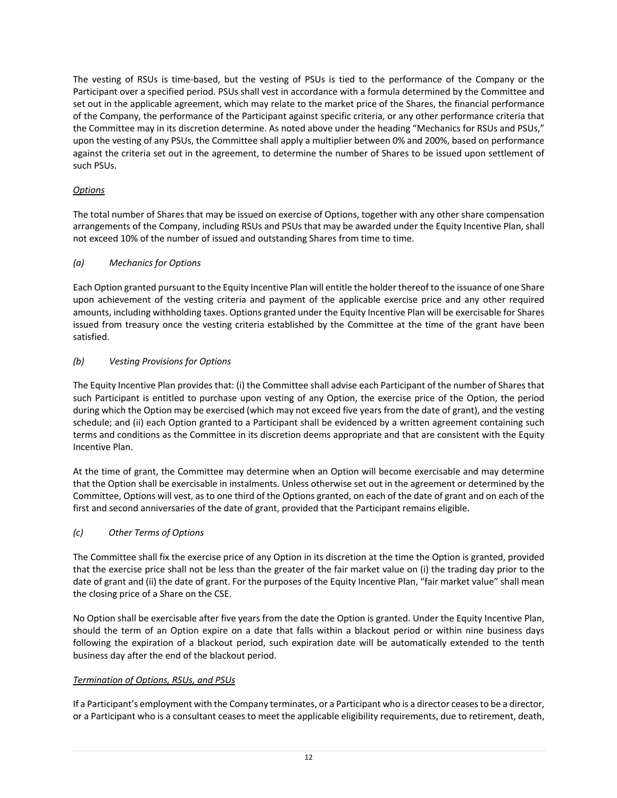The vesting of RSUs is time-based, but the vesting of PSUs is tied to the performance of the Company or the Participant over a specified period. PSUs shall vest in accordance with a formula determined by the Committee and set out in the applicable agreement, which may relate to the market price of the Shares, the financial performance of the Company, the performance of the Participant against specific criteria, or any other performance criteria that the Committee may in its discretion determine. As noted above under the heading "Mechanics for RSUs and PSUs," upon the vesting of any PSUs, the Committee shall apply a multiplier between 0% and 200%, based on performance against the criteria set out in the agreement, to determine the number of Shares to be issued upon settlement of such PSUs.

# *Options*

The total number of Shares that may be issued on exercise of Options, together with any other share compensation arrangements of the Company, including RSUs and PSUs that may be awarded under the Equity Incentive Plan, shall not exceed 10% of the number of issued and outstanding Shares from time to time.

## *(a) Mechanics for Options*

Each Option granted pursuant to the Equity Incentive Plan will entitle the holder thereof to the issuance of one Share upon achievement of the vesting criteria and payment of the applicable exercise price and any other required amounts, including withholding taxes. Options granted under the Equity Incentive Plan will be exercisable for Shares issued from treasury once the vesting criteria established by the Committee at the time of the grant have been satisfied.

## *(b) Vesting Provisions for Options*

The Equity Incentive Plan provides that: (i) the Committee shall advise each Participant of the number of Shares that such Participant is entitled to purchase upon vesting of any Option, the exercise price of the Option, the period during which the Option may be exercised (which may not exceed five years from the date of grant), and the vesting schedule; and (ii) each Option granted to a Participant shall be evidenced by a written agreement containing such terms and conditions as the Committee in its discretion deems appropriate and that are consistent with the Equity Incentive Plan.

At the time of grant, the Committee may determine when an Option will become exercisable and may determine that the Option shall be exercisable in instalments. Unless otherwise set out in the agreement or determined by the Committee, Options will vest, as to one third of the Options granted, on each of the date of grant and on each of the first and second anniversaries of the date of grant, provided that the Participant remains eligible.

# *(c) Other Terms of Options*

The Committee shall fix the exercise price of any Option in its discretion at the time the Option is granted, provided that the exercise price shall not be less than the greater of the fair market value on (i) the trading day prior to the date of grant and (ii) the date of grant. For the purposes of the Equity Incentive Plan, "fair market value" shall mean the closing price of a Share on the CSE.

No Option shall be exercisable after five years from the date the Option is granted. Under the Equity Incentive Plan, should the term of an Option expire on a date that falls within a blackout period or within nine business days following the expiration of a blackout period, such expiration date will be automatically extended to the tenth business day after the end of the blackout period.

# *Termination of Options, RSUs, and PSUs*

If a Participant's employment with the Company terminates, or a Participant who is a director ceases to be a director, or a Participant who is a consultant ceases to meet the applicable eligibility requirements, due to retirement, death,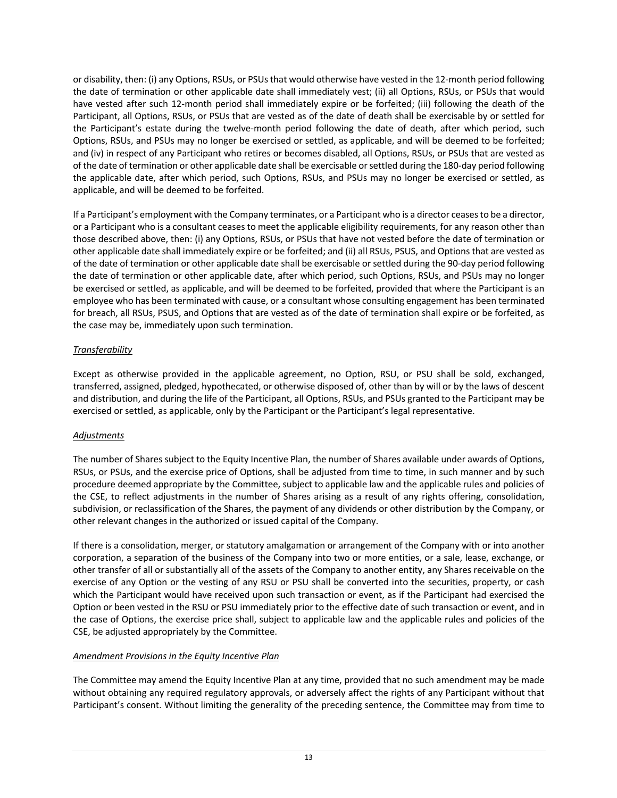or disability, then: (i) any Options, RSUs, or PSUs that would otherwise have vested in the 12-month period following the date of termination or other applicable date shall immediately vest; (ii) all Options, RSUs, or PSUs that would have vested after such 12-month period shall immediately expire or be forfeited; (iii) following the death of the Participant, all Options, RSUs, or PSUs that are vested as of the date of death shall be exercisable by or settled for the Participant's estate during the twelve-month period following the date of death, after which period, such Options, RSUs, and PSUs may no longer be exercised or settled, as applicable, and will be deemed to be forfeited; and (iv) in respect of any Participant who retires or becomes disabled, all Options, RSUs, or PSUs that are vested as of the date of termination or other applicable date shall be exercisable or settled during the 180-day period following the applicable date, after which period, such Options, RSUs, and PSUs may no longer be exercised or settled, as applicable, and will be deemed to be forfeited.

If a Participant's employment with the Company terminates, or a Participant who is a director ceases to be a director, or a Participant who is a consultant ceases to meet the applicable eligibility requirements, for any reason other than those described above, then: (i) any Options, RSUs, or PSUs that have not vested before the date of termination or other applicable date shall immediately expire or be forfeited; and (ii) all RSUs, PSUS, and Options that are vested as of the date of termination or other applicable date shall be exercisable or settled during the 90-day period following the date of termination or other applicable date, after which period, such Options, RSUs, and PSUs may no longer be exercised or settled, as applicable, and will be deemed to be forfeited, provided that where the Participant is an employee who has been terminated with cause, or a consultant whose consulting engagement has been terminated for breach, all RSUs, PSUS, and Options that are vested as of the date of termination shall expire or be forfeited, as the case may be, immediately upon such termination.

## *Transferability*

Except as otherwise provided in the applicable agreement, no Option, RSU, or PSU shall be sold, exchanged, transferred, assigned, pledged, hypothecated, or otherwise disposed of, other than by will or by the laws of descent and distribution, and during the life of the Participant, all Options, RSUs, and PSUs granted to the Participant may be exercised or settled, as applicable, only by the Participant or the Participant's legal representative.

# *Adjustments*

The number of Shares subject to the Equity Incentive Plan, the number of Shares available under awards of Options, RSUs, or PSUs, and the exercise price of Options, shall be adjusted from time to time, in such manner and by such procedure deemed appropriate by the Committee, subject to applicable law and the applicable rules and policies of the CSE, to reflect adjustments in the number of Shares arising as a result of any rights offering, consolidation, subdivision, or reclassification of the Shares, the payment of any dividends or other distribution by the Company, or other relevant changes in the authorized or issued capital of the Company.

If there is a consolidation, merger, or statutory amalgamation or arrangement of the Company with or into another corporation, a separation of the business of the Company into two or more entities, or a sale, lease, exchange, or other transfer of all or substantially all of the assets of the Company to another entity, any Shares receivable on the exercise of any Option or the vesting of any RSU or PSU shall be converted into the securities, property, or cash which the Participant would have received upon such transaction or event, as if the Participant had exercised the Option or been vested in the RSU or PSU immediately prior to the effective date of such transaction or event, and in the case of Options, the exercise price shall, subject to applicable law and the applicable rules and policies of the CSE, be adjusted appropriately by the Committee.

# *Amendment Provisions in the Equity Incentive Plan*

The Committee may amend the Equity Incentive Plan at any time, provided that no such amendment may be made without obtaining any required regulatory approvals, or adversely affect the rights of any Participant without that Participant's consent. Without limiting the generality of the preceding sentence, the Committee may from time to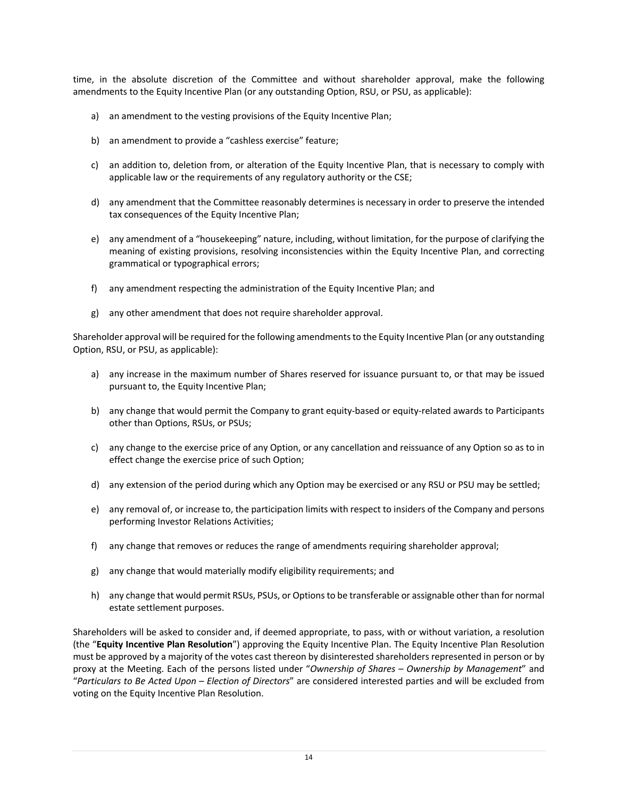time, in the absolute discretion of the Committee and without shareholder approval, make the following amendments to the Equity Incentive Plan (or any outstanding Option, RSU, or PSU, as applicable):

- a) an amendment to the vesting provisions of the Equity Incentive Plan;
- b) an amendment to provide a "cashless exercise" feature;
- c) an addition to, deletion from, or alteration of the Equity Incentive Plan, that is necessary to comply with applicable law or the requirements of any regulatory authority or the CSE;
- d) any amendment that the Committee reasonably determines is necessary in order to preserve the intended tax consequences of the Equity Incentive Plan;
- e) any amendment of a "housekeeping" nature, including, without limitation, for the purpose of clarifying the meaning of existing provisions, resolving inconsistencies within the Equity Incentive Plan, and correcting grammatical or typographical errors;
- f) any amendment respecting the administration of the Equity Incentive Plan; and
- g) any other amendment that does not require shareholder approval.

Shareholder approval will be required for the following amendments to the Equity Incentive Plan (or any outstanding Option, RSU, or PSU, as applicable):

- a) any increase in the maximum number of Shares reserved for issuance pursuant to, or that may be issued pursuant to, the Equity Incentive Plan;
- b) any change that would permit the Company to grant equity-based or equity-related awards to Participants other than Options, RSUs, or PSUs;
- c) any change to the exercise price of any Option, or any cancellation and reissuance of any Option so as to in effect change the exercise price of such Option;
- d) any extension of the period during which any Option may be exercised or any RSU or PSU may be settled;
- e) any removal of, or increase to, the participation limits with respect to insiders of the Company and persons performing Investor Relations Activities;
- f) any change that removes or reduces the range of amendments requiring shareholder approval;
- g) any change that would materially modify eligibility requirements; and
- h) any change that would permit RSUs, PSUs, or Options to be transferable or assignable other than for normal estate settlement purposes.

Shareholders will be asked to consider and, if deemed appropriate, to pass, with or without variation, a resolution (the "**Equity Incentive Plan Resolution**") approving the Equity Incentive Plan. The Equity Incentive Plan Resolution must be approved by a majority of the votes cast thereon by disinterested shareholders represented in person or by proxy at the Meeting. Each of the persons listed under "*Ownership of Shares – Ownership by Management*" and "*Particulars to Be Acted Upon – Election of Directors*" are considered interested parties and will be excluded from voting on the Equity Incentive Plan Resolution.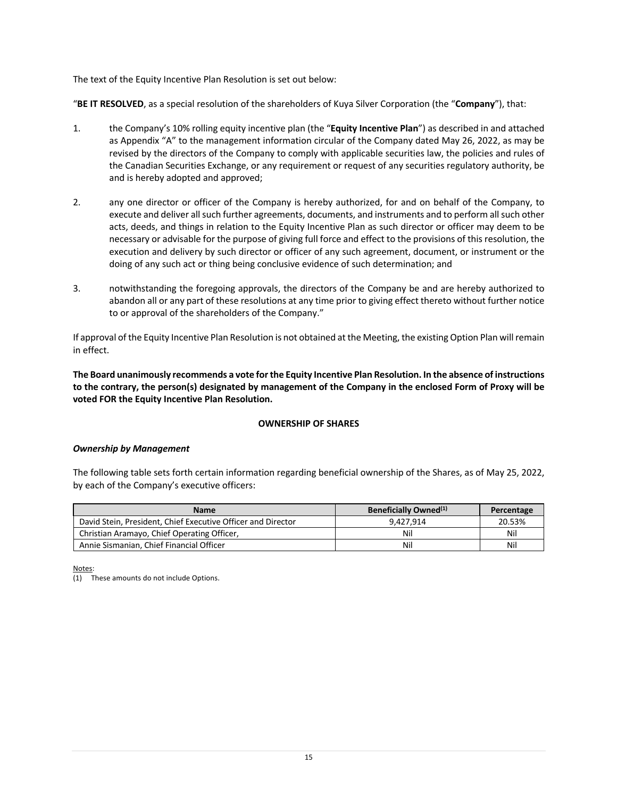The text of the Equity Incentive Plan Resolution is set out below:

"**BE IT RESOLVED**, as a special resolution of the shareholders of Kuya Silver Corporation (the "**Company**"), that:

- 1. the Company's 10% rolling equity incentive plan (the "**Equity Incentive Plan**") as described in and attached as Appendix "A" to the management information circular of the Company dated May 26, 2022, as may be revised by the directors of the Company to comply with applicable securities law, the policies and rules of the Canadian Securities Exchange, or any requirement or request of any securities regulatory authority, be and is hereby adopted and approved;
- 2. any one director or officer of the Company is hereby authorized, for and on behalf of the Company, to execute and deliver all such further agreements, documents, and instruments and to perform all such other acts, deeds, and things in relation to the Equity Incentive Plan as such director or officer may deem to be necessary or advisable for the purpose of giving full force and effect to the provisions of this resolution, the execution and delivery by such director or officer of any such agreement, document, or instrument or the doing of any such act or thing being conclusive evidence of such determination; and
- 3. notwithstanding the foregoing approvals, the directors of the Company be and are hereby authorized to abandon all or any part of these resolutions at any time prior to giving effect thereto without further notice to or approval of the shareholders of the Company."

If approval of the Equity Incentive Plan Resolution is not obtained at the Meeting, the existing Option Plan will remain in effect.

**The Board unanimously recommends a vote forthe Equity Incentive Plan Resolution. In the absence of instructions to the contrary, the person(s) designated by management of the Company in the enclosed Form of Proxy will be voted FOR the Equity Incentive Plan Resolution.**

#### **OWNERSHIP OF SHARES**

#### *Ownership by Management*

The following table sets forth certain information regarding beneficial ownership of the Shares, as of May 25, 2022, by each of the Company's executive officers:

| <b>Name</b>                                                  | Beneficially Owned <sup>(1)</sup> | Percentage |
|--------------------------------------------------------------|-----------------------------------|------------|
| David Stein, President, Chief Executive Officer and Director | 9.427.914                         | 20.53%     |
| Christian Aramayo, Chief Operating Officer,                  | Nil                               | Nil        |
| Annie Sismanian, Chief Financial Officer                     | Nil                               | Nil        |

Notes:

(1) These amounts do not include Options.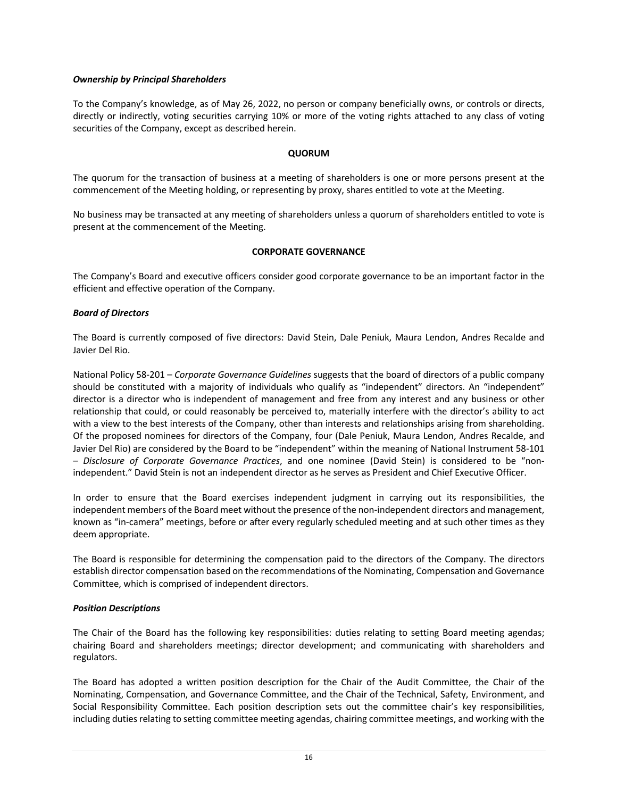#### *Ownership by Principal Shareholders*

To the Company's knowledge, as of May 26, 2022, no person or company beneficially owns, or controls or directs, directly or indirectly, voting securities carrying 10% or more of the voting rights attached to any class of voting securities of the Company, except as described herein.

#### **QUORUM**

The quorum for the transaction of business at a meeting of shareholders is one or more persons present at the commencement of the Meeting holding, or representing by proxy, shares entitled to vote at the Meeting.

No business may be transacted at any meeting of shareholders unless a quorum of shareholders entitled to vote is present at the commencement of the Meeting.

### **CORPORATE GOVERNANCE**

The Company's Board and executive officers consider good corporate governance to be an important factor in the efficient and effective operation of the Company.

### *Board of Directors*

The Board is currently composed of five directors: David Stein, Dale Peniuk, Maura Lendon, Andres Recalde and Javier Del Rio.

National Policy 58-201 – *Corporate Governance Guidelines* suggests that the board of directors of a public company should be constituted with a majority of individuals who qualify as "independent" directors. An "independent" director is a director who is independent of management and free from any interest and any business or other relationship that could, or could reasonably be perceived to, materially interfere with the director's ability to act with a view to the best interests of the Company, other than interests and relationships arising from shareholding. Of the proposed nominees for directors of the Company, four (Dale Peniuk, Maura Lendon, Andres Recalde, and Javier Del Rio) are considered by the Board to be "independent" within the meaning of National Instrument 58-101 – *Disclosure of Corporate Governance Practices*, and one nominee (David Stein) is considered to be "nonindependent." David Stein is not an independent director as he serves as President and Chief Executive Officer.

In order to ensure that the Board exercises independent judgment in carrying out its responsibilities, the independent members of the Board meet without the presence of the non-independent directors and management, known as "in-camera" meetings, before or after every regularly scheduled meeting and at such other times as they deem appropriate.

The Board is responsible for determining the compensation paid to the directors of the Company. The directors establish director compensation based on the recommendations of the Nominating, Compensation and Governance Committee, which is comprised of independent directors.

#### *Position Descriptions*

The Chair of the Board has the following key responsibilities: duties relating to setting Board meeting agendas; chairing Board and shareholders meetings; director development; and communicating with shareholders and regulators.

The Board has adopted a written position description for the Chair of the Audit Committee, the Chair of the Nominating, Compensation, and Governance Committee, and the Chair of the Technical, Safety, Environment, and Social Responsibility Committee. Each position description sets out the committee chair's key responsibilities, including duties relating to setting committee meeting agendas, chairing committee meetings, and working with the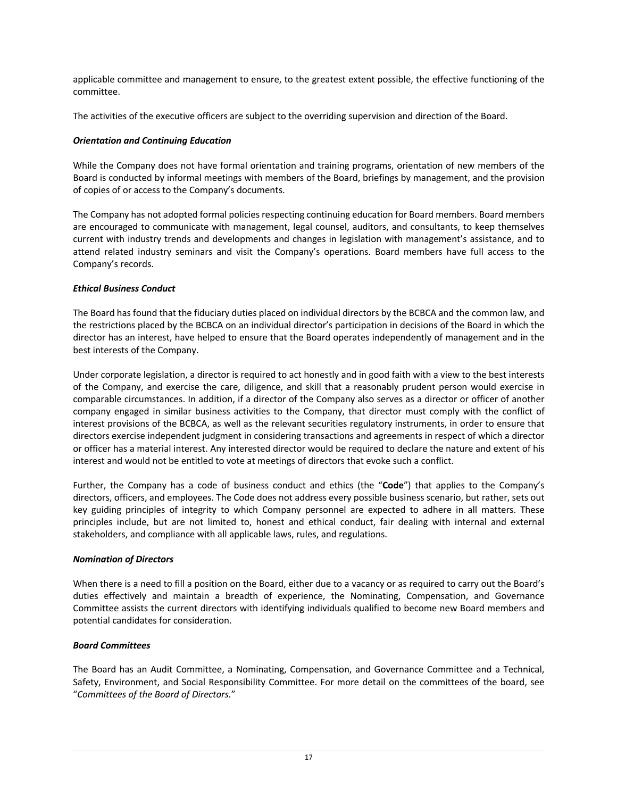applicable committee and management to ensure, to the greatest extent possible, the effective functioning of the committee.

The activities of the executive officers are subject to the overriding supervision and direction of the Board.

### *Orientation and Continuing Education*

While the Company does not have formal orientation and training programs, orientation of new members of the Board is conducted by informal meetings with members of the Board, briefings by management, and the provision of copies of or access to the Company's documents.

The Company has not adopted formal policies respecting continuing education for Board members. Board members are encouraged to communicate with management, legal counsel, auditors, and consultants, to keep themselves current with industry trends and developments and changes in legislation with management's assistance, and to attend related industry seminars and visit the Company's operations. Board members have full access to the Company's records.

## *Ethical Business Conduct*

The Board has found that the fiduciary duties placed on individual directors by the BCBCA and the common law, and the restrictions placed by the BCBCA on an individual director's participation in decisions of the Board in which the director has an interest, have helped to ensure that the Board operates independently of management and in the best interests of the Company.

Under corporate legislation, a director is required to act honestly and in good faith with a view to the best interests of the Company, and exercise the care, diligence, and skill that a reasonably prudent person would exercise in comparable circumstances. In addition, if a director of the Company also serves as a director or officer of another company engaged in similar business activities to the Company, that director must comply with the conflict of interest provisions of the BCBCA, as well as the relevant securities regulatory instruments, in order to ensure that directors exercise independent judgment in considering transactions and agreements in respect of which a director or officer has a material interest. Any interested director would be required to declare the nature and extent of his interest and would not be entitled to vote at meetings of directors that evoke such a conflict.

Further, the Company has a code of business conduct and ethics (the "**Code**") that applies to the Company's directors, officers, and employees. The Code does not address every possible business scenario, but rather, sets out key guiding principles of integrity to which Company personnel are expected to adhere in all matters. These principles include, but are not limited to, honest and ethical conduct, fair dealing with internal and external stakeholders, and compliance with all applicable laws, rules, and regulations.

#### *Nomination of Directors*

When there is a need to fill a position on the Board, either due to a vacancy or as required to carry out the Board's duties effectively and maintain a breadth of experience, the Nominating, Compensation, and Governance Committee assists the current directors with identifying individuals qualified to become new Board members and potential candidates for consideration.

## *Board Committees*

The Board has an Audit Committee, a Nominating, Compensation, and Governance Committee and a Technical, Safety, Environment, and Social Responsibility Committee. For more detail on the committees of the board, see "*Committees of the Board of Directors.*"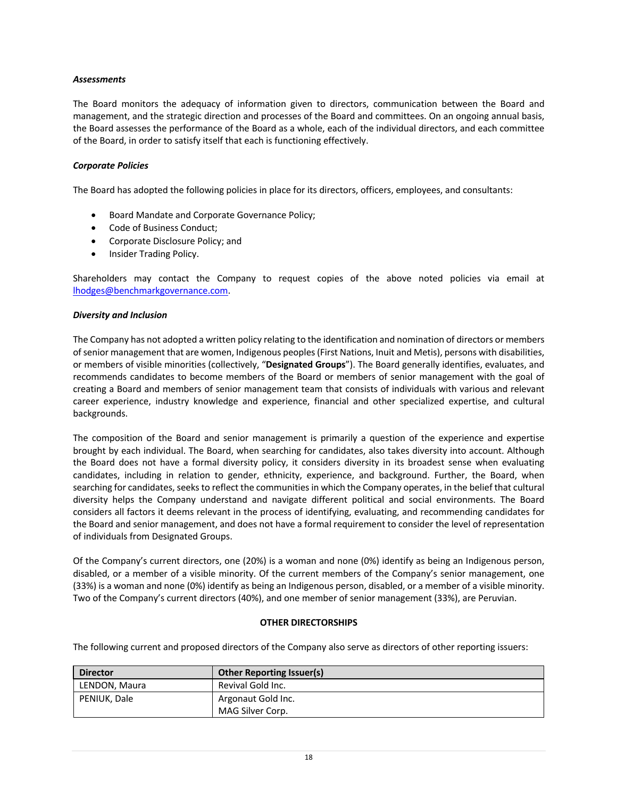### *Assessments*

The Board monitors the adequacy of information given to directors, communication between the Board and management, and the strategic direction and processes of the Board and committees. On an ongoing annual basis, the Board assesses the performance of the Board as a whole, each of the individual directors, and each committee of the Board, in order to satisfy itself that each is functioning effectively.

### *Corporate Policies*

The Board has adopted the following policies in place for its directors, officers, employees, and consultants:

- Board Mandate and Corporate Governance Policy;
- Code of Business Conduct;
- Corporate Disclosure Policy; and
- Insider Trading Policy.

Shareholders may contact the Company to request copies of the above noted policies via email at lhodges@benchmarkgovernance.com.

#### *Diversity and Inclusion*

The Company has not adopted a written policy relating to the identification and nomination of directors or members of senior management that are women, Indigenous peoples (First Nations, Inuit and Metis), persons with disabilities, or members of visible minorities (collectively, "**Designated Groups**"). The Board generally identifies, evaluates, and recommends candidates to become members of the Board or members of senior management with the goal of creating a Board and members of senior management team that consists of individuals with various and relevant career experience, industry knowledge and experience, financial and other specialized expertise, and cultural backgrounds.

The composition of the Board and senior management is primarily a question of the experience and expertise brought by each individual. The Board, when searching for candidates, also takes diversity into account. Although the Board does not have a formal diversity policy, it considers diversity in its broadest sense when evaluating candidates, including in relation to gender, ethnicity, experience, and background. Further, the Board, when searching for candidates, seeks to reflect the communities in which the Company operates, in the belief that cultural diversity helps the Company understand and navigate different political and social environments. The Board considers all factors it deems relevant in the process of identifying, evaluating, and recommending candidates for the Board and senior management, and does not have a formal requirement to consider the level of representation of individuals from Designated Groups.

Of the Company's current directors, one (20%) is a woman and none (0%) identify as being an Indigenous person, disabled, or a member of a visible minority. Of the current members of the Company's senior management, one (33%) is a woman and none (0%) identify as being an Indigenous person, disabled, or a member of a visible minority. Two of the Company's current directors (40%), and one member of senior management (33%), are Peruvian.

#### **OTHER DIRECTORSHIPS**

The following current and proposed directors of the Company also serve as directors of other reporting issuers:

| <b>Director</b> | <b>Other Reporting Issuer(s)</b> |
|-----------------|----------------------------------|
| LENDON, Maura   | Revival Gold Inc.                |
| PENIUK, Dale    | Argonaut Gold Inc.               |
|                 | MAG Silver Corp.                 |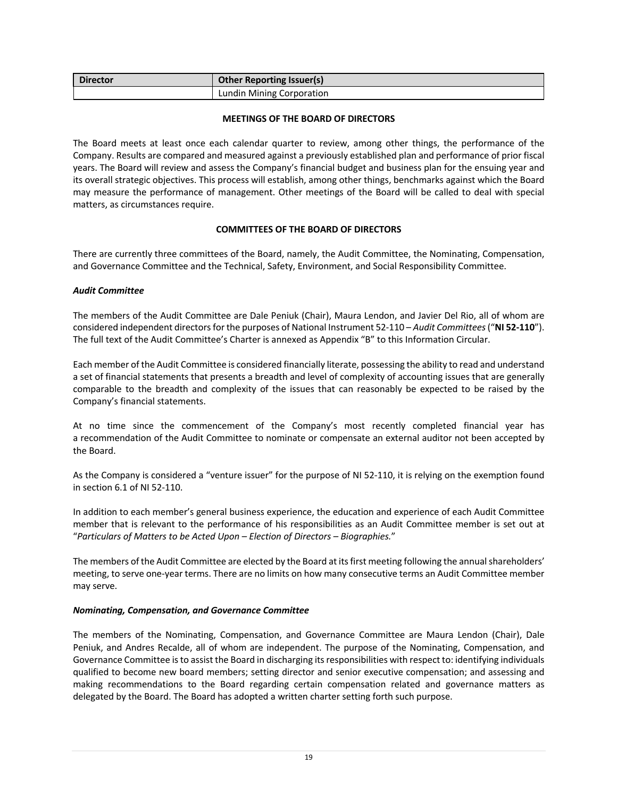| <b>Director</b> | <b>Other Reporting Issuer(s)</b> |
|-----------------|----------------------------------|
|                 | Lundin Mining Corporation        |

#### **MEETINGS OF THE BOARD OF DIRECTORS**

The Board meets at least once each calendar quarter to review, among other things, the performance of the Company. Results are compared and measured against a previously established plan and performance of prior fiscal years. The Board will review and assess the Company's financial budget and business plan for the ensuing year and its overall strategic objectives. This process will establish, among other things, benchmarks against which the Board may measure the performance of management. Other meetings of the Board will be called to deal with special matters, as circumstances require.

### **COMMITTEES OF THE BOARD OF DIRECTORS**

There are currently three committees of the Board, namely, the Audit Committee, the Nominating, Compensation, and Governance Committee and the Technical, Safety, Environment, and Social Responsibility Committee.

### *Audit Committee*

The members of the Audit Committee are Dale Peniuk (Chair), Maura Lendon, and Javier Del Rio, all of whom are considered independent directors for the purposes of National Instrument 52-110 – *Audit Committees* ("**NI 52-110**"). The full text of the Audit Committee's Charter is annexed as Appendix "B" to this Information Circular.

Each member of the Audit Committee is considered financially literate, possessing the ability to read and understand a set of financial statements that presents a breadth and level of complexity of accounting issues that are generally comparable to the breadth and complexity of the issues that can reasonably be expected to be raised by the Company's financial statements.

At no time since the commencement of the Company's most recently completed financial year has a recommendation of the Audit Committee to nominate or compensate an external auditor not been accepted by the Board.

As the Company is considered a "venture issuer" for the purpose of NI 52-110, it is relying on the exemption found in section 6.1 of NI 52-110.

In addition to each member's general business experience, the education and experience of each Audit Committee member that is relevant to the performance of his responsibilities as an Audit Committee member is set out at "*Particulars of Matters to be Acted Upon – Election of Directors – Biographies.*"

The members of the Audit Committee are elected by the Board at its first meeting following the annual shareholders' meeting, to serve one-year terms. There are no limits on how many consecutive terms an Audit Committee member may serve.

#### *Nominating, Compensation, and Governance Committee*

The members of the Nominating, Compensation, and Governance Committee are Maura Lendon (Chair), Dale Peniuk, and Andres Recalde, all of whom are independent. The purpose of the Nominating, Compensation, and Governance Committee is to assist the Board in discharging its responsibilities with respect to: identifying individuals qualified to become new board members; setting director and senior executive compensation; and assessing and making recommendations to the Board regarding certain compensation related and governance matters as delegated by the Board. The Board has adopted a written charter setting forth such purpose.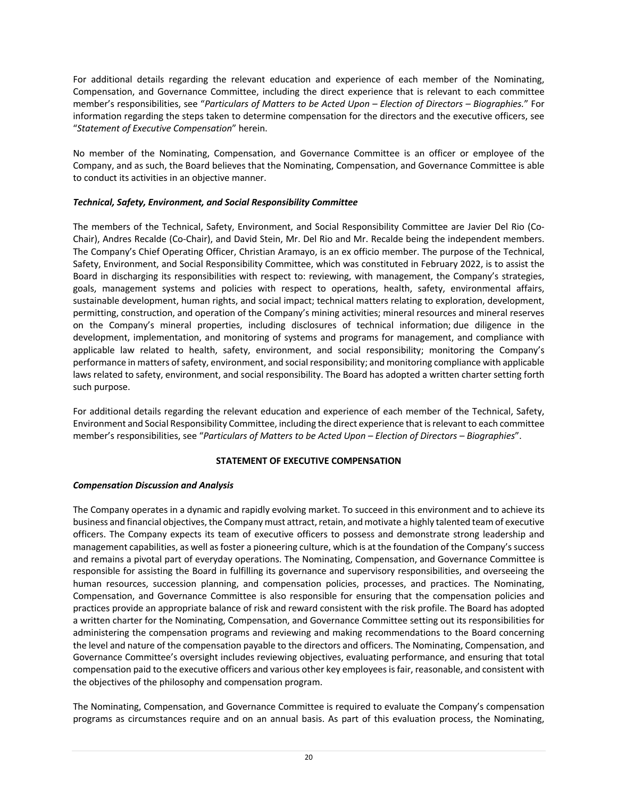For additional details regarding the relevant education and experience of each member of the Nominating, Compensation, and Governance Committee, including the direct experience that is relevant to each committee member's responsibilities, see "*Particulars of Matters to be Acted Upon – Election of Directors – Biographies.*" For information regarding the steps taken to determine compensation for the directors and the executive officers, see "*Statement of Executive Compensation*" herein.

No member of the Nominating, Compensation, and Governance Committee is an officer or employee of the Company, and as such, the Board believes that the Nominating, Compensation, and Governance Committee is able to conduct its activities in an objective manner.

## *Technical, Safety, Environment, and Social Responsibility Committee*

The members of the Technical, Safety, Environment, and Social Responsibility Committee are Javier Del Rio (Co-Chair), Andres Recalde (Co-Chair), and David Stein, Mr. Del Rio and Mr. Recalde being the independent members. The Company's Chief Operating Officer, Christian Aramayo, is an ex officio member. The purpose of the Technical, Safety, Environment, and Social Responsibility Committee, which was constituted in February 2022, is to assist the Board in discharging its responsibilities with respect to: reviewing, with management, the Company's strategies, goals, management systems and policies with respect to operations, health, safety, environmental affairs, sustainable development, human rights, and social impact; technical matters relating to exploration, development, permitting, construction, and operation of the Company's mining activities; mineral resources and mineral reserves on the Company's mineral properties, including disclosures of technical information; due diligence in the development, implementation, and monitoring of systems and programs for management, and compliance with applicable law related to health, safety, environment, and social responsibility; monitoring the Company's performance in matters of safety, environment, and social responsibility; and monitoring compliance with applicable laws related to safety, environment, and social responsibility. The Board has adopted a written charter setting forth such purpose.

For additional details regarding the relevant education and experience of each member of the Technical, Safety, Environment and Social Responsibility Committee, including the direct experience that is relevant to each committee member's responsibilities, see "*Particulars of Matters to be Acted Upon – Election of Directors – Biographies*".

## **STATEMENT OF EXECUTIVE COMPENSATION**

## *Compensation Discussion and Analysis*

The Company operates in a dynamic and rapidly evolving market. To succeed in this environment and to achieve its business and financial objectives, the Company must attract, retain, and motivate a highly talented team of executive officers. The Company expects its team of executive officers to possess and demonstrate strong leadership and management capabilities, as well as foster a pioneering culture, which is at the foundation of the Company's success and remains a pivotal part of everyday operations. The Nominating, Compensation, and Governance Committee is responsible for assisting the Board in fulfilling its governance and supervisory responsibilities, and overseeing the human resources, succession planning, and compensation policies, processes, and practices. The Nominating, Compensation, and Governance Committee is also responsible for ensuring that the compensation policies and practices provide an appropriate balance of risk and reward consistent with the risk profile. The Board has adopted a written charter for the Nominating, Compensation, and Governance Committee setting out its responsibilities for administering the compensation programs and reviewing and making recommendations to the Board concerning the level and nature of the compensation payable to the directors and officers. The Nominating, Compensation, and Governance Committee's oversight includes reviewing objectives, evaluating performance, and ensuring that total compensation paid to the executive officers and various other key employees is fair, reasonable, and consistent with the objectives of the philosophy and compensation program.

The Nominating, Compensation, and Governance Committee is required to evaluate the Company's compensation programs as circumstances require and on an annual basis. As part of this evaluation process, the Nominating,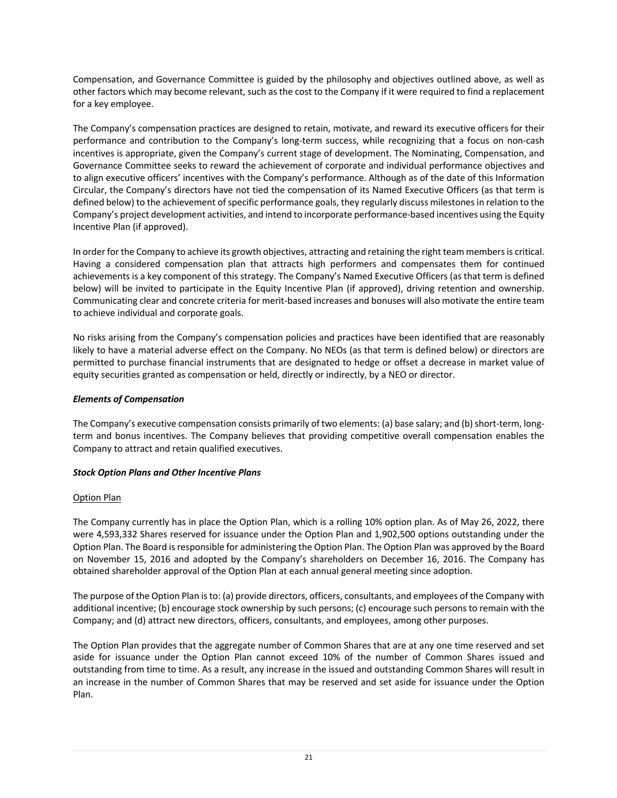Compensation, and Governance Committee is guided by the philosophy and objectives outlined above, as well as other factors which may become relevant, such as the cost to the Company if it were required to find a replacement for a key employee.

The Company's compensation practices are designed to retain, motivate, and reward its executive officers for their performance and contribution to the Company's long-term success, while recognizing that a focus on non-cash incentives is appropriate, given the Company's current stage of development. The Nominating, Compensation, and Governance Committee seeks to reward the achievement of corporate and individual performance objectives and to align executive officers' incentives with the Company's performance. Although as of the date of this Information Circular, the Company's directors have not tied the compensation of its Named Executive Officers (as that term is defined below) to the achievement of specific performance goals, they regularly discuss milestones in relation to the Company's project development activities, and intend to incorporate performance-based incentives using the Equity Incentive Plan (if approved).

In order for the Company to achieve its growth objectives, attracting and retaining the right team members is critical. Having a considered compensation plan that attracts high performers and compensates them for continued achievements is a key component of this strategy. The Company's Named Executive Officers (as that term is defined below) will be invited to participate in the Equity Incentive Plan (if approved), driving retention and ownership. Communicating clear and concrete criteria for merit-based increases and bonuses will also motivate the entire team to achieve individual and corporate goals.

No risks arising from the Company's compensation policies and practices have been identified that are reasonably likely to have a material adverse effect on the Company. No NEOs (as that term is defined below) or directors are permitted to purchase financial instruments that are designated to hedge or offset a decrease in market value of equity securities granted as compensation or held, directly or indirectly, by a NEO or director.

## *Elements of Compensation*

The Company's executive compensation consists primarily of two elements: (a) base salary; and (b) short-term, longterm and bonus incentives. The Company believes that providing competitive overall compensation enables the Company to attract and retain qualified executives.

## *Stock Option Plans and Other Incentive Plans*

## Option Plan

The Company currently has in place the Option Plan, which is a rolling 10% option plan. As of May 26, 2022, there were 4,593,332 Shares reserved for issuance under the Option Plan and 1,902,500 options outstanding under the Option Plan. The Board is responsible for administering the Option Plan. The Option Plan was approved by the Board on November 15, 2016 and adopted by the Company's shareholders on December 16, 2016. The Company has obtained shareholder approval of the Option Plan at each annual general meeting since adoption.

The purpose of the Option Plan is to: (a) provide directors, officers, consultants, and employees of the Company with additional incentive; (b) encourage stock ownership by such persons; (c) encourage such persons to remain with the Company; and (d) attract new directors, officers, consultants, and employees, among other purposes.

The Option Plan provides that the aggregate number of Common Shares that are at any one time reserved and set aside for issuance under the Option Plan cannot exceed 10% of the number of Common Shares issued and outstanding from time to time. As a result, any increase in the issued and outstanding Common Shares will result in an increase in the number of Common Shares that may be reserved and set aside for issuance under the Option Plan.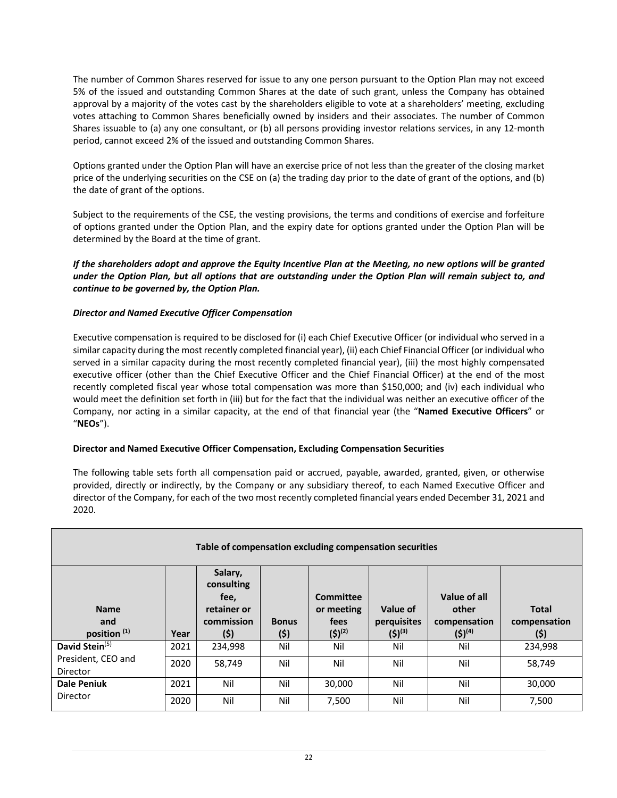The number of Common Shares reserved for issue to any one person pursuant to the Option Plan may not exceed 5% of the issued and outstanding Common Shares at the date of such grant, unless the Company has obtained approval by a majority of the votes cast by the shareholders eligible to vote at a shareholders' meeting, excluding votes attaching to Common Shares beneficially owned by insiders and their associates. The number of Common Shares issuable to (a) any one consultant, or (b) all persons providing investor relations services, in any 12-month period, cannot exceed 2% of the issued and outstanding Common Shares.

Options granted under the Option Plan will have an exercise price of not less than the greater of the closing market price of the underlying securities on the CSE on (a) the trading day prior to the date of grant of the options, and (b) the date of grant of the options.

Subject to the requirements of the CSE, the vesting provisions, the terms and conditions of exercise and forfeiture of options granted under the Option Plan, and the expiry date for options granted under the Option Plan will be determined by the Board at the time of grant.

*If the shareholders adopt and approve the Equity Incentive Plan at the Meeting, no new options will be granted under the Option Plan, but all options that are outstanding under the Option Plan will remain subject to, and continue to be governed by, the Option Plan.* 

## *Director and Named Executive Officer Compensation*

Executive compensation is required to be disclosed for (i) each Chief Executive Officer (or individual who served in a similar capacity during the most recently completed financial year), (ii) each Chief Financial Officer (or individual who served in a similar capacity during the most recently completed financial year), (iii) the most highly compensated executive officer (other than the Chief Executive Officer and the Chief Financial Officer) at the end of the most recently completed fiscal year whose total compensation was more than \$150,000; and (iv) each individual who would meet the definition set forth in (iii) but for the fact that the individual was neither an executive officer of the Company, nor acting in a similar capacity, at the end of that financial year (the "**Named Executive Officers**" or "**NEOs**").

# **Director and Named Executive Officer Compensation, Excluding Compensation Securities**

The following table sets forth all compensation paid or accrued, payable, awarded, granted, given, or otherwise provided, directly or indirectly, by the Company or any subsidiary thereof, to each Named Executive Officer and director of the Company, for each of the two most recently completed financial years ended December 31, 2021 and 2020.

| Table of compensation excluding compensation securities |      |                                                                    |                     |                                                |                                        |                                                      |                                      |
|---------------------------------------------------------|------|--------------------------------------------------------------------|---------------------|------------------------------------------------|----------------------------------------|------------------------------------------------------|--------------------------------------|
| <b>Name</b><br>and<br>position <sup>(1)</sup>           | Year | Salary,<br>consulting<br>fee,<br>retainer or<br>commission<br>(\$) | <b>Bonus</b><br>(5) | Committee<br>or meeting<br>fees<br>$(5)^{(2)}$ | Value of<br>perquisites<br>$(5)^{(3)}$ | Value of all<br>other<br>compensation<br>$(5)^{(4)}$ | <b>Total</b><br>compensation<br>(\$) |
| David Stein <sup>(5)</sup>                              | 2021 | 234,998                                                            | Nil                 | Nil                                            | Nil                                    | Nil                                                  | 234,998                              |
| President, CEO and<br>Director                          | 2020 | 58,749                                                             | Nil                 | Nil                                            | Nil                                    | Nil                                                  | 58,749                               |
| <b>Dale Peniuk</b>                                      | 2021 | Nil                                                                | Nil                 | 30,000                                         | Nil                                    | Nil                                                  | 30,000                               |
| Director                                                | 2020 | Nil                                                                | Nil                 | 7,500                                          | Nil                                    | Nil                                                  | 7,500                                |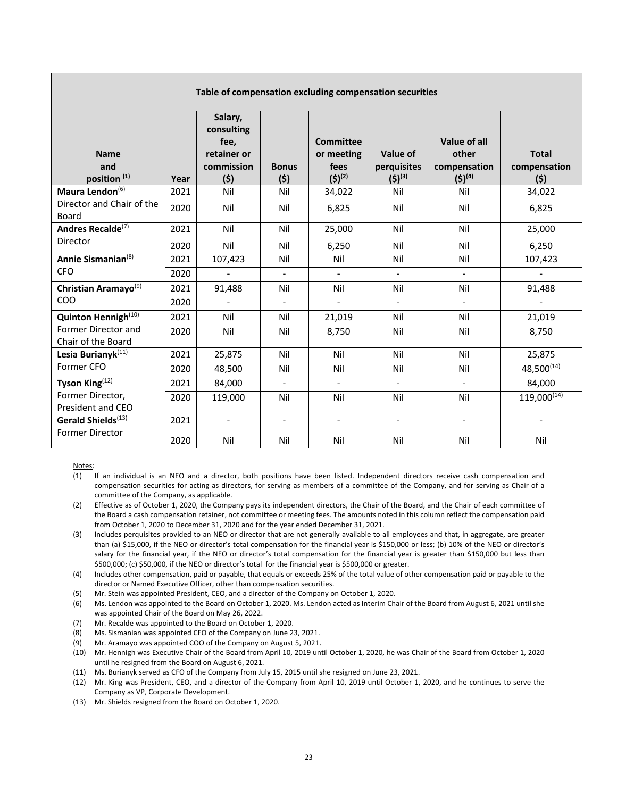| Table of compensation excluding compensation securities |      |                                                                   |                          |                                                       |                                        |                                                      |                                     |  |
|---------------------------------------------------------|------|-------------------------------------------------------------------|--------------------------|-------------------------------------------------------|----------------------------------------|------------------------------------------------------|-------------------------------------|--|
| <b>Name</b><br>and<br>position <sup>(1)</sup>           | Year | Salary,<br>consulting<br>fee,<br>retainer or<br>commission<br>(5) | <b>Bonus</b><br>(5)      | <b>Committee</b><br>or meeting<br>fees<br>$(5)^{(2)}$ | Value of<br>perquisites<br>$(5)^{(3)}$ | Value of all<br>other<br>compensation<br>$(5)^{(4)}$ | <b>Total</b><br>compensation<br>(5) |  |
| Maura Lendon <sup>(6)</sup>                             | 2021 | Nil                                                               | Nil                      | 34,022                                                | Nil                                    | Nil                                                  | 34,022                              |  |
| Director and Chair of the<br>Board                      | 2020 | Nil                                                               | Nil                      | 6,825                                                 | Nil                                    | Nil                                                  | 6,825                               |  |
| Andres Recalde <sup>(7)</sup>                           | 2021 | Nil                                                               | Nil                      | 25,000                                                | Nil                                    | Nil                                                  | 25,000                              |  |
| Director                                                | 2020 | Nil                                                               | Nil                      | 6,250                                                 | Nil                                    | Nil                                                  | 6,250                               |  |
| Annie Sismanian <sup>(8)</sup>                          | 2021 | 107,423                                                           | Nil                      | Nil                                                   | Nil                                    | Nil                                                  | 107,423                             |  |
| <b>CFO</b>                                              | 2020 | $\blacksquare$                                                    | $\blacksquare$           | $\overline{\phantom{a}}$                              | $\blacksquare$                         | $\blacksquare$                                       | $\overline{\phantom{0}}$            |  |
| Christian Aramayo <sup>(9)</sup>                        | 2021 | 91,488                                                            | Nil                      | Nil                                                   | Nil                                    | Nil                                                  | 91,488                              |  |
| <b>COO</b>                                              | 2020 | $\sim$                                                            | $\blacksquare$           | $\Box$                                                | $\overline{a}$                         | $\overline{\phantom{a}}$                             | $\overline{\phantom{0}}$            |  |
| Quinton Hennigh <sup>(10)</sup>                         | 2021 | Nil                                                               | Nil                      | 21,019                                                | Nil                                    | Nil                                                  | 21,019                              |  |
| Former Director and<br>Chair of the Board               | 2020 | Nil                                                               | Nil                      | 8,750                                                 | Nil                                    | Nil                                                  | 8,750                               |  |
| Lesia Burianyk <sup>(11)</sup>                          | 2021 | 25,875                                                            | Nil                      | Nil                                                   | Nil                                    | Nil                                                  | 25,875                              |  |
| Former CFO                                              | 2020 | 48,500                                                            | Nil                      | Nil                                                   | Nil                                    | Nil                                                  | 48,500(14)                          |  |
| Tyson King(12)                                          | 2021 | 84,000                                                            | $\overline{a}$           | $\Box$                                                | $\overline{a}$                         | $\overline{a}$                                       | 84,000                              |  |
| Former Director,<br>President and CEO                   | 2020 | 119,000                                                           | Nil                      | Nil                                                   | Nil                                    | Nil                                                  | $119,000^{(14)}$                    |  |
| Gerald Shields <sup>(13)</sup>                          | 2021 | $\blacksquare$                                                    | $\overline{\phantom{a}}$ | $\overline{\phantom{a}}$                              | $\overline{\phantom{a}}$               | $\overline{\phantom{a}}$                             |                                     |  |
| <b>Former Director</b>                                  | 2020 | Nil                                                               | Nil                      | Nil                                                   | Nil                                    | Nil                                                  | Nil                                 |  |

Notes:

- (1) If an individual is an NEO and a director, both positions have been listed. Independent directors receive cash compensation and compensation securities for acting as directors, for serving as members of a committee of the Company, and for serving as Chair of a committee of the Company, as applicable.
- (2) Effective as of October 1, 2020, the Company pays its independent directors, the Chair of the Board, and the Chair of each committee of the Board a cash compensation retainer, not committee or meeting fees. The amounts noted in this column reflect the compensation paid from October 1, 2020 to December 31, 2020 and for the year ended December 31, 2021.
- (3) Includes perquisites provided to an NEO or director that are not generally available to all employees and that, in aggregate, are greater than (a) \$15,000, if the NEO or director's total compensation for the financial year is \$150,000 or less; (b) 10% of the NEO or director's salary for the financial year, if the NEO or director's total compensation for the financial year is greater than \$150,000 but less than \$500,000; (c) \$50,000, if the NEO or director's total for the financial year is \$500,000 or greater.
- (4) Includes other compensation, paid or payable, that equals or exceeds 25% of the total value of other compensation paid or payable to the director or Named Executive Officer, other than compensation securities.
- (5) Mr. Stein was appointed President, CEO, and a director of the Company on October 1, 2020.
- (6) Ms. Lendon was appointed to the Board on October 1, 2020. Ms. Lendon acted as Interim Chair of the Board from August 6, 2021 until she was appointed Chair of the Board on May 26, 2022.
- (7) Mr. Recalde was appointed to the Board on October 1, 2020.
- (8) Ms. Sismanian was appointed CFO of the Company on June 23, 2021.
- (9) Mr. Aramayo was appointed COO of the Company on August 5, 2021.
- (10) Mr. Hennigh was Executive Chair of the Board from April 10, 2019 until October 1, 2020, he was Chair of the Board from October 1, 2020 until he resigned from the Board on August 6, 2021.
- (11) Ms. Burianyk served as CFO of the Company from July 15, 2015 until she resigned on June 23, 2021.
- (12) Mr. King was President, CEO, and a director of the Company from April 10, 2019 until October 1, 2020, and he continues to serve the Company as VP, Corporate Development.
- (13) Mr. Shields resigned from the Board on October 1, 2020.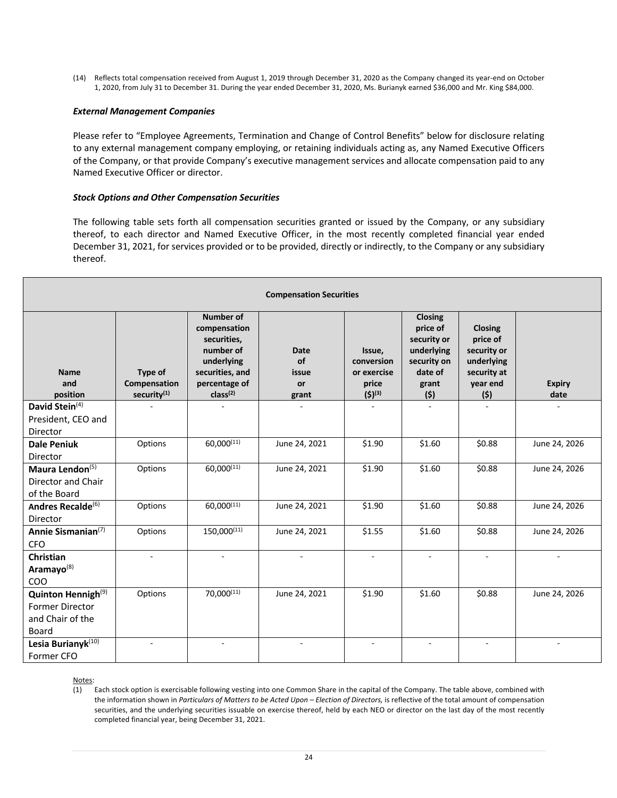(14) Reflects total compensation received from August 1, 2019 through December 31, 2020 as the Company changed its year-end on October 1, 2020, from July 31 to December 31. During the year ended December 31, 2020, Ms. Burianyk earned \$36,000 and Mr. King \$84,000.

#### *External Management Companies*

Please refer to "Employee Agreements, Termination and Change of Control Benefits" below for disclosure relating to any external management company employing, or retaining individuals acting as, any Named Executive Officers of the Company, or that provide Company's executive management services and allocate compensation paid to any Named Executive Officer or director.

#### *Stock Options and Other Compensation Securities*

The following table sets forth all compensation securities granted or issued by the Company, or any subsidiary thereof, to each director and Named Executive Officer, in the most recently completed financial year ended December 31, 2021, for services provided or to be provided, directly or indirectly, to the Company or any subsidiary thereof.

| <b>Compensation Securities</b>                                                        |                                                    |                                                                                                                                 |                                           |                                                             |                                                                                                   |                                                                                    |                       |  |
|---------------------------------------------------------------------------------------|----------------------------------------------------|---------------------------------------------------------------------------------------------------------------------------------|-------------------------------------------|-------------------------------------------------------------|---------------------------------------------------------------------------------------------------|------------------------------------------------------------------------------------|-----------------------|--|
| <b>Name</b><br>and<br>position                                                        | Type of<br>Compensation<br>security <sup>(1)</sup> | Number of<br>compensation<br>securities,<br>number of<br>underlying<br>securities, and<br>percentage of<br>class <sup>(2)</sup> | <b>Date</b><br>of<br>issue<br>or<br>grant | Issue,<br>conversion<br>or exercise<br>price<br>$(5)^{(3)}$ | <b>Closing</b><br>price of<br>security or<br>underlying<br>security on<br>date of<br>grant<br>(5) | Closing<br>price of<br>security or<br>underlying<br>security at<br>year end<br>(5) | <b>Expiry</b><br>date |  |
| David Stein <sup>(4)</sup>                                                            |                                                    |                                                                                                                                 |                                           |                                                             |                                                                                                   |                                                                                    |                       |  |
| President, CEO and                                                                    |                                                    |                                                                                                                                 |                                           |                                                             |                                                                                                   |                                                                                    |                       |  |
| Director                                                                              |                                                    |                                                                                                                                 |                                           |                                                             |                                                                                                   |                                                                                    |                       |  |
| <b>Dale Peniuk</b><br>Director                                                        | Options                                            | 60,000(11)                                                                                                                      | June 24, 2021                             | \$1.90                                                      | \$1.60                                                                                            | \$0.88                                                                             | June 24, 2026         |  |
| Maura Lendon <sup>(5)</sup><br>Director and Chair<br>of the Board                     | Options                                            | 60,000(11)                                                                                                                      | June 24, 2021                             | \$1.90                                                      | \$1.60                                                                                            | \$0.88                                                                             | June 24, 2026         |  |
| Andres Recalde <sup>(6)</sup><br>Director                                             | Options                                            | 60,000(11)                                                                                                                      | June 24, 2021                             | \$1.90                                                      | \$1.60                                                                                            | \$0.88                                                                             | June 24, 2026         |  |
| Annie Sismanian <sup>(7)</sup><br><b>CFO</b>                                          | Options                                            | 150,000(11)                                                                                                                     | June 24, 2021                             | \$1.55                                                      | \$1.60                                                                                            | \$0.88                                                                             | June 24, 2026         |  |
| <b>Christian</b><br>Aramayo <sup>(8)</sup><br>COO                                     |                                                    |                                                                                                                                 |                                           |                                                             |                                                                                                   |                                                                                    |                       |  |
| Quinton Hennigh <sup>(9)</sup><br><b>Former Director</b><br>and Chair of the<br>Board | Options                                            | 70,000(11)                                                                                                                      | June 24, 2021                             | \$1.90                                                      | \$1.60                                                                                            | \$0.88                                                                             | June 24, 2026         |  |
| Lesia Burianyk(10)<br>Former CFO                                                      |                                                    |                                                                                                                                 |                                           |                                                             |                                                                                                   |                                                                                    |                       |  |

Notes:

(1) Each stock option is exercisable following vesting into one Common Share in the capital of the Company. The table above, combined with the information shown in *Particulars of Matters to be Acted Upon – Election of Directors,* is reflective of the total amount of compensation securities, and the underlying securities issuable on exercise thereof, held by each NEO or director on the last day of the most recently completed financial year, being December 31, 2021.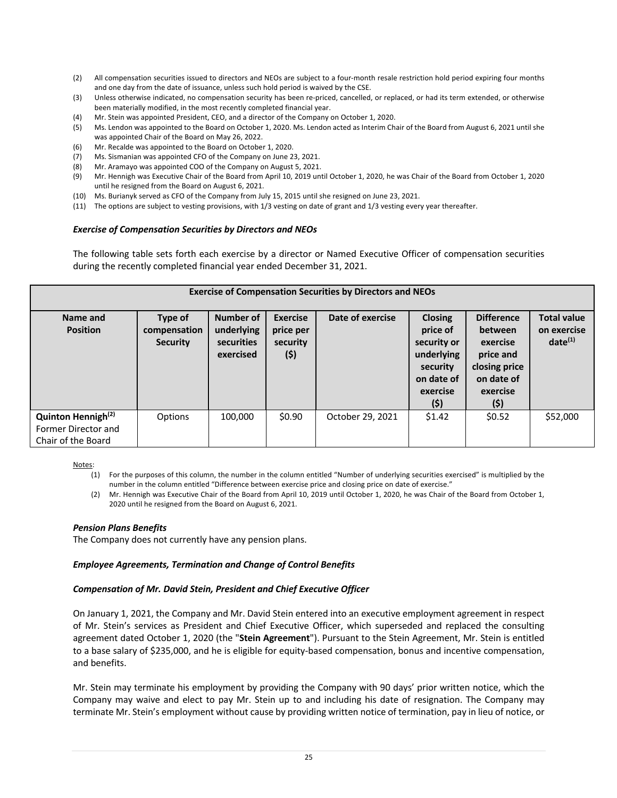- (2) All compensation securities issued to directors and NEOs are subject to a four-month resale restriction hold period expiring four months and one day from the date of issuance, unless such hold period is waived by the CSE.
- (3) Unless otherwise indicated, no compensation security has been re-priced, cancelled, or replaced, or had its term extended, or otherwise been materially modified, in the most recently completed financial year.
- (4) Mr. Stein was appointed President, CEO, and a director of the Company on October 1, 2020.
- (5) Ms. Lendon was appointed to the Board on October 1, 2020. Ms. Lendon acted as Interim Chair of the Board from August 6, 2021 until she was appointed Chair of the Board on May 26, 2022.
- (6) Mr. Recalde was appointed to the Board on October 1, 2020.
- (7) Ms. Sismanian was appointed CFO of the Company on June 23, 2021.
- (8) Mr. Aramayo was appointed COO of the Company on August 5, 2021.
- (9) Mr. Hennigh was Executive Chair of the Board from April 10, 2019 until October 1, 2020, he was Chair of the Board from October 1, 2020 until he resigned from the Board on August 6, 2021.
- (10) Ms. Burianyk served as CFO of the Company from July 15, 2015 until she resigned on June 23, 2021.
- (11) The options are subject to vesting provisions, with 1/3 vesting on date of grant and 1/3 vesting every year thereafter.

#### *Exercise of Compensation Securities by Directors and NEOs*

The following table sets forth each exercise by a director or Named Executive Officer of compensation securities during the recently completed financial year ended December 31, 2021.

| <b>Exercise of Compensation Securities by Directors and NEOs</b>            |                                            |                                                           |                                                  |                  |                                                                                                      |                                                                                                          |                                                   |
|-----------------------------------------------------------------------------|--------------------------------------------|-----------------------------------------------------------|--------------------------------------------------|------------------|------------------------------------------------------------------------------------------------------|----------------------------------------------------------------------------------------------------------|---------------------------------------------------|
| Name and<br><b>Position</b>                                                 | Type of<br>compensation<br><b>Security</b> | <b>Number of</b><br>underlying<br>securities<br>exercised | <b>Exercise</b><br>price per<br>security<br>(\$) | Date of exercise | <b>Closing</b><br>price of<br>security or<br>underlying<br>security<br>on date of<br>exercise<br>(5) | <b>Difference</b><br>between<br>exercise<br>price and<br>closing price<br>on date of<br>exercise<br>(\$) | <b>Total value</b><br>on exercise<br>$date^{(1)}$ |
| Quinton Hennigh <sup>(2)</sup><br>Former Director and<br>Chair of the Board | Options                                    | 100.000                                                   | \$0.90                                           | October 29, 2021 | \$1.42                                                                                               | \$0.52                                                                                                   | \$52,000                                          |

Notes:

(1) For the purposes of this column, the number in the column entitled "Number of underlying securities exercised" is multiplied by the number in the column entitled "Difference between exercise price and closing price on date of exercise."

(2) Mr. Hennigh was Executive Chair of the Board from April 10, 2019 until October 1, 2020, he was Chair of the Board from October 1, 2020 until he resigned from the Board on August 6, 2021.

#### *Pension Plans Benefits*

The Company does not currently have any pension plans.

#### *Employee Agreements, Termination and Change of Control Benefits*

#### *Compensation of Mr. David Stein, President and Chief Executive Officer*

On January 1, 2021, the Company and Mr. David Stein entered into an executive employment agreement in respect of Mr. Stein's services as President and Chief Executive Officer, which superseded and replaced the consulting agreement dated October 1, 2020 (the "**Stein Agreement**"). Pursuant to the Stein Agreement, Mr. Stein is entitled to a base salary of \$235,000, and he is eligible for equity-based compensation, bonus and incentive compensation, and benefits.

Mr. Stein may terminate his employment by providing the Company with 90 days' prior written notice, which the Company may waive and elect to pay Mr. Stein up to and including his date of resignation. The Company may terminate Mr. Stein's employment without cause by providing written notice of termination, pay in lieu of notice, or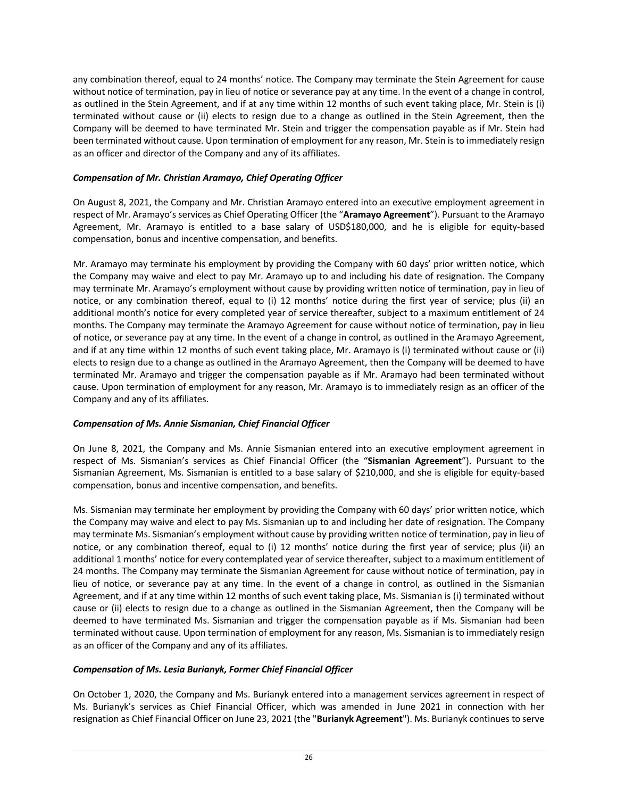any combination thereof, equal to 24 months' notice. The Company may terminate the Stein Agreement for cause without notice of termination, pay in lieu of notice or severance pay at any time. In the event of a change in control, as outlined in the Stein Agreement, and if at any time within 12 months of such event taking place, Mr. Stein is (i) terminated without cause or (ii) elects to resign due to a change as outlined in the Stein Agreement, then the Company will be deemed to have terminated Mr. Stein and trigger the compensation payable as if Mr. Stein had been terminated without cause. Upon termination of employment for any reason, Mr. Stein is to immediately resign as an officer and director of the Company and any of its affiliates.

## *Compensation of Mr. Christian Aramayo, Chief Operating Officer*

On August 8, 2021, the Company and Mr. Christian Aramayo entered into an executive employment agreement in respect of Mr. Aramayo's services as Chief Operating Officer (the "**Aramayo Agreement**"). Pursuant to the Aramayo Agreement, Mr. Aramayo is entitled to a base salary of USD\$180,000, and he is eligible for equity-based compensation, bonus and incentive compensation, and benefits.

Mr. Aramayo may terminate his employment by providing the Company with 60 days' prior written notice, which the Company may waive and elect to pay Mr. Aramayo up to and including his date of resignation. The Company may terminate Mr. Aramayo's employment without cause by providing written notice of termination, pay in lieu of notice, or any combination thereof, equal to (i) 12 months' notice during the first year of service; plus (ii) an additional month's notice for every completed year of service thereafter, subject to a maximum entitlement of 24 months. The Company may terminate the Aramayo Agreement for cause without notice of termination, pay in lieu of notice, or severance pay at any time. In the event of a change in control, as outlined in the Aramayo Agreement, and if at any time within 12 months of such event taking place, Mr. Aramayo is (i) terminated without cause or (ii) elects to resign due to a change as outlined in the Aramayo Agreement, then the Company will be deemed to have terminated Mr. Aramayo and trigger the compensation payable as if Mr. Aramayo had been terminated without cause. Upon termination of employment for any reason, Mr. Aramayo is to immediately resign as an officer of the Company and any of its affiliates.

## *Compensation of Ms. Annie Sismanian, Chief Financial Officer*

On June 8, 2021, the Company and Ms. Annie Sismanian entered into an executive employment agreement in respect of Ms. Sismanian's services as Chief Financial Officer (the "**Sismanian Agreement**"). Pursuant to the Sismanian Agreement, Ms. Sismanian is entitled to a base salary of \$210,000, and she is eligible for equity-based compensation, bonus and incentive compensation, and benefits.

Ms. Sismanian may terminate her employment by providing the Company with 60 days' prior written notice, which the Company may waive and elect to pay Ms. Sismanian up to and including her date of resignation. The Company may terminate Ms. Sismanian's employment without cause by providing written notice of termination, pay in lieu of notice, or any combination thereof, equal to (i) 12 months' notice during the first year of service; plus (ii) an additional 1 months' notice for every contemplated year of service thereafter, subject to a maximum entitlement of 24 months. The Company may terminate the Sismanian Agreement for cause without notice of termination, pay in lieu of notice, or severance pay at any time. In the event of a change in control, as outlined in the Sismanian Agreement, and if at any time within 12 months of such event taking place, Ms. Sismanian is (i) terminated without cause or (ii) elects to resign due to a change as outlined in the Sismanian Agreement, then the Company will be deemed to have terminated Ms. Sismanian and trigger the compensation payable as if Ms. Sismanian had been terminated without cause. Upon termination of employment for any reason, Ms. Sismanian is to immediately resign as an officer of the Company and any of its affiliates.

## *Compensation of Ms. Lesia Burianyk, Former Chief Financial Officer*

On October 1, 2020, the Company and Ms. Burianyk entered into a management services agreement in respect of Ms. Burianyk's services as Chief Financial Officer, which was amended in June 2021 in connection with her resignation as Chief Financial Officer on June 23, 2021 (the "**Burianyk Agreement**"). Ms. Burianyk continues to serve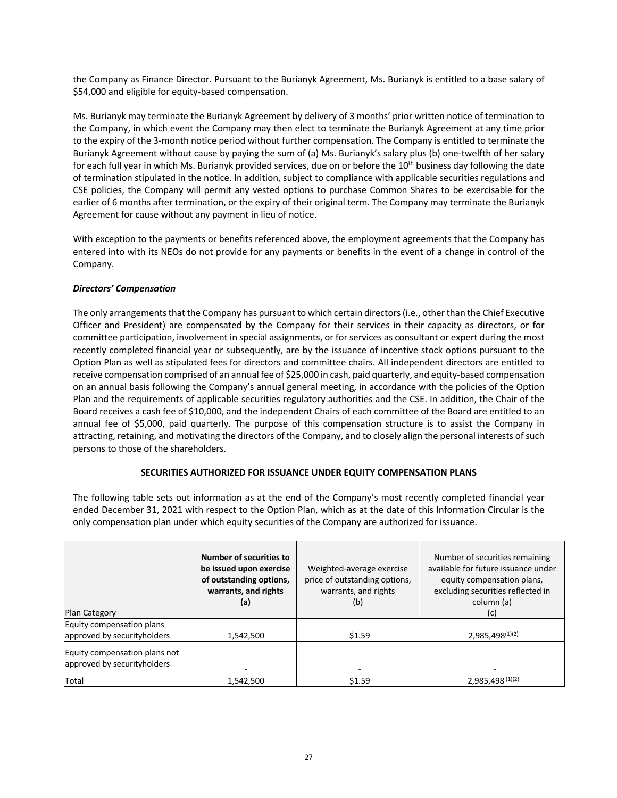the Company as Finance Director. Pursuant to the Burianyk Agreement, Ms. Burianyk is entitled to a base salary of \$54,000 and eligible for equity-based compensation.

Ms. Burianyk may terminate the Burianyk Agreement by delivery of 3 months' prior written notice of termination to the Company, in which event the Company may then elect to terminate the Burianyk Agreement at any time prior to the expiry of the 3-month notice period without further compensation. The Company is entitled to terminate the Burianyk Agreement without cause by paying the sum of (a) Ms. Burianyk's salary plus (b) one-twelfth of her salary for each full year in which Ms. Burianyk provided services, due on or before the  $10^{th}$  business day following the date of termination stipulated in the notice. In addition, subject to compliance with applicable securities regulations and CSE policies, the Company will permit any vested options to purchase Common Shares to be exercisable for the earlier of 6 months after termination, or the expiry of their original term. The Company may terminate the Burianyk Agreement for cause without any payment in lieu of notice.

With exception to the payments or benefits referenced above, the employment agreements that the Company has entered into with its NEOs do not provide for any payments or benefits in the event of a change in control of the Company.

## *Directors' Compensation*

The only arrangements that the Company has pursuant to which certain directors (i.e., other than the Chief Executive Officer and President) are compensated by the Company for their services in their capacity as directors, or for committee participation, involvement in special assignments, or for services as consultant or expert during the most recently completed financial year or subsequently, are by the issuance of incentive stock options pursuant to the Option Plan as well as stipulated fees for directors and committee chairs. All independent directors are entitled to receive compensation comprised of an annual fee of \$25,000 in cash, paid quarterly, and equity-based compensation on an annual basis following the Company's annual general meeting, in accordance with the policies of the Option Plan and the requirements of applicable securities regulatory authorities and the CSE. In addition, the Chair of the Board receives a cash fee of \$10,000, and the independent Chairs of each committee of the Board are entitled to an annual fee of \$5,000, paid quarterly. The purpose of this compensation structure is to assist the Company in attracting, retaining, and motivating the directors of the Company, and to closely align the personal interests of such persons to those of the shareholders.

## **SECURITIES AUTHORIZED FOR ISSUANCE UNDER EQUITY COMPENSATION PLANS**

The following table sets out information as at the end of the Company's most recently completed financial year ended December 31, 2021 with respect to the Option Plan, which as at the date of this Information Circular is the only compensation plan under which equity securities of the Company are authorized for issuance.

| Plan Category                                                | Number of securities to<br>be issued upon exercise<br>of outstanding options,<br>warrants, and rights<br>(a) | Weighted-average exercise<br>price of outstanding options,<br>warrants, and rights<br>(b) | Number of securities remaining<br>available for future issuance under<br>equity compensation plans,<br>excluding securities reflected in<br>column (a)<br>(c) |
|--------------------------------------------------------------|--------------------------------------------------------------------------------------------------------------|-------------------------------------------------------------------------------------------|---------------------------------------------------------------------------------------------------------------------------------------------------------------|
| Equity compensation plans<br>approved by securityholders     | 1,542,500                                                                                                    | \$1.59                                                                                    | 2,985,498(1)(2)                                                                                                                                               |
| Equity compensation plans not<br>approved by securityholders |                                                                                                              |                                                                                           |                                                                                                                                                               |
| Total                                                        | 1,542,500                                                                                                    | \$1.59                                                                                    | 2,985,498 (1)(2)                                                                                                                                              |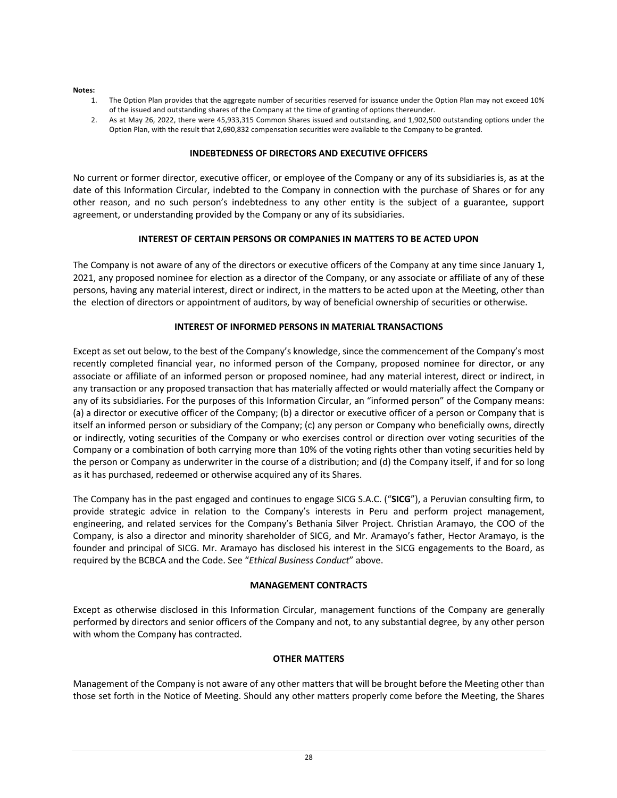#### **Notes:**

- 1. The Option Plan provides that the aggregate number of securities reserved for issuance under the Option Plan may not exceed 10% of the issued and outstanding shares of the Company at the time of granting of options thereunder.
- 2. As at May 26, 2022, there were 45,933,315 Common Shares issued and outstanding, and 1,902,500 outstanding options under the Option Plan, with the result that 2,690,832 compensation securities were available to the Company to be granted.

#### **INDEBTEDNESS OF DIRECTORS AND EXECUTIVE OFFICERS**

No current or former director, executive officer, or employee of the Company or any of its subsidiaries is, as at the date of this Information Circular, indebted to the Company in connection with the purchase of Shares or for any other reason, and no such person's indebtedness to any other entity is the subject of a guarantee, support agreement, or understanding provided by the Company or any of its subsidiaries.

#### **INTEREST OF CERTAIN PERSONS OR COMPANIES IN MATTERS TO BE ACTED UPON**

The Company is not aware of any of the directors or executive officers of the Company at any time since January 1, 2021, any proposed nominee for election as a director of the Company, or any associate or affiliate of any of these persons, having any material interest, direct or indirect, in the matters to be acted upon at the Meeting, other than the election of directors or appointment of auditors, by way of beneficial ownership of securities or otherwise.

#### **INTEREST OF INFORMED PERSONS IN MATERIAL TRANSACTIONS**

Except as set out below, to the best of the Company's knowledge, since the commencement of the Company's most recently completed financial year, no informed person of the Company, proposed nominee for director, or any associate or affiliate of an informed person or proposed nominee, had any material interest, direct or indirect, in any transaction or any proposed transaction that has materially affected or would materially affect the Company or any of its subsidiaries. For the purposes of this Information Circular, an "informed person" of the Company means: (a) a director or executive officer of the Company; (b) a director or executive officer of a person or Company that is itself an informed person or subsidiary of the Company; (c) any person or Company who beneficially owns, directly or indirectly, voting securities of the Company or who exercises control or direction over voting securities of the Company or a combination of both carrying more than 10% of the voting rights other than voting securities held by the person or Company as underwriter in the course of a distribution; and (d) the Company itself, if and for so long as it has purchased, redeemed or otherwise acquired any of its Shares.

The Company has in the past engaged and continues to engage SICG S.A.C. ("**SICG**"), a Peruvian consulting firm, to provide strategic advice in relation to the Company's interests in Peru and perform project management, engineering, and related services for the Company's Bethania Silver Project. Christian Aramayo, the COO of the Company, is also a director and minority shareholder of SICG, and Mr. Aramayo's father, Hector Aramayo, is the founder and principal of SICG. Mr. Aramayo has disclosed his interest in the SICG engagements to the Board, as required by the BCBCA and the Code. See "*Ethical Business Conduct*" above.

#### **MANAGEMENT CONTRACTS**

Except as otherwise disclosed in this Information Circular, management functions of the Company are generally performed by directors and senior officers of the Company and not, to any substantial degree, by any other person with whom the Company has contracted.

#### **OTHER MATTERS**

Management of the Company is not aware of any other matters that will be brought before the Meeting other than those set forth in the Notice of Meeting. Should any other matters properly come before the Meeting, the Shares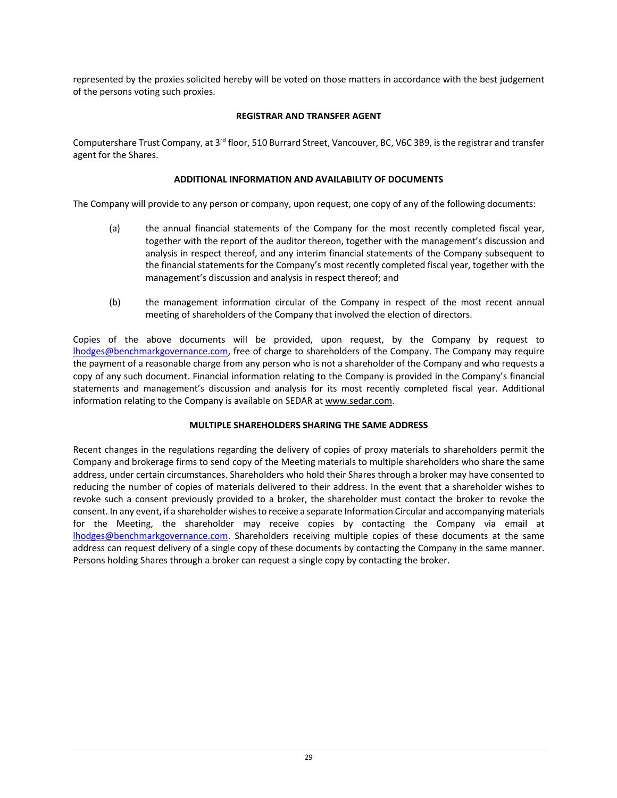represented by the proxies solicited hereby will be voted on those matters in accordance with the best judgement of the persons voting such proxies.

## **REGISTRAR AND TRANSFER AGENT**

Computershare Trust Company, at 3rd floor, 510 Burrard Street, Vancouver, BC, V6C 3B9, is the registrar and transfer agent for the Shares.

## **ADDITIONAL INFORMATION AND AVAILABILITY OF DOCUMENTS**

The Company will provide to any person or company, upon request, one copy of any of the following documents:

- (a) the annual financial statements of the Company for the most recently completed fiscal year, together with the report of the auditor thereon, together with the management's discussion and analysis in respect thereof, and any interim financial statements of the Company subsequent to the financial statements for the Company's most recently completed fiscal year, together with the management's discussion and analysis in respect thereof; and
- (b) the management information circular of the Company in respect of the most recent annual meeting of shareholders of the Company that involved the election of directors.

Copies of the above documents will be provided, upon request, by the Company by request to lhodges@benchmarkgovernance.com, free of charge to shareholders of the Company. The Company may require the payment of a reasonable charge from any person who is not a shareholder of the Company and who requests a copy of any such document. Financial information relating to the Company is provided in the Company's financial statements and management's discussion and analysis for its most recently completed fiscal year. Additional information relating to the Company is available on SEDAR at www.sedar.com.

## **MULTIPLE SHAREHOLDERS SHARING THE SAME ADDRESS**

Recent changes in the regulations regarding the delivery of copies of proxy materials to shareholders permit the Company and brokerage firms to send copy of the Meeting materials to multiple shareholders who share the same address, under certain circumstances. Shareholders who hold their Shares through a broker may have consented to reducing the number of copies of materials delivered to their address. In the event that a shareholder wishes to revoke such a consent previously provided to a broker, the shareholder must contact the broker to revoke the consent. In any event, if a shareholder wishes to receive a separate Information Circular and accompanying materials for the Meeting, the shareholder may receive copies by contacting the Company via email at lhodges@benchmarkgovernance.com. Shareholders receiving multiple copies of these documents at the same address can request delivery of a single copy of these documents by contacting the Company in the same manner. Persons holding Shares through a broker can request a single copy by contacting the broker.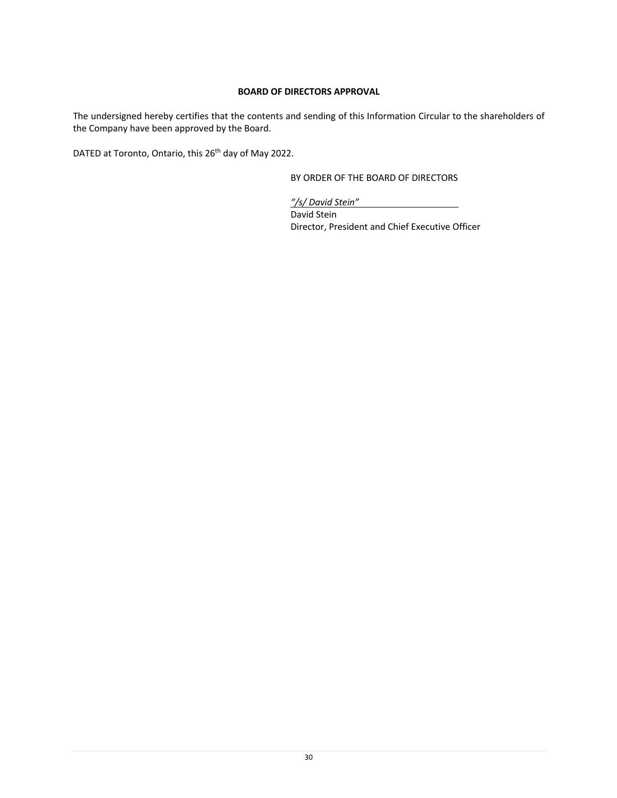## **BOARD OF DIRECTORS APPROVAL**

The undersigned hereby certifies that the contents and sending of this Information Circular to the shareholders of the Company have been approved by the Board.

DATED at Toronto, Ontario, this 26<sup>th</sup> day of May 2022.

BY ORDER OF THE BOARD OF DIRECTORS

*"/s/ David Stein"* David Stein Director, President and Chief Executive Officer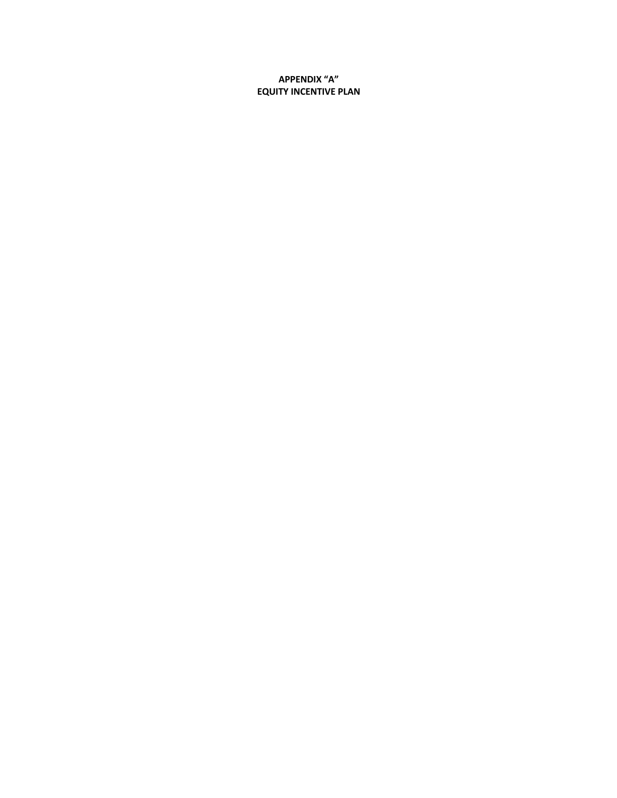**APPENDIX "A" EQUITY INCENTIVE PLAN**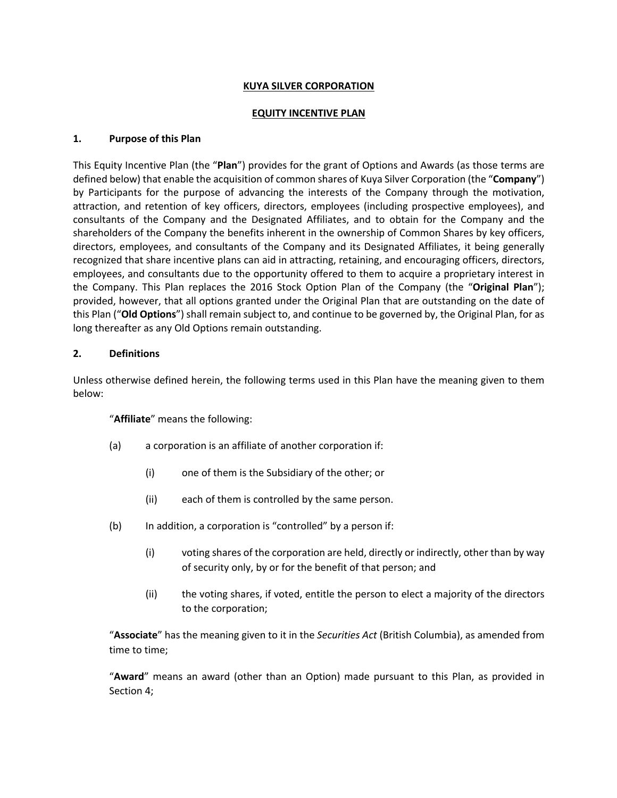### **KUYA SILVER CORPORATION**

### **EQUITY INCENTIVE PLAN**

### **1. Purpose of this Plan**

This Equity Incentive Plan (the "**Plan**") provides for the grant of Options and Awards (as those terms are defined below) that enable the acquisition of common shares of Kuya Silver Corporation (the "**Company**") by Participants for the purpose of advancing the interests of the Company through the motivation, attraction, and retention of key officers, directors, employees (including prospective employees), and consultants of the Company and the Designated Affiliates, and to obtain for the Company and the shareholders of the Company the benefits inherent in the ownership of Common Shares by key officers, directors, employees, and consultants of the Company and its Designated Affiliates, it being generally recognized that share incentive plans can aid in attracting, retaining, and encouraging officers, directors, employees, and consultants due to the opportunity offered to them to acquire a proprietary interest in the Company. This Plan replaces the 2016 Stock Option Plan of the Company (the "**Original Plan**"); provided, however, that all options granted under the Original Plan that are outstanding on the date of this Plan ("**Old Options**") shall remain subject to, and continue to be governed by, the Original Plan, for as long thereafter as any Old Options remain outstanding.

### **2. Definitions**

Unless otherwise defined herein, the following terms used in this Plan have the meaning given to them below:

"**Affiliate**" means the following:

- (a) a corporation is an affiliate of another corporation if:
	- (i) one of them is the Subsidiary of the other; or
	- (ii) each of them is controlled by the same person.
- (b) In addition, a corporation is "controlled" by a person if:
	- (i) voting shares of the corporation are held, directly or indirectly, other than by way of security only, by or for the benefit of that person; and
	- (ii) the voting shares, if voted, entitle the person to elect a majority of the directors to the corporation;

"**Associate**" has the meaning given to it in the *Securities Act* (British Columbia), as amended from time to time;

"**Award**" means an award (other than an Option) made pursuant to this Plan, as provided in Section 4;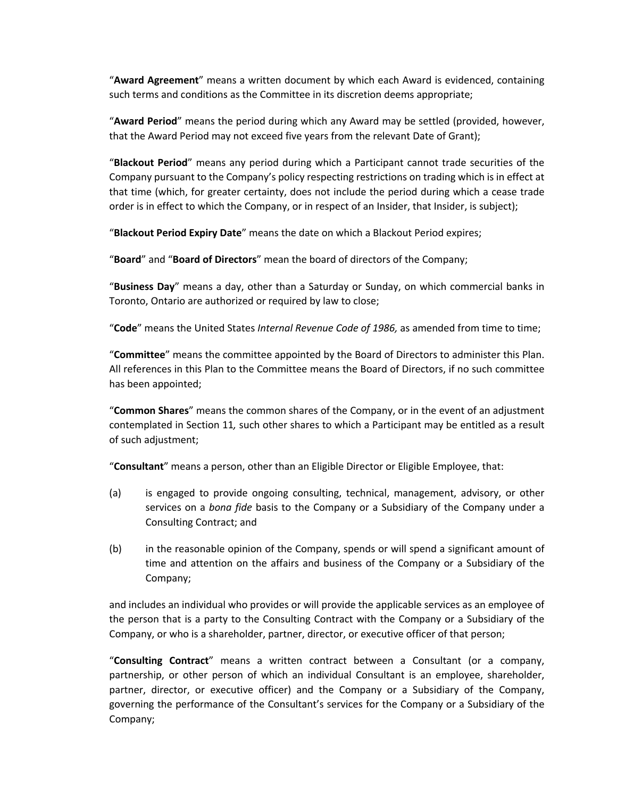"**Award Agreement**" means a written document by which each Award is evidenced, containing such terms and conditions as the Committee in its discretion deems appropriate;

"**Award Period**" means the period during which any Award may be settled (provided, however, that the Award Period may not exceed five years from the relevant Date of Grant);

"**Blackout Period**" means any period during which a Participant cannot trade securities of the Company pursuant to the Company's policy respecting restrictions on trading which is in effect at that time (which, for greater certainty, does not include the period during which a cease trade order is in effect to which the Company, or in respect of an Insider, that Insider, is subject);

"**Blackout Period Expiry Date**" means the date on which a Blackout Period expires;

"**Board**" and "**Board of Directors**" mean the board of directors of the Company;

"**Business Day**" means a day, other than a Saturday or Sunday, on which commercial banks in Toronto, Ontario are authorized or required by law to close;

"**Code**" means the United States *Internal Revenue Code of 1986,* as amended from time to time;

"**Committee**" means the committee appointed by the Board of Directors to administer this Plan. All references in this Plan to the Committee means the Board of Directors, if no such committee has been appointed;

"**Common Shares**" means the common shares of the Company, or in the event of an adjustment contemplated in Section 11*,* such other shares to which a Participant may be entitled as a result of such adjustment;

"**Consultant**" means a person, other than an Eligible Director or Eligible Employee, that:

- (a) is engaged to provide ongoing consulting, technical, management, advisory, or other services on a *bona fide* basis to the Company or a Subsidiary of the Company under a Consulting Contract; and
- (b) in the reasonable opinion of the Company, spends or will spend a significant amount of time and attention on the affairs and business of the Company or a Subsidiary of the Company;

and includes an individual who provides or will provide the applicable services as an employee of the person that is a party to the Consulting Contract with the Company or a Subsidiary of the Company, or who is a shareholder, partner, director, or executive officer of that person;

"**Consulting Contract**" means a written contract between a Consultant (or a company, partnership, or other person of which an individual Consultant is an employee, shareholder, partner, director, or executive officer) and the Company or a Subsidiary of the Company, governing the performance of the Consultant's services for the Company or a Subsidiary of the Company;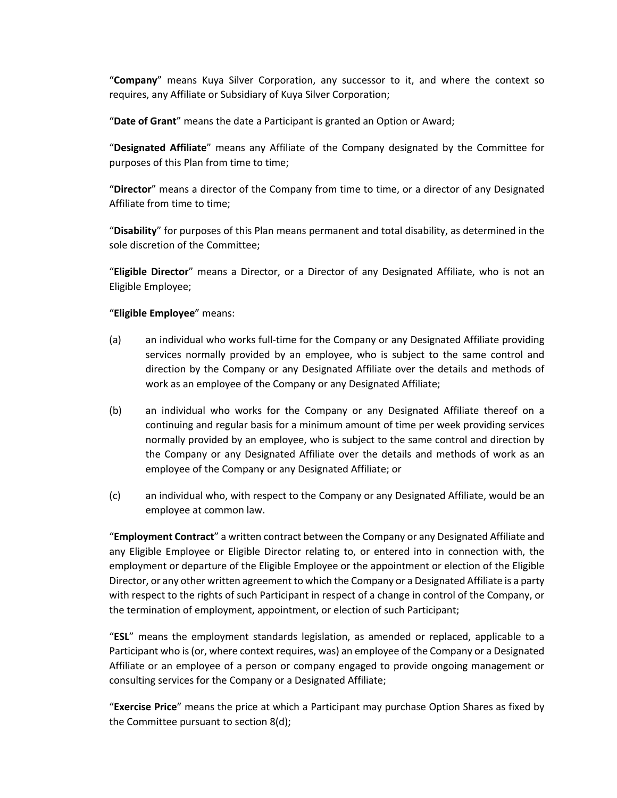"**Company**" means Kuya Silver Corporation, any successor to it, and where the context so requires, any Affiliate or Subsidiary of Kuya Silver Corporation;

"**Date of Grant**" means the date a Participant is granted an Option or Award;

"**Designated Affiliate**" means any Affiliate of the Company designated by the Committee for purposes of this Plan from time to time;

"**Director**" means a director of the Company from time to time, or a director of any Designated Affiliate from time to time;

"**Disability**" for purposes of this Plan means permanent and total disability, as determined in the sole discretion of the Committee;

"**Eligible Director**" means a Director, or a Director of any Designated Affiliate, who is not an Eligible Employee;

## "**Eligible Employee**" means:

- (a) an individual who works full-time for the Company or any Designated Affiliate providing services normally provided by an employee, who is subject to the same control and direction by the Company or any Designated Affiliate over the details and methods of work as an employee of the Company or any Designated Affiliate;
- (b) an individual who works for the Company or any Designated Affiliate thereof on a continuing and regular basis for a minimum amount of time per week providing services normally provided by an employee, who is subject to the same control and direction by the Company or any Designated Affiliate over the details and methods of work as an employee of the Company or any Designated Affiliate; or
- (c) an individual who, with respect to the Company or any Designated Affiliate, would be an employee at common law.

"**Employment Contract**" a written contract between the Company or any Designated Affiliate and any Eligible Employee or Eligible Director relating to, or entered into in connection with, the employment or departure of the Eligible Employee or the appointment or election of the Eligible Director, or any other written agreement to which the Company or a Designated Affiliate is a party with respect to the rights of such Participant in respect of a change in control of the Company, or the termination of employment, appointment, or election of such Participant;

"**ESL**" means the employment standards legislation, as amended or replaced, applicable to a Participant who is (or, where context requires, was) an employee of the Company or a Designated Affiliate or an employee of a person or company engaged to provide ongoing management or consulting services for the Company or a Designated Affiliate;

"**Exercise Price**" means the price at which a Participant may purchase Option Shares as fixed by the Committee pursuant to section 8(d);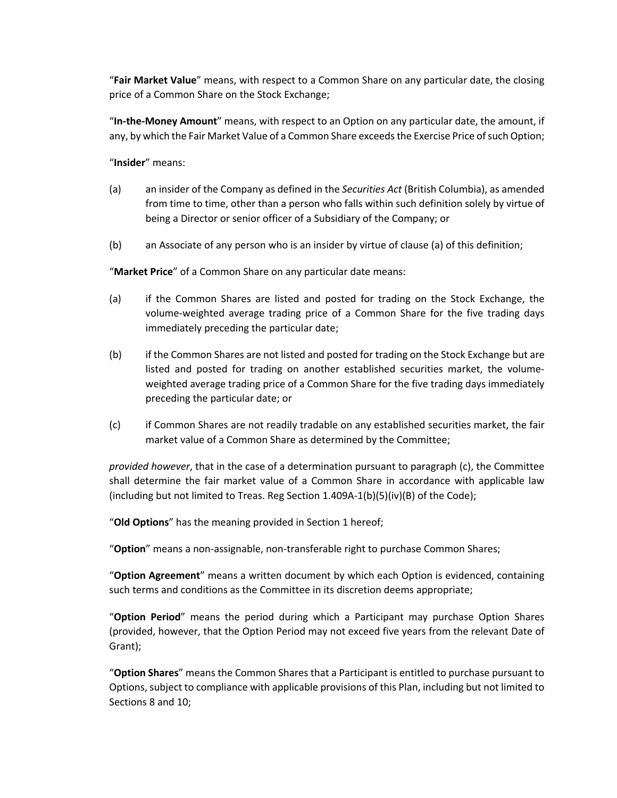"**Fair Market Value**" means, with respect to a Common Share on any particular date, the closing price of a Common Share on the Stock Exchange;

"**In-the-Money Amount**" means, with respect to an Option on any particular date, the amount, if any, by which the Fair Market Value of a Common Share exceeds the Exercise Price of such Option;

"**Insider**" means:

- (a) an insider of the Company as defined in the *Securities Act* (British Columbia), as amended from time to time, other than a person who falls within such definition solely by virtue of being a Director or senior officer of a Subsidiary of the Company; or
- (b) an Associate of any person who is an insider by virtue of clause (a) of this definition;

"**Market Price**" of a Common Share on any particular date means:

- (a) if the Common Shares are listed and posted for trading on the Stock Exchange, the volume-weighted average trading price of a Common Share for the five trading days immediately preceding the particular date;
- (b) if the Common Shares are not listed and posted for trading on the Stock Exchange but are listed and posted for trading on another established securities market, the volumeweighted average trading price of a Common Share for the five trading days immediately preceding the particular date; or
- (c) if Common Shares are not readily tradable on any established securities market, the fair market value of a Common Share as determined by the Committee;

*provided however*, that in the case of a determination pursuant to paragraph (c), the Committee shall determine the fair market value of a Common Share in accordance with applicable law (including but not limited to Treas. Reg Section  $1.409A-1(b)(5)(iv)(B)$  of the Code);

"**Old Options**" has the meaning provided in Section 1 hereof;

"**Option**" means a non-assignable, non-transferable right to purchase Common Shares;

"**Option Agreement**" means a written document by which each Option is evidenced, containing such terms and conditions as the Committee in its discretion deems appropriate;

"**Option Period**" means the period during which a Participant may purchase Option Shares (provided, however, that the Option Period may not exceed five years from the relevant Date of Grant);

"**Option Shares**" means the Common Shares that a Participant is entitled to purchase pursuant to Options, subject to compliance with applicable provisions of this Plan, including but not limited to Sections 8 and 10;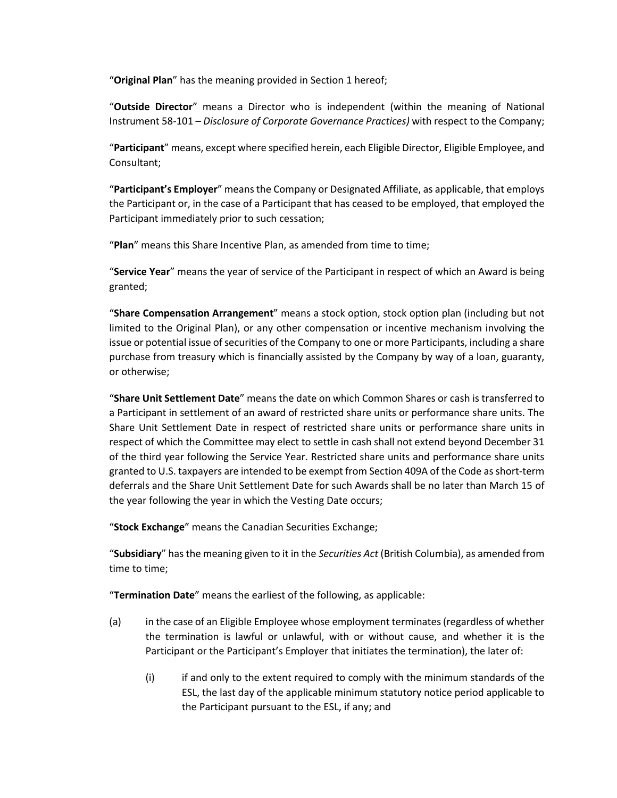"**Original Plan**" has the meaning provided in Section 1 hereof;

"**Outside Director**" means a Director who is independent (within the meaning of National Instrument 58-101 – *Disclosure of Corporate Governance Practices)* with respect to the Company;

"**Participant**" means, except where specified herein, each Eligible Director, Eligible Employee, and Consultant;

"**Participant's Employer**" means the Company or Designated Affiliate, as applicable, that employs the Participant or, in the case of a Participant that has ceased to be employed, that employed the Participant immediately prior to such cessation;

"**Plan**" means this Share Incentive Plan, as amended from time to time;

"**Service Year**" means the year of service of the Participant in respect of which an Award is being granted;

"**Share Compensation Arrangement**" means a stock option, stock option plan (including but not limited to the Original Plan), or any other compensation or incentive mechanism involving the issue or potential issue of securities of the Company to one or more Participants, including a share purchase from treasury which is financially assisted by the Company by way of a loan, guaranty, or otherwise;

"**Share Unit Settlement Date**" means the date on which Common Shares or cash is transferred to a Participant in settlement of an award of restricted share units or performance share units. The Share Unit Settlement Date in respect of restricted share units or performance share units in respect of which the Committee may elect to settle in cash shall not extend beyond December 31 of the third year following the Service Year. Restricted share units and performance share units granted to U.S. taxpayers are intended to be exempt from Section 409A of the Code as short-term deferrals and the Share Unit Settlement Date for such Awards shall be no later than March 15 of the year following the year in which the Vesting Date occurs;

"**Stock Exchange**" means the Canadian Securities Exchange;

"**Subsidiary**" has the meaning given to it in the *Securities Act* (British Columbia), as amended from time to time;

"**Termination Date**" means the earliest of the following, as applicable:

- (a) in the case of an Eligible Employee whose employment terminates (regardless of whether the termination is lawful or unlawful, with or without cause, and whether it is the Participant or the Participant's Employer that initiates the termination), the later of:
	- (i) if and only to the extent required to comply with the minimum standards of the ESL, the last day of the applicable minimum statutory notice period applicable to the Participant pursuant to the ESL, if any; and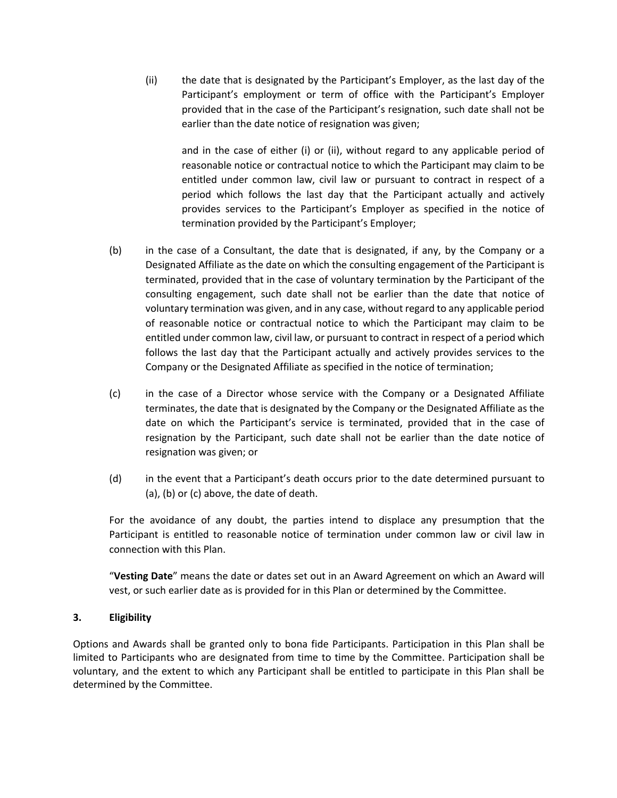(ii) the date that is designated by the Participant's Employer, as the last day of the Participant's employment or term of office with the Participant's Employer provided that in the case of the Participant's resignation, such date shall not be earlier than the date notice of resignation was given;

and in the case of either (i) or (ii), without regard to any applicable period of reasonable notice or contractual notice to which the Participant may claim to be entitled under common law, civil law or pursuant to contract in respect of a period which follows the last day that the Participant actually and actively provides services to the Participant's Employer as specified in the notice of termination provided by the Participant's Employer;

- (b) in the case of a Consultant, the date that is designated, if any, by the Company or a Designated Affiliate as the date on which the consulting engagement of the Participant is terminated, provided that in the case of voluntary termination by the Participant of the consulting engagement, such date shall not be earlier than the date that notice of voluntary termination was given, and in any case, without regard to any applicable period of reasonable notice or contractual notice to which the Participant may claim to be entitled under common law, civil law, or pursuant to contract in respect of a period which follows the last day that the Participant actually and actively provides services to the Company or the Designated Affiliate as specified in the notice of termination;
- (c) in the case of a Director whose service with the Company or a Designated Affiliate terminates, the date that is designated by the Company or the Designated Affiliate as the date on which the Participant's service is terminated, provided that in the case of resignation by the Participant, such date shall not be earlier than the date notice of resignation was given; or
- (d) in the event that a Participant's death occurs prior to the date determined pursuant to (a), (b) or (c) above, the date of death.

For the avoidance of any doubt, the parties intend to displace any presumption that the Participant is entitled to reasonable notice of termination under common law or civil law in connection with this Plan.

"**Vesting Date**" means the date or dates set out in an Award Agreement on which an Award will vest, or such earlier date as is provided for in this Plan or determined by the Committee.

## **3. Eligibility**

Options and Awards shall be granted only to bona fide Participants. Participation in this Plan shall be limited to Participants who are designated from time to time by the Committee. Participation shall be voluntary, and the extent to which any Participant shall be entitled to participate in this Plan shall be determined by the Committee.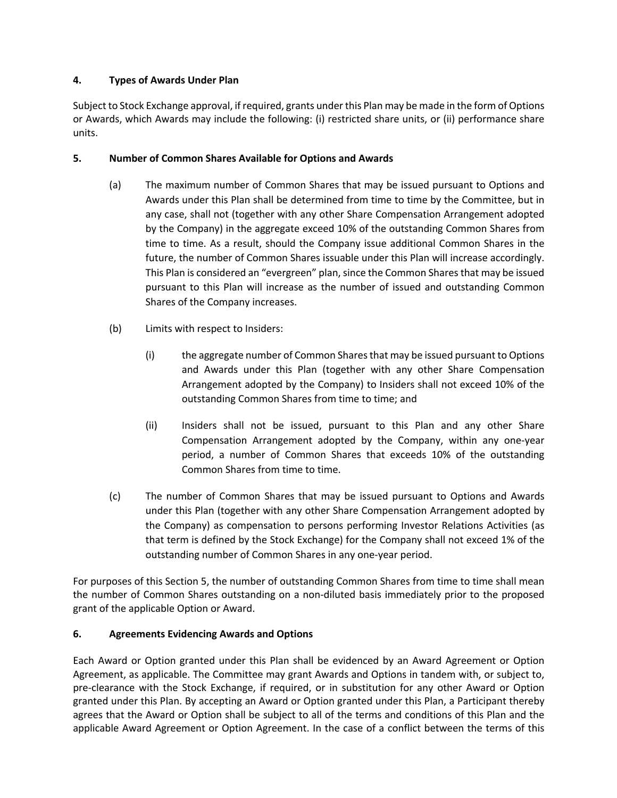# **4. Types of Awards Under Plan**

Subject to Stock Exchange approval, if required, grants under this Plan may be made in the form of Options or Awards, which Awards may include the following: (i) restricted share units, or (ii) performance share units.

# **5. Number of Common Shares Available for Options and Awards**

- (a) The maximum number of Common Shares that may be issued pursuant to Options and Awards under this Plan shall be determined from time to time by the Committee, but in any case, shall not (together with any other Share Compensation Arrangement adopted by the Company) in the aggregate exceed 10% of the outstanding Common Shares from time to time. As a result, should the Company issue additional Common Shares in the future, the number of Common Shares issuable under this Plan will increase accordingly. This Plan is considered an "evergreen" plan, since the Common Shares that may be issued pursuant to this Plan will increase as the number of issued and outstanding Common Shares of the Company increases.
- (b) Limits with respect to Insiders:
	- (i) the aggregate number of Common Shares that may be issued pursuant to Options and Awards under this Plan (together with any other Share Compensation Arrangement adopted by the Company) to Insiders shall not exceed 10% of the outstanding Common Shares from time to time; and
	- (ii) Insiders shall not be issued, pursuant to this Plan and any other Share Compensation Arrangement adopted by the Company, within any one-year period, a number of Common Shares that exceeds 10% of the outstanding Common Shares from time to time.
- (c) The number of Common Shares that may be issued pursuant to Options and Awards under this Plan (together with any other Share Compensation Arrangement adopted by the Company) as compensation to persons performing Investor Relations Activities (as that term is defined by the Stock Exchange) for the Company shall not exceed 1% of the outstanding number of Common Shares in any one-year period.

For purposes of this Section 5, the number of outstanding Common Shares from time to time shall mean the number of Common Shares outstanding on a non-diluted basis immediately prior to the proposed grant of the applicable Option or Award.

# **6. Agreements Evidencing Awards and Options**

Each Award or Option granted under this Plan shall be evidenced by an Award Agreement or Option Agreement, as applicable. The Committee may grant Awards and Options in tandem with, or subject to, pre-clearance with the Stock Exchange, if required, or in substitution for any other Award or Option granted under this Plan. By accepting an Award or Option granted under this Plan, a Participant thereby agrees that the Award or Option shall be subject to all of the terms and conditions of this Plan and the applicable Award Agreement or Option Agreement. In the case of a conflict between the terms of this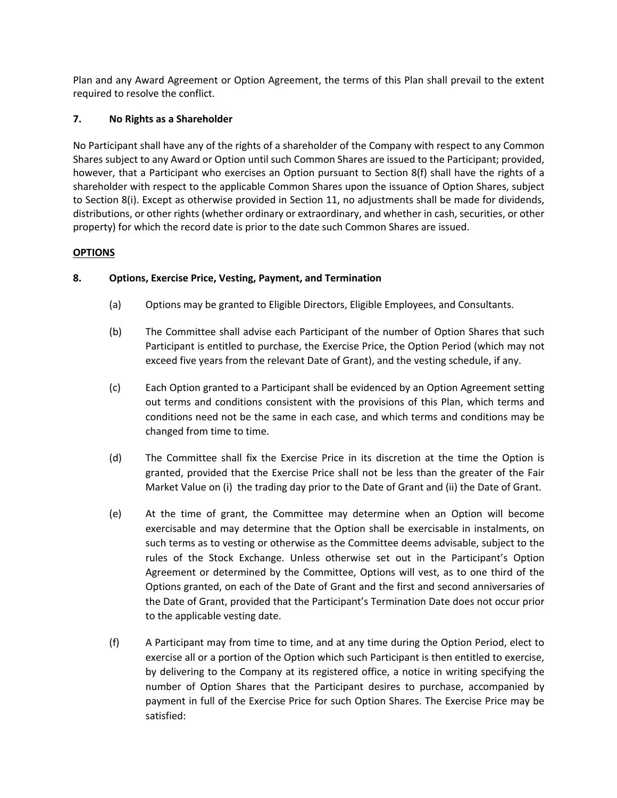Plan and any Award Agreement or Option Agreement, the terms of this Plan shall prevail to the extent required to resolve the conflict.

# **7. No Rights as a Shareholder**

No Participant shall have any of the rights of a shareholder of the Company with respect to any Common Shares subject to any Award or Option until such Common Shares are issued to the Participant; provided, however, that a Participant who exercises an Option pursuant to Section 8(f) shall have the rights of a shareholder with respect to the applicable Common Shares upon the issuance of Option Shares, subject to Section 8(i). Except as otherwise provided in Section 11, no adjustments shall be made for dividends, distributions, or other rights (whether ordinary or extraordinary, and whether in cash, securities, or other property) for which the record date is prior to the date such Common Shares are issued.

## **OPTIONS**

## **8. Options, Exercise Price, Vesting, Payment, and Termination**

- (a) Options may be granted to Eligible Directors, Eligible Employees, and Consultants.
- (b) The Committee shall advise each Participant of the number of Option Shares that such Participant is entitled to purchase, the Exercise Price, the Option Period (which may not exceed five years from the relevant Date of Grant), and the vesting schedule, if any.
- (c) Each Option granted to a Participant shall be evidenced by an Option Agreement setting out terms and conditions consistent with the provisions of this Plan, which terms and conditions need not be the same in each case, and which terms and conditions may be changed from time to time.
- (d) The Committee shall fix the Exercise Price in its discretion at the time the Option is granted, provided that the Exercise Price shall not be less than the greater of the Fair Market Value on (i) the trading day prior to the Date of Grant and (ii) the Date of Grant.
- (e) At the time of grant, the Committee may determine when an Option will become exercisable and may determine that the Option shall be exercisable in instalments, on such terms as to vesting or otherwise as the Committee deems advisable, subject to the rules of the Stock Exchange. Unless otherwise set out in the Participant's Option Agreement or determined by the Committee, Options will vest, as to one third of the Options granted, on each of the Date of Grant and the first and second anniversaries of the Date of Grant, provided that the Participant's Termination Date does not occur prior to the applicable vesting date.
- (f) A Participant may from time to time, and at any time during the Option Period, elect to exercise all or a portion of the Option which such Participant is then entitled to exercise, by delivering to the Company at its registered office, a notice in writing specifying the number of Option Shares that the Participant desires to purchase, accompanied by payment in full of the Exercise Price for such Option Shares. The Exercise Price may be satisfied: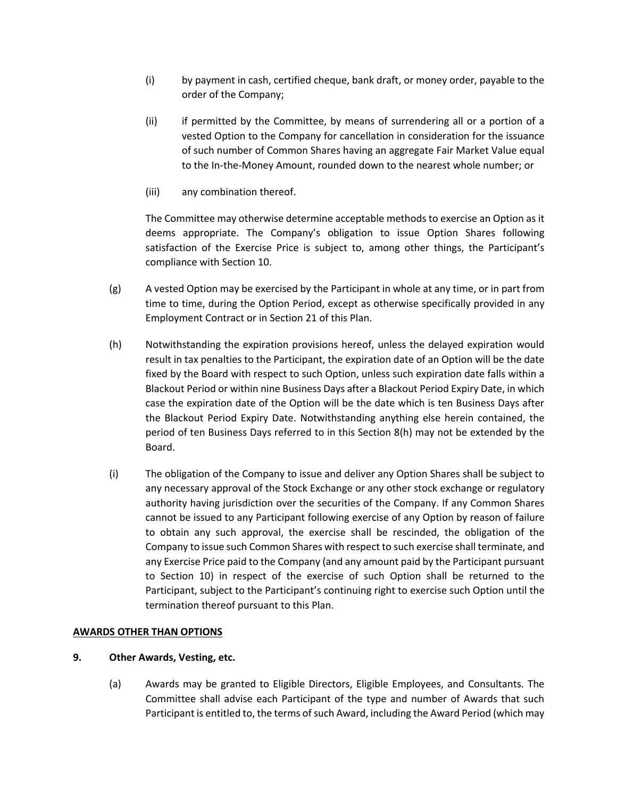- (i) by payment in cash, certified cheque, bank draft, or money order, payable to the order of the Company;
- (ii) if permitted by the Committee, by means of surrendering all or a portion of a vested Option to the Company for cancellation in consideration for the issuance of such number of Common Shares having an aggregate Fair Market Value equal to the In-the-Money Amount, rounded down to the nearest whole number; or
- (iii) any combination thereof.

The Committee may otherwise determine acceptable methods to exercise an Option as it deems appropriate. The Company's obligation to issue Option Shares following satisfaction of the Exercise Price is subject to, among other things, the Participant's compliance with Section 10.

- $(g)$  A vested Option may be exercised by the Participant in whole at any time, or in part from time to time, during the Option Period, except as otherwise specifically provided in any Employment Contract or in Section 21 of this Plan.
- (h) Notwithstanding the expiration provisions hereof, unless the delayed expiration would result in tax penalties to the Participant, the expiration date of an Option will be the date fixed by the Board with respect to such Option, unless such expiration date falls within a Blackout Period or within nine Business Days after a Blackout Period Expiry Date, in which case the expiration date of the Option will be the date which is ten Business Days after the Blackout Period Expiry Date. Notwithstanding anything else herein contained, the period of ten Business Days referred to in this Section 8(h) may not be extended by the Board.
- (i) The obligation of the Company to issue and deliver any Option Shares shall be subject to any necessary approval of the Stock Exchange or any other stock exchange or regulatory authority having jurisdiction over the securities of the Company. If any Common Shares cannot be issued to any Participant following exercise of any Option by reason of failure to obtain any such approval, the exercise shall be rescinded, the obligation of the Company to issue such Common Shares with respect to such exercise shall terminate, and any Exercise Price paid to the Company (and any amount paid by the Participant pursuant to Section 10) in respect of the exercise of such Option shall be returned to the Participant, subject to the Participant's continuing right to exercise such Option until the termination thereof pursuant to this Plan.

## **AWARDS OTHER THAN OPTIONS**

## **9. Other Awards, Vesting, etc.**

(a) Awards may be granted to Eligible Directors, Eligible Employees, and Consultants. The Committee shall advise each Participant of the type and number of Awards that such Participant is entitled to, the terms of such Award, including the Award Period (which may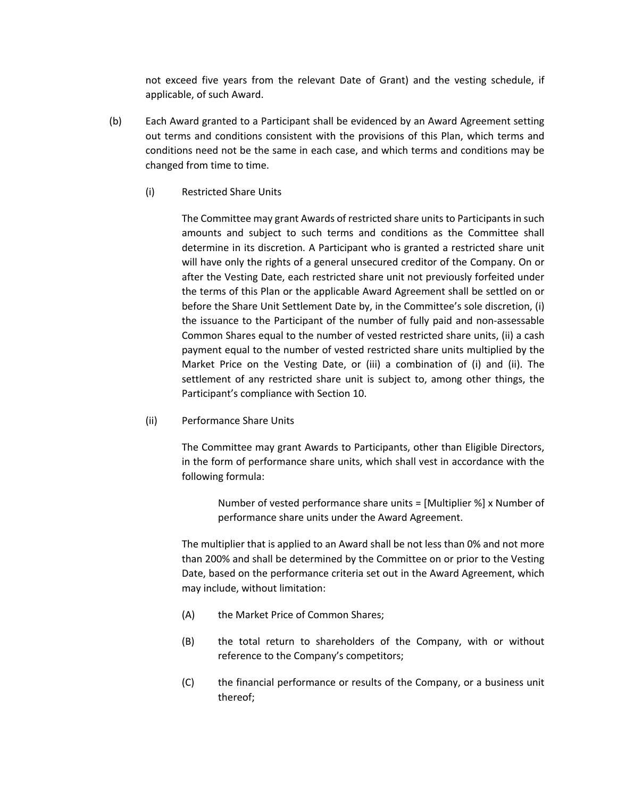not exceed five years from the relevant Date of Grant) and the vesting schedule, if applicable, of such Award.

- (b) Each Award granted to a Participant shall be evidenced by an Award Agreement setting out terms and conditions consistent with the provisions of this Plan, which terms and conditions need not be the same in each case, and which terms and conditions may be changed from time to time.
	- (i) Restricted Share Units

The Committee may grant Awards of restricted share units to Participants in such amounts and subject to such terms and conditions as the Committee shall determine in its discretion. A Participant who is granted a restricted share unit will have only the rights of a general unsecured creditor of the Company. On or after the Vesting Date, each restricted share unit not previously forfeited under the terms of this Plan or the applicable Award Agreement shall be settled on or before the Share Unit Settlement Date by, in the Committee's sole discretion, (i) the issuance to the Participant of the number of fully paid and non-assessable Common Shares equal to the number of vested restricted share units, (ii) a cash payment equal to the number of vested restricted share units multiplied by the Market Price on the Vesting Date, or (iii) a combination of (i) and (ii). The settlement of any restricted share unit is subject to, among other things, the Participant's compliance with Section 10.

(ii) Performance Share Units

The Committee may grant Awards to Participants, other than Eligible Directors, in the form of performance share units, which shall vest in accordance with the following formula:

> Number of vested performance share units = [Multiplier %] x Number of performance share units under the Award Agreement.

The multiplier that is applied to an Award shall be not less than 0% and not more than 200% and shall be determined by the Committee on or prior to the Vesting Date, based on the performance criteria set out in the Award Agreement, which may include, without limitation:

- (A) the Market Price of Common Shares;
- (B) the total return to shareholders of the Company, with or without reference to the Company's competitors;
- (C) the financial performance or results of the Company, or a business unit thereof;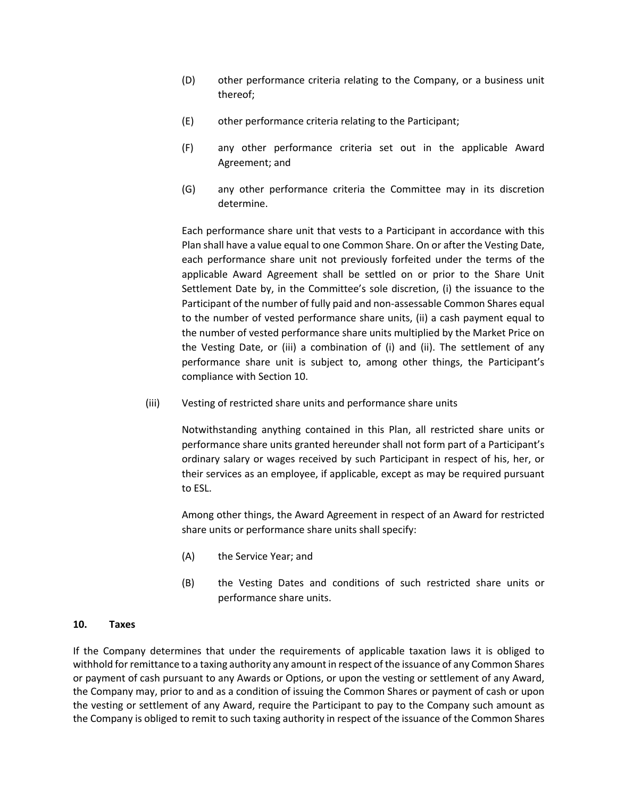- (D) other performance criteria relating to the Company, or a business unit thereof;
- (E) other performance criteria relating to the Participant;
- (F) any other performance criteria set out in the applicable Award Agreement; and
- (G) any other performance criteria the Committee may in its discretion determine.

Each performance share unit that vests to a Participant in accordance with this Plan shall have a value equal to one Common Share. On or after the Vesting Date, each performance share unit not previously forfeited under the terms of the applicable Award Agreement shall be settled on or prior to the Share Unit Settlement Date by, in the Committee's sole discretion, (i) the issuance to the Participant of the number of fully paid and non-assessable Common Shares equal to the number of vested performance share units, (ii) a cash payment equal to the number of vested performance share units multiplied by the Market Price on the Vesting Date, or (iii) a combination of (i) and (ii). The settlement of any performance share unit is subject to, among other things, the Participant's compliance with Section 10.

(iii) Vesting of restricted share units and performance share units

Notwithstanding anything contained in this Plan, all restricted share units or performance share units granted hereunder shall not form part of a Participant's ordinary salary or wages received by such Participant in respect of his, her, or their services as an employee, if applicable, except as may be required pursuant to ESL.

Among other things, the Award Agreement in respect of an Award for restricted share units or performance share units shall specify:

- (A) the Service Year; and
- (B) the Vesting Dates and conditions of such restricted share units or performance share units.

## **10. Taxes**

If the Company determines that under the requirements of applicable taxation laws it is obliged to withhold for remittance to a taxing authority any amount in respect of the issuance of any Common Shares or payment of cash pursuant to any Awards or Options, or upon the vesting or settlement of any Award, the Company may, prior to and as a condition of issuing the Common Shares or payment of cash or upon the vesting or settlement of any Award, require the Participant to pay to the Company such amount as the Company is obliged to remit to such taxing authority in respect of the issuance of the Common Shares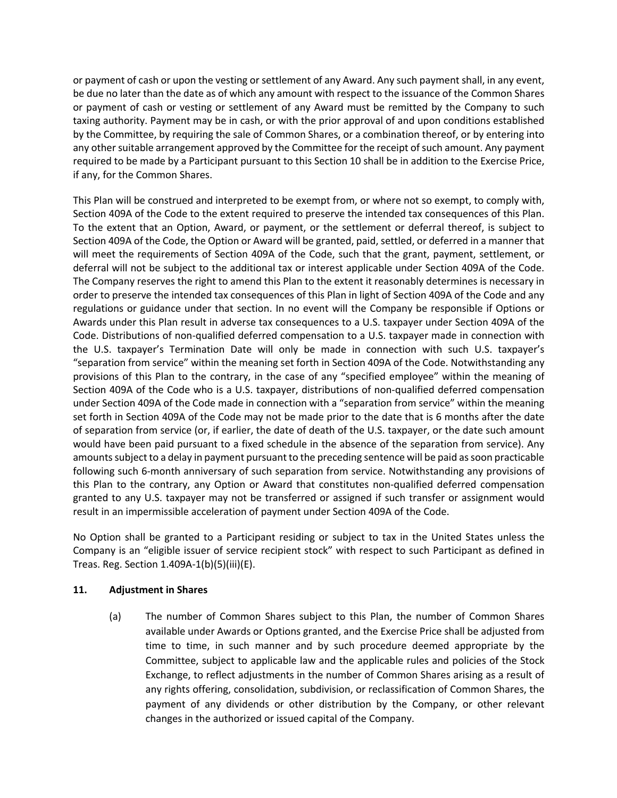or payment of cash or upon the vesting or settlement of any Award. Any such payment shall, in any event, be due no later than the date as of which any amount with respect to the issuance of the Common Shares or payment of cash or vesting or settlement of any Award must be remitted by the Company to such taxing authority. Payment may be in cash, or with the prior approval of and upon conditions established by the Committee, by requiring the sale of Common Shares, or a combination thereof, or by entering into any other suitable arrangement approved by the Committee for the receipt of such amount. Any payment required to be made by a Participant pursuant to this Section 10 shall be in addition to the Exercise Price, if any, for the Common Shares.

This Plan will be construed and interpreted to be exempt from, or where not so exempt, to comply with, Section 409A of the Code to the extent required to preserve the intended tax consequences of this Plan. To the extent that an Option, Award, or payment, or the settlement or deferral thereof, is subject to Section 409A of the Code, the Option or Award will be granted, paid, settled, or deferred in a manner that will meet the requirements of Section 409A of the Code, such that the grant, payment, settlement, or deferral will not be subject to the additional tax or interest applicable under Section 409A of the Code. The Company reserves the right to amend this Plan to the extent it reasonably determines is necessary in order to preserve the intended tax consequences of this Plan in light of Section 409A of the Code and any regulations or guidance under that section. In no event will the Company be responsible if Options or Awards under this Plan result in adverse tax consequences to a U.S. taxpayer under Section 409A of the Code. Distributions of non-qualified deferred compensation to a U.S. taxpayer made in connection with the U.S. taxpayer's Termination Date will only be made in connection with such U.S. taxpayer's "separation from service" within the meaning set forth in Section 409A of the Code. Notwithstanding any provisions of this Plan to the contrary, in the case of any "specified employee" within the meaning of Section 409A of the Code who is a U.S. taxpayer, distributions of non-qualified deferred compensation under Section 409A of the Code made in connection with a "separation from service" within the meaning set forth in Section 409A of the Code may not be made prior to the date that is 6 months after the date of separation from service (or, if earlier, the date of death of the U.S. taxpayer, or the date such amount would have been paid pursuant to a fixed schedule in the absence of the separation from service). Any amounts subject to a delay in payment pursuant to the preceding sentence will be paid as soon practicable following such 6-month anniversary of such separation from service. Notwithstanding any provisions of this Plan to the contrary, any Option or Award that constitutes non-qualified deferred compensation granted to any U.S. taxpayer may not be transferred or assigned if such transfer or assignment would result in an impermissible acceleration of payment under Section 409A of the Code.

No Option shall be granted to a Participant residing or subject to tax in the United States unless the Company is an "eligible issuer of service recipient stock" with respect to such Participant as defined in Treas. Reg. Section 1.409A-1(b)(5)(iii)(E).

## **11. Adjustment in Shares**

(a) The number of Common Shares subject to this Plan, the number of Common Shares available under Awards or Options granted, and the Exercise Price shall be adjusted from time to time, in such manner and by such procedure deemed appropriate by the Committee, subject to applicable law and the applicable rules and policies of the Stock Exchange, to reflect adjustments in the number of Common Shares arising as a result of any rights offering, consolidation, subdivision, or reclassification of Common Shares, the payment of any dividends or other distribution by the Company, or other relevant changes in the authorized or issued capital of the Company.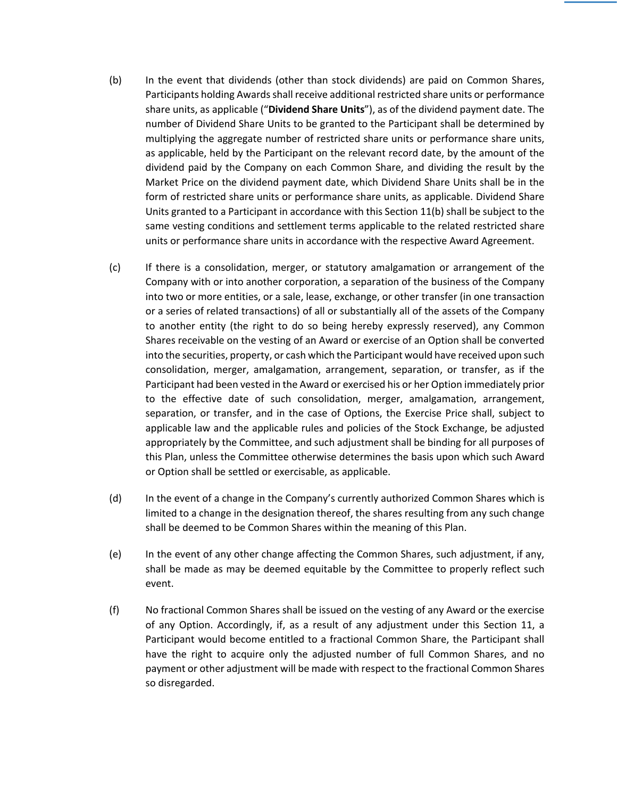- (b) In the event that dividends (other than stock dividends) are paid on Common Shares, Participants holding Awards shall receive additional restricted share units or performance share units, as applicable ("**Dividend Share Units**"), as of the dividend payment date. The number of Dividend Share Units to be granted to the Participant shall be determined by multiplying the aggregate number of restricted share units or performance share units, as applicable, held by the Participant on the relevant record date, by the amount of the dividend paid by the Company on each Common Share, and dividing the result by the Market Price on the dividend payment date, which Dividend Share Units shall be in the form of restricted share units or performance share units, as applicable. Dividend Share Units granted to a Participant in accordance with this Section 11(b) shall be subject to the same vesting conditions and settlement terms applicable to the related restricted share units or performance share units in accordance with the respective Award Agreement.
- (c) If there is a consolidation, merger, or statutory amalgamation or arrangement of the Company with or into another corporation, a separation of the business of the Company into two or more entities, or a sale, lease, exchange, or other transfer (in one transaction or a series of related transactions) of all or substantially all of the assets of the Company to another entity (the right to do so being hereby expressly reserved), any Common Shares receivable on the vesting of an Award or exercise of an Option shall be converted into the securities, property, or cash which the Participant would have received upon such consolidation, merger, amalgamation, arrangement, separation, or transfer, as if the Participant had been vested in the Award or exercised his or her Option immediately prior to the effective date of such consolidation, merger, amalgamation, arrangement, separation, or transfer, and in the case of Options, the Exercise Price shall, subject to applicable law and the applicable rules and policies of the Stock Exchange, be adjusted appropriately by the Committee, and such adjustment shall be binding for all purposes of this Plan, unless the Committee otherwise determines the basis upon which such Award or Option shall be settled or exercisable, as applicable.
- (d) In the event of a change in the Company's currently authorized Common Shares which is limited to a change in the designation thereof, the shares resulting from any such change shall be deemed to be Common Shares within the meaning of this Plan.
- (e) In the event of any other change affecting the Common Shares, such adjustment, if any, shall be made as may be deemed equitable by the Committee to properly reflect such event.
- (f) No fractional Common Shares shall be issued on the vesting of any Award or the exercise of any Option. Accordingly, if, as a result of any adjustment under this Section 11, a Participant would become entitled to a fractional Common Share, the Participant shall have the right to acquire only the adjusted number of full Common Shares, and no payment or other adjustment will be made with respect to the fractional Common Shares so disregarded.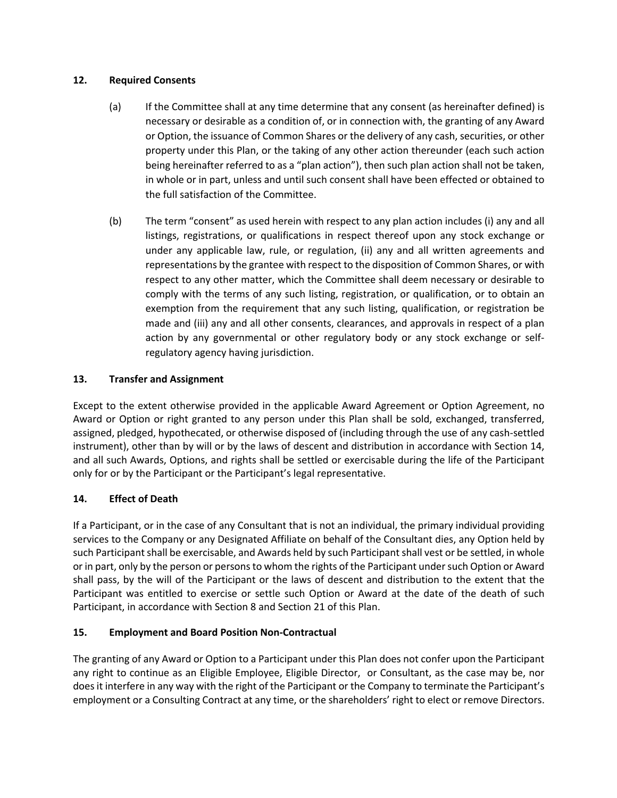# **12. Required Consents**

- (a) If the Committee shall at any time determine that any consent (as hereinafter defined) is necessary or desirable as a condition of, or in connection with, the granting of any Award or Option, the issuance of Common Shares or the delivery of any cash, securities, or other property under this Plan, or the taking of any other action thereunder (each such action being hereinafter referred to as a "plan action"), then such plan action shall not be taken, in whole or in part, unless and until such consent shall have been effected or obtained to the full satisfaction of the Committee.
- (b) The term "consent" as used herein with respect to any plan action includes (i) any and all listings, registrations, or qualifications in respect thereof upon any stock exchange or under any applicable law, rule, or regulation, (ii) any and all written agreements and representations by the grantee with respect to the disposition of Common Shares, or with respect to any other matter, which the Committee shall deem necessary or desirable to comply with the terms of any such listing, registration, or qualification, or to obtain an exemption from the requirement that any such listing, qualification, or registration be made and (iii) any and all other consents, clearances, and approvals in respect of a plan action by any governmental or other regulatory body or any stock exchange or selfregulatory agency having jurisdiction.

# **13. Transfer and Assignment**

Except to the extent otherwise provided in the applicable Award Agreement or Option Agreement, no Award or Option or right granted to any person under this Plan shall be sold, exchanged, transferred, assigned, pledged, hypothecated, or otherwise disposed of (including through the use of any cash-settled instrument), other than by will or by the laws of descent and distribution in accordance with Section 14, and all such Awards, Options, and rights shall be settled or exercisable during the life of the Participant only for or by the Participant or the Participant's legal representative.

# **14. Effect of Death**

If a Participant, or in the case of any Consultant that is not an individual, the primary individual providing services to the Company or any Designated Affiliate on behalf of the Consultant dies, any Option held by such Participant shall be exercisable, and Awards held by such Participant shall vest or be settled, in whole or in part, only by the person or persons to whom the rights of the Participant under such Option or Award shall pass, by the will of the Participant or the laws of descent and distribution to the extent that the Participant was entitled to exercise or settle such Option or Award at the date of the death of such Participant, in accordance with Section 8 and Section 21 of this Plan.

# **15. Employment and Board Position Non-Contractual**

The granting of any Award or Option to a Participant under this Plan does not confer upon the Participant any right to continue as an Eligible Employee, Eligible Director, or Consultant, as the case may be, nor does it interfere in any way with the right of the Participant or the Company to terminate the Participant's employment or a Consulting Contract at any time, or the shareholders' right to elect or remove Directors.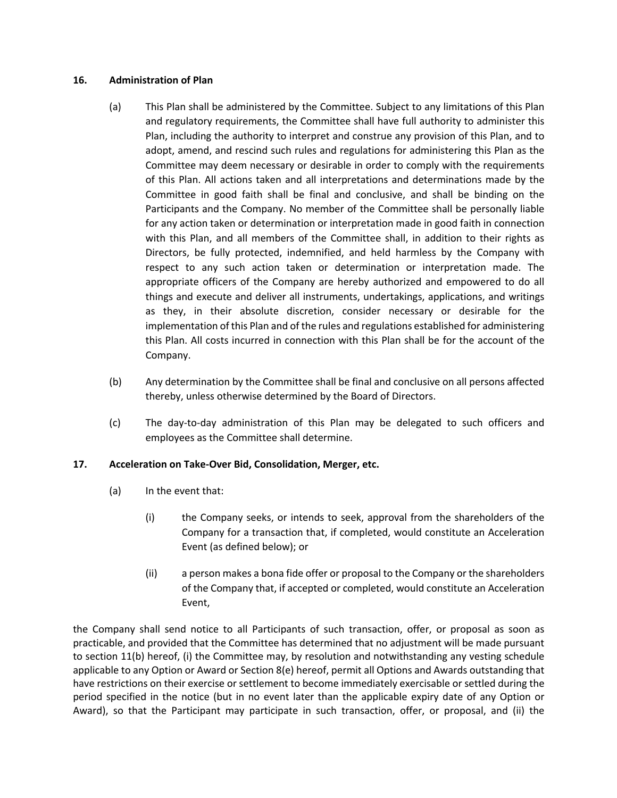## **16. Administration of Plan**

- (a) This Plan shall be administered by the Committee. Subject to any limitations of this Plan and regulatory requirements, the Committee shall have full authority to administer this Plan, including the authority to interpret and construe any provision of this Plan, and to adopt, amend, and rescind such rules and regulations for administering this Plan as the Committee may deem necessary or desirable in order to comply with the requirements of this Plan. All actions taken and all interpretations and determinations made by the Committee in good faith shall be final and conclusive, and shall be binding on the Participants and the Company. No member of the Committee shall be personally liable for any action taken or determination or interpretation made in good faith in connection with this Plan, and all members of the Committee shall, in addition to their rights as Directors, be fully protected, indemnified, and held harmless by the Company with respect to any such action taken or determination or interpretation made. The appropriate officers of the Company are hereby authorized and empowered to do all things and execute and deliver all instruments, undertakings, applications, and writings as they, in their absolute discretion, consider necessary or desirable for the implementation of this Plan and of the rules and regulations established for administering this Plan. All costs incurred in connection with this Plan shall be for the account of the Company.
- (b) Any determination by the Committee shall be final and conclusive on all persons affected thereby, unless otherwise determined by the Board of Directors.
- (c) The day-to-day administration of this Plan may be delegated to such officers and employees as the Committee shall determine.

# **17. Acceleration on Take-Over Bid, Consolidation, Merger, etc.**

- (a) In the event that:
	- (i) the Company seeks, or intends to seek, approval from the shareholders of the Company for a transaction that, if completed, would constitute an Acceleration Event (as defined below); or
	- (ii) a person makes a bona fide offer or proposal to the Company or the shareholders of the Company that, if accepted or completed, would constitute an Acceleration Event,

the Company shall send notice to all Participants of such transaction, offer, or proposal as soon as practicable, and provided that the Committee has determined that no adjustment will be made pursuant to section 11(b) hereof, (i) the Committee may, by resolution and notwithstanding any vesting schedule applicable to any Option or Award or Section 8(e) hereof, permit all Options and Awards outstanding that have restrictions on their exercise or settlement to become immediately exercisable or settled during the period specified in the notice (but in no event later than the applicable expiry date of any Option or Award), so that the Participant may participate in such transaction, offer, or proposal, and (ii) the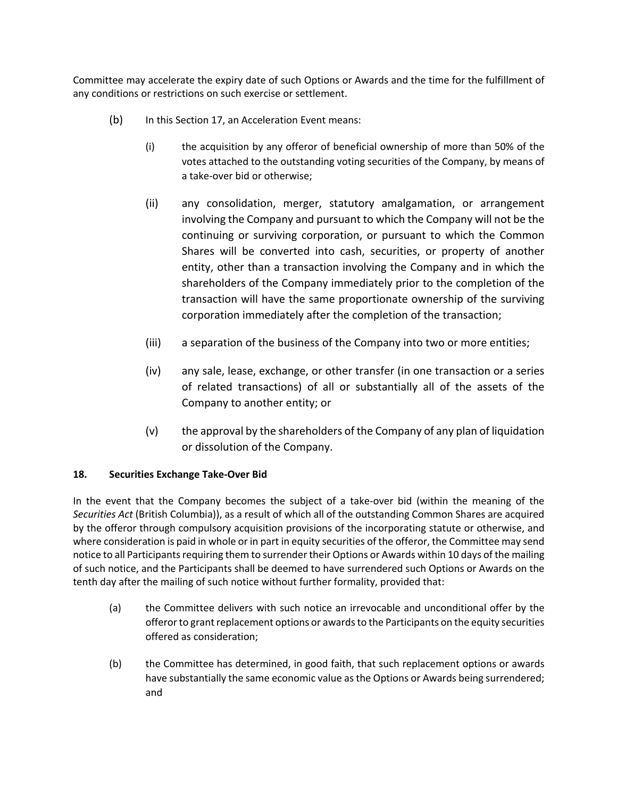Committee may accelerate the expiry date of such Options or Awards and the time for the fulfillment of any conditions or restrictions on such exercise or settlement.

- (b) In this Section 17, an Acceleration Event means:
	- (i) the acquisition by any offeror of beneficial ownership of more than 50% of the votes attached to the outstanding voting securities of the Company, by means of a take-over bid or otherwise;
	- (ii) any consolidation, merger, statutory amalgamation, or arrangement involving the Company and pursuant to which the Company will not be the continuing or surviving corporation, or pursuant to which the Common Shares will be converted into cash, securities, or property of another entity, other than a transaction involving the Company and in which the shareholders of the Company immediately prior to the completion of the transaction will have the same proportionate ownership of the surviving corporation immediately after the completion of the transaction;
	- (iii) a separation of the business of the Company into two or more entities;
	- (iv) any sale, lease, exchange, or other transfer (in one transaction or a series of related transactions) of all or substantially all of the assets of the Company to another entity; or
	- (v) the approval by the shareholders of the Company of any plan of liquidation or dissolution of the Company.

# **18. Securities Exchange Take-Over Bid**

In the event that the Company becomes the subject of a take-over bid (within the meaning of the *Securities Act* (British Columbia)), as a result of which all of the outstanding Common Shares are acquired by the offeror through compulsory acquisition provisions of the incorporating statute or otherwise, and where consideration is paid in whole or in part in equity securities of the offeror, the Committee may send notice to all Participants requiring them to surrender their Options or Awards within 10 days of the mailing of such notice, and the Participants shall be deemed to have surrendered such Options or Awards on the tenth day after the mailing of such notice without further formality, provided that:

- (a) the Committee delivers with such notice an irrevocable and unconditional offer by the offeror to grant replacement options or awards to the Participants on the equity securities offered as consideration;
- (b) the Committee has determined, in good faith, that such replacement options or awards have substantially the same economic value as the Options or Awards being surrendered; and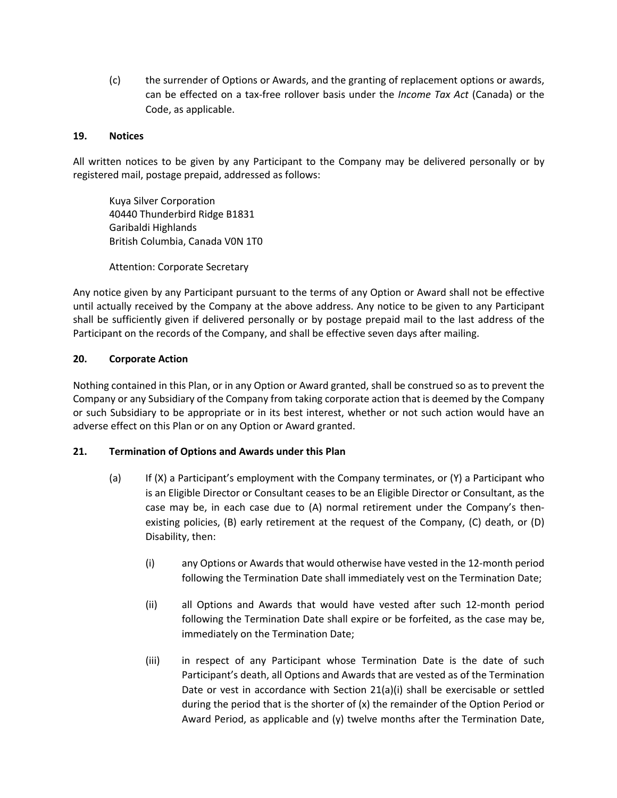(c) the surrender of Options or Awards, and the granting of replacement options or awards, can be effected on a tax-free rollover basis under the *Income Tax Act* (Canada) or the Code, as applicable.

## **19. Notices**

All written notices to be given by any Participant to the Company may be delivered personally or by registered mail, postage prepaid, addressed as follows:

Kuya Silver Corporation 40440 Thunderbird Ridge B1831 Garibaldi Highlands British Columbia, Canada V0N 1T0

Attention: Corporate Secretary

Any notice given by any Participant pursuant to the terms of any Option or Award shall not be effective until actually received by the Company at the above address. Any notice to be given to any Participant shall be sufficiently given if delivered personally or by postage prepaid mail to the last address of the Participant on the records of the Company, and shall be effective seven days after mailing.

## **20. Corporate Action**

Nothing contained in this Plan, or in any Option or Award granted, shall be construed so as to prevent the Company or any Subsidiary of the Company from taking corporate action that is deemed by the Company or such Subsidiary to be appropriate or in its best interest, whether or not such action would have an adverse effect on this Plan or on any Option or Award granted.

## **21. Termination of Options and Awards under this Plan**

- (a) If (X) a Participant's employment with the Company terminates, or (Y) a Participant who is an Eligible Director or Consultant ceases to be an Eligible Director or Consultant, as the case may be, in each case due to (A) normal retirement under the Company's thenexisting policies, (B) early retirement at the request of the Company, (C) death, or (D) Disability, then:
	- (i) any Options or Awards that would otherwise have vested in the 12-month period following the Termination Date shall immediately vest on the Termination Date;
	- (ii) all Options and Awards that would have vested after such 12-month period following the Termination Date shall expire or be forfeited, as the case may be, immediately on the Termination Date;
	- (iii) in respect of any Participant whose Termination Date is the date of such Participant's death, all Options and Awards that are vested as of the Termination Date or vest in accordance with Section 21(a)(i) shall be exercisable or settled during the period that is the shorter of (x) the remainder of the Option Period or Award Period, as applicable and (y) twelve months after the Termination Date,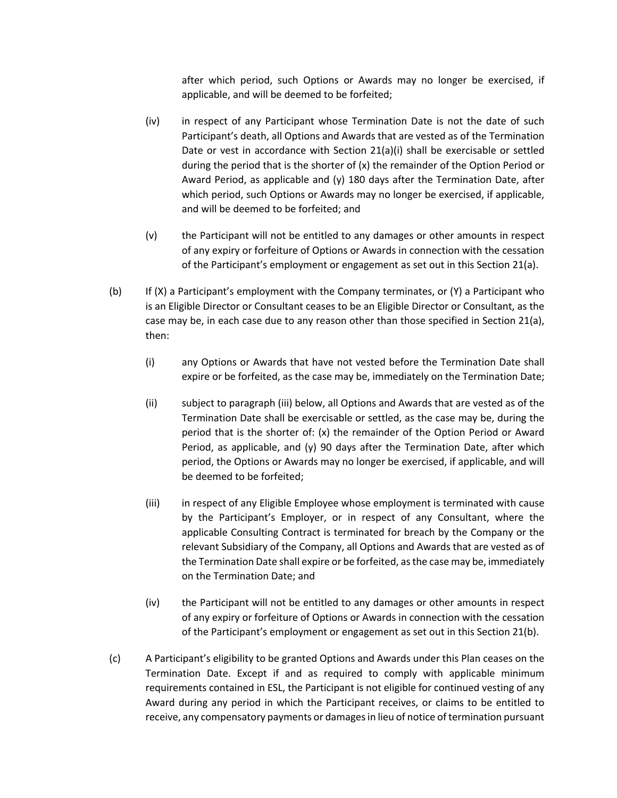after which period, such Options or Awards may no longer be exercised, if applicable, and will be deemed to be forfeited;

- (iv) in respect of any Participant whose Termination Date is not the date of such Participant's death, all Options and Awards that are vested as of the Termination Date or vest in accordance with Section 21(a)(i) shall be exercisable or settled during the period that is the shorter of (x) the remainder of the Option Period or Award Period, as applicable and  $(y)$  180 days after the Termination Date, after which period, such Options or Awards may no longer be exercised, if applicable, and will be deemed to be forfeited; and
- (v) the Participant will not be entitled to any damages or other amounts in respect of any expiry or forfeiture of Options or Awards in connection with the cessation of the Participant's employment or engagement as set out in this Section 21(a).
- (b) If (X) a Participant's employment with the Company terminates, or (Y) a Participant who is an Eligible Director or Consultant ceases to be an Eligible Director or Consultant, as the case may be, in each case due to any reason other than those specified in Section 21(a), then:
	- (i) any Options or Awards that have not vested before the Termination Date shall expire or be forfeited, as the case may be, immediately on the Termination Date;
	- (ii) subject to paragraph (iii) below, all Options and Awards that are vested as of the Termination Date shall be exercisable or settled, as the case may be, during the period that is the shorter of: (x) the remainder of the Option Period or Award Period, as applicable, and (y) 90 days after the Termination Date, after which period, the Options or Awards may no longer be exercised, if applicable, and will be deemed to be forfeited;
	- (iii) in respect of any Eligible Employee whose employment is terminated with cause by the Participant's Employer, or in respect of any Consultant, where the applicable Consulting Contract is terminated for breach by the Company or the relevant Subsidiary of the Company, all Options and Awards that are vested as of the Termination Date shall expire or be forfeited, as the case may be, immediately on the Termination Date; and
	- (iv) the Participant will not be entitled to any damages or other amounts in respect of any expiry or forfeiture of Options or Awards in connection with the cessation of the Participant's employment or engagement as set out in this Section 21(b).
- (c) A Participant's eligibility to be granted Options and Awards under this Plan ceases on the Termination Date. Except if and as required to comply with applicable minimum requirements contained in ESL, the Participant is not eligible for continued vesting of any Award during any period in which the Participant receives, or claims to be entitled to receive, any compensatory payments or damages in lieu of notice of termination pursuant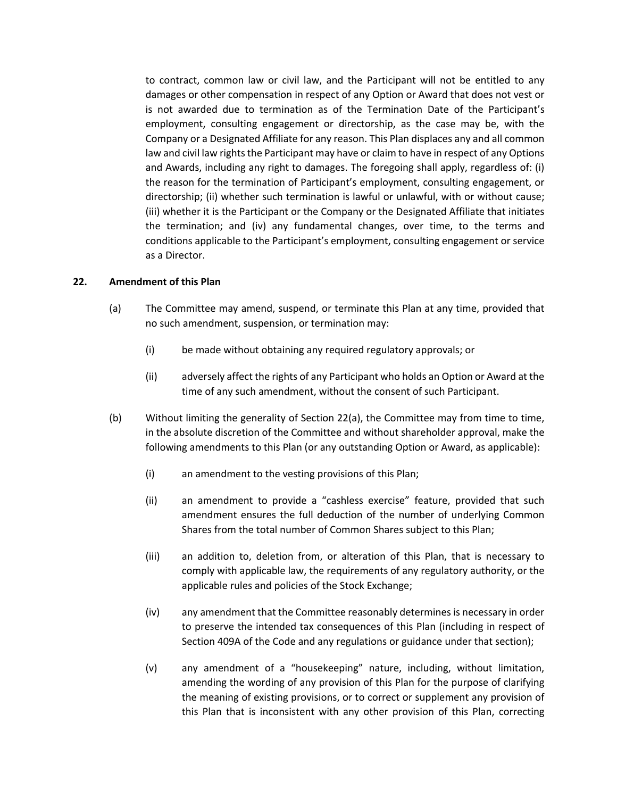to contract, common law or civil law, and the Participant will not be entitled to any damages or other compensation in respect of any Option or Award that does not vest or is not awarded due to termination as of the Termination Date of the Participant's employment, consulting engagement or directorship, as the case may be, with the Company or a Designated Affiliate for any reason. This Plan displaces any and all common law and civil law rights the Participant may have or claim to have in respect of any Options and Awards, including any right to damages. The foregoing shall apply, regardless of: (i) the reason for the termination of Participant's employment, consulting engagement, or directorship; (ii) whether such termination is lawful or unlawful, with or without cause; (iii) whether it is the Participant or the Company or the Designated Affiliate that initiates the termination; and (iv) any fundamental changes, over time, to the terms and conditions applicable to the Participant's employment, consulting engagement or service as a Director.

### **22. Amendment of this Plan**

- (a) The Committee may amend, suspend, or terminate this Plan at any time, provided that no such amendment, suspension, or termination may:
	- (i) be made without obtaining any required regulatory approvals; or
	- (ii) adversely affect the rights of any Participant who holds an Option or Award at the time of any such amendment, without the consent of such Participant.
- (b) Without limiting the generality of Section 22(a), the Committee may from time to time, in the absolute discretion of the Committee and without shareholder approval, make the following amendments to this Plan (or any outstanding Option or Award, as applicable):
	- (i) an amendment to the vesting provisions of this Plan;
	- (ii) an amendment to provide a "cashless exercise" feature, provided that such amendment ensures the full deduction of the number of underlying Common Shares from the total number of Common Shares subject to this Plan;
	- (iii) an addition to, deletion from, or alteration of this Plan, that is necessary to comply with applicable law, the requirements of any regulatory authority, or the applicable rules and policies of the Stock Exchange;
	- (iv) any amendment that the Committee reasonably determines is necessary in order to preserve the intended tax consequences of this Plan (including in respect of Section 409A of the Code and any regulations or guidance under that section);
	- (v) any amendment of a "housekeeping" nature, including, without limitation, amending the wording of any provision of this Plan for the purpose of clarifying the meaning of existing provisions, or to correct or supplement any provision of this Plan that is inconsistent with any other provision of this Plan, correcting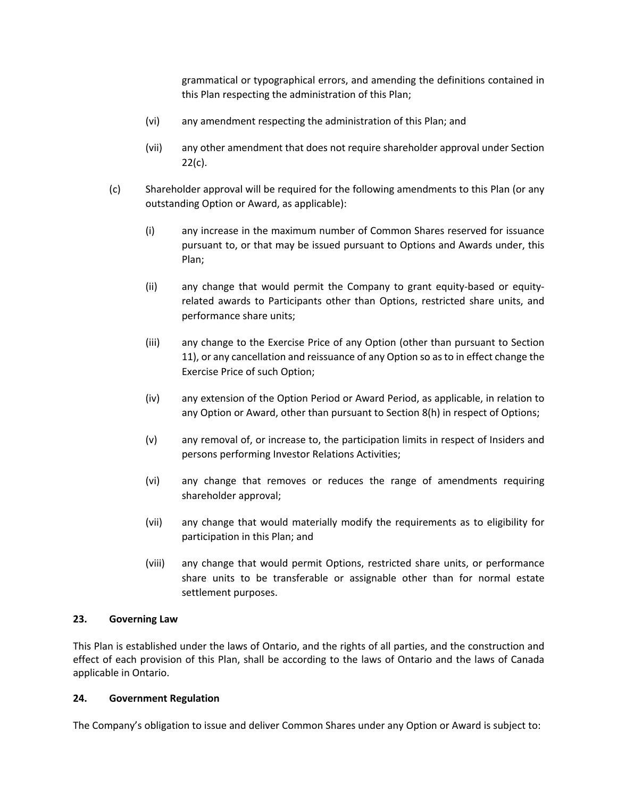grammatical or typographical errors, and amending the definitions contained in this Plan respecting the administration of this Plan;

- (vi) any amendment respecting the administration of this Plan; and
- (vii) any other amendment that does not require shareholder approval under Section  $22(c)$ .
- (c) Shareholder approval will be required for the following amendments to this Plan (or any outstanding Option or Award, as applicable):
	- (i) any increase in the maximum number of Common Shares reserved for issuance pursuant to, or that may be issued pursuant to Options and Awards under, this Plan;
	- (ii) any change that would permit the Company to grant equity-based or equityrelated awards to Participants other than Options, restricted share units, and performance share units;
	- (iii) any change to the Exercise Price of any Option (other than pursuant to Section 11), or any cancellation and reissuance of any Option so as to in effect change the Exercise Price of such Option;
	- (iv) any extension of the Option Period or Award Period, as applicable, in relation to any Option or Award, other than pursuant to Section 8(h) in respect of Options;
	- (v) any removal of, or increase to, the participation limits in respect of Insiders and persons performing Investor Relations Activities;
	- (vi) any change that removes or reduces the range of amendments requiring shareholder approval;
	- (vii) any change that would materially modify the requirements as to eligibility for participation in this Plan; and
	- (viii) any change that would permit Options, restricted share units, or performance share units to be transferable or assignable other than for normal estate settlement purposes.

## **23. Governing Law**

This Plan is established under the laws of Ontario, and the rights of all parties, and the construction and effect of each provision of this Plan, shall be according to the laws of Ontario and the laws of Canada applicable in Ontario.

## **24. Government Regulation**

The Company's obligation to issue and deliver Common Shares under any Option or Award is subject to: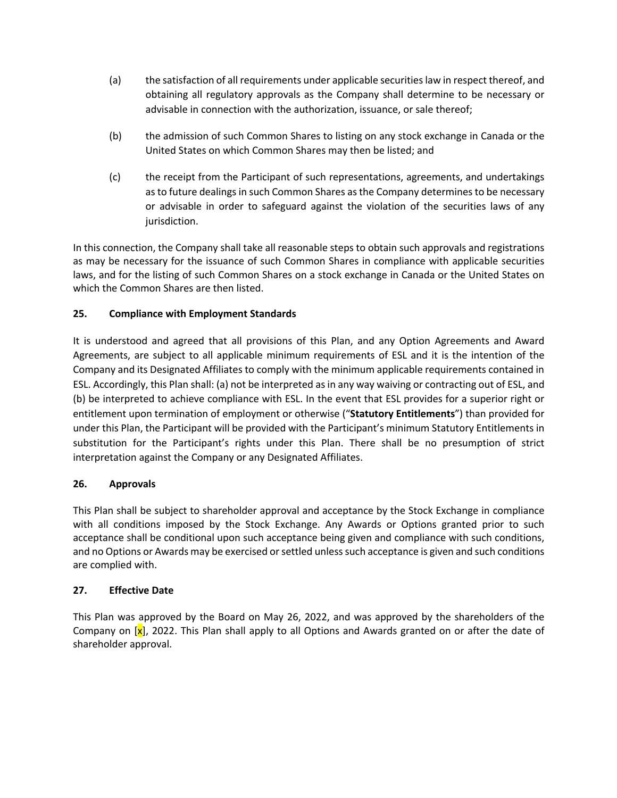- (a) the satisfaction of all requirements under applicable securities law in respect thereof, and obtaining all regulatory approvals as the Company shall determine to be necessary or advisable in connection with the authorization, issuance, or sale thereof;
- (b) the admission of such Common Shares to listing on any stock exchange in Canada or the United States on which Common Shares may then be listed; and
- (c) the receipt from the Participant of such representations, agreements, and undertakings as to future dealings in such Common Shares as the Company determines to be necessary or advisable in order to safeguard against the violation of the securities laws of any jurisdiction.

In this connection, the Company shall take all reasonable steps to obtain such approvals and registrations as may be necessary for the issuance of such Common Shares in compliance with applicable securities laws, and for the listing of such Common Shares on a stock exchange in Canada or the United States on which the Common Shares are then listed.

# **25. Compliance with Employment Standards**

It is understood and agreed that all provisions of this Plan, and any Option Agreements and Award Agreements, are subject to all applicable minimum requirements of ESL and it is the intention of the Company and its Designated Affiliates to comply with the minimum applicable requirements contained in ESL. Accordingly, this Plan shall: (a) not be interpreted as in any way waiving or contracting out of ESL, and (b) be interpreted to achieve compliance with ESL. In the event that ESL provides for a superior right or entitlement upon termination of employment or otherwise ("**Statutory Entitlements**") than provided for under this Plan, the Participant will be provided with the Participant's minimum Statutory Entitlements in substitution for the Participant's rights under this Plan. There shall be no presumption of strict interpretation against the Company or any Designated Affiliates.

# **26. Approvals**

This Plan shall be subject to shareholder approval and acceptance by the Stock Exchange in compliance with all conditions imposed by the Stock Exchange. Any Awards or Options granted prior to such acceptance shall be conditional upon such acceptance being given and compliance with such conditions, and no Options or Awards may be exercised or settled unless such acceptance is given and such conditions are complied with.

# **27. Effective Date**

This Plan was approved by the Board on May 26, 2022, and was approved by the shareholders of the Company on  $\left[\mathbf{x}\right]$ , 2022. This Plan shall apply to all Options and Awards granted on or after the date of shareholder approval.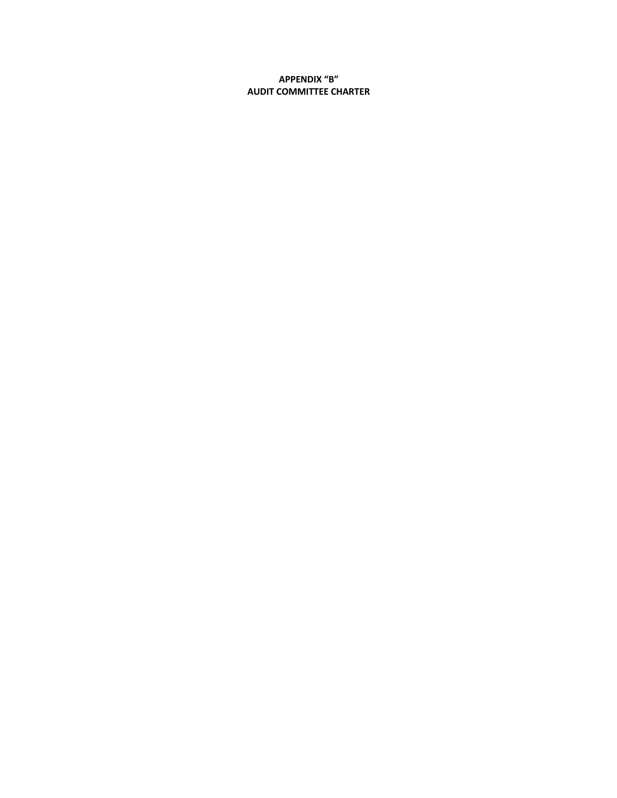## **APPENDIX "B" AUDIT COMMITTEE CHARTER**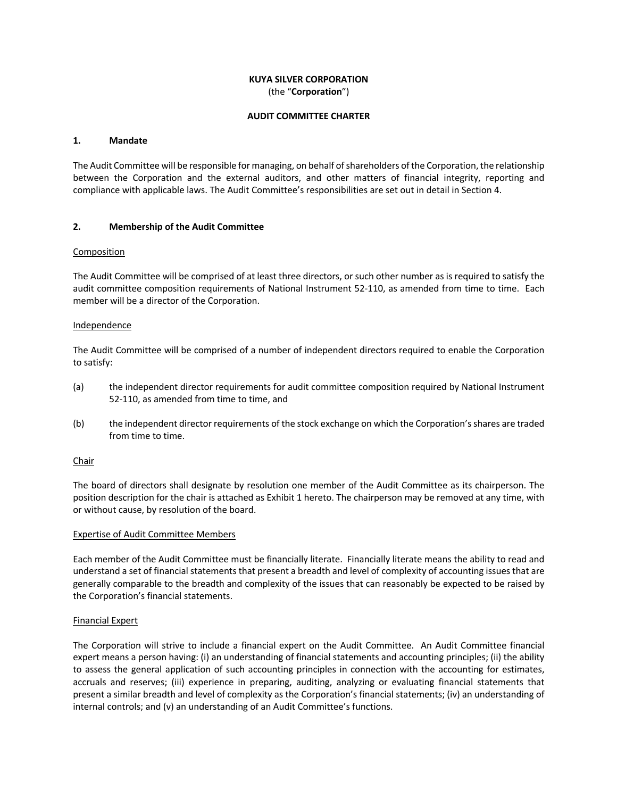#### **KUYA SILVER CORPORATION** (the "**Corporation**")

#### **AUDIT COMMITTEE CHARTER**

#### **1. Mandate**

The Audit Committee will be responsible for managing, on behalf of shareholders of the Corporation, the relationship between the Corporation and the external auditors, and other matters of financial integrity, reporting and compliance with applicable laws. The Audit Committee's responsibilities are set out in detail in Section 4.

#### **2. Membership of the Audit Committee**

#### Composition

The Audit Committee will be comprised of at least three directors, or such other number as is required to satisfy the audit committee composition requirements of National Instrument 52-110, as amended from time to time. Each member will be a director of the Corporation.

#### **Independence**

The Audit Committee will be comprised of a number of independent directors required to enable the Corporation to satisfy:

- (a) the independent director requirements for audit committee composition required by National Instrument 52-110, as amended from time to time, and
- (b) the independent director requirements of the stock exchange on which the Corporation's shares are traded from time to time.

#### **Chair**

The board of directors shall designate by resolution one member of the Audit Committee as its chairperson. The position description for the chair is attached as Exhibit 1 hereto. The chairperson may be removed at any time, with or without cause, by resolution of the board.

#### Expertise of Audit Committee Members

Each member of the Audit Committee must be financially literate. Financially literate means the ability to read and understand a set of financial statements that present a breadth and level of complexity of accounting issues that are generally comparable to the breadth and complexity of the issues that can reasonably be expected to be raised by the Corporation's financial statements.

#### Financial Expert

The Corporation will strive to include a financial expert on the Audit Committee. An Audit Committee financial expert means a person having: (i) an understanding of financial statements and accounting principles; (ii) the ability to assess the general application of such accounting principles in connection with the accounting for estimates, accruals and reserves; (iii) experience in preparing, auditing, analyzing or evaluating financial statements that present a similar breadth and level of complexity as the Corporation's financial statements; (iv) an understanding of internal controls; and (v) an understanding of an Audit Committee's functions.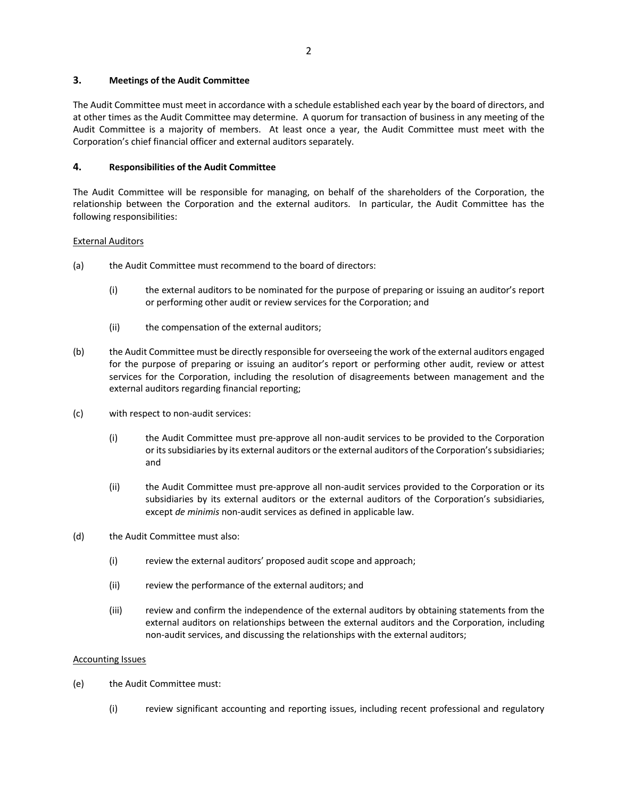#### **3. Meetings of the Audit Committee**

The Audit Committee must meet in accordance with a schedule established each year by the board of directors, and at other times as the Audit Committee may determine. A quorum for transaction of business in any meeting of the Audit Committee is a majority of members. At least once a year, the Audit Committee must meet with the Corporation's chief financial officer and external auditors separately.

### **4. Responsibilities of the Audit Committee**

The Audit Committee will be responsible for managing, on behalf of the shareholders of the Corporation, the relationship between the Corporation and the external auditors. In particular, the Audit Committee has the following responsibilities:

### External Auditors

- (a) the Audit Committee must recommend to the board of directors:
	- (i) the external auditors to be nominated for the purpose of preparing or issuing an auditor's report or performing other audit or review services for the Corporation; and
	- (ii) the compensation of the external auditors;
- (b) the Audit Committee must be directly responsible for overseeing the work of the external auditors engaged for the purpose of preparing or issuing an auditor's report or performing other audit, review or attest services for the Corporation, including the resolution of disagreements between management and the external auditors regarding financial reporting;
- (c) with respect to non-audit services:
	- (i) the Audit Committee must pre-approve all non-audit services to be provided to the Corporation or its subsidiaries by its external auditors or the external auditors of the Corporation's subsidiaries; and
	- (ii) the Audit Committee must pre-approve all non-audit services provided to the Corporation or its subsidiaries by its external auditors or the external auditors of the Corporation's subsidiaries, except *de minimis* non-audit services as defined in applicable law.
- (d) the Audit Committee must also:
	- (i) review the external auditors' proposed audit scope and approach;
	- (ii) review the performance of the external auditors; and
	- (iii) review and confirm the independence of the external auditors by obtaining statements from the external auditors on relationships between the external auditors and the Corporation, including non-audit services, and discussing the relationships with the external auditors;

#### Accounting Issues

- (e) the Audit Committee must:
	- (i) review significant accounting and reporting issues, including recent professional and regulatory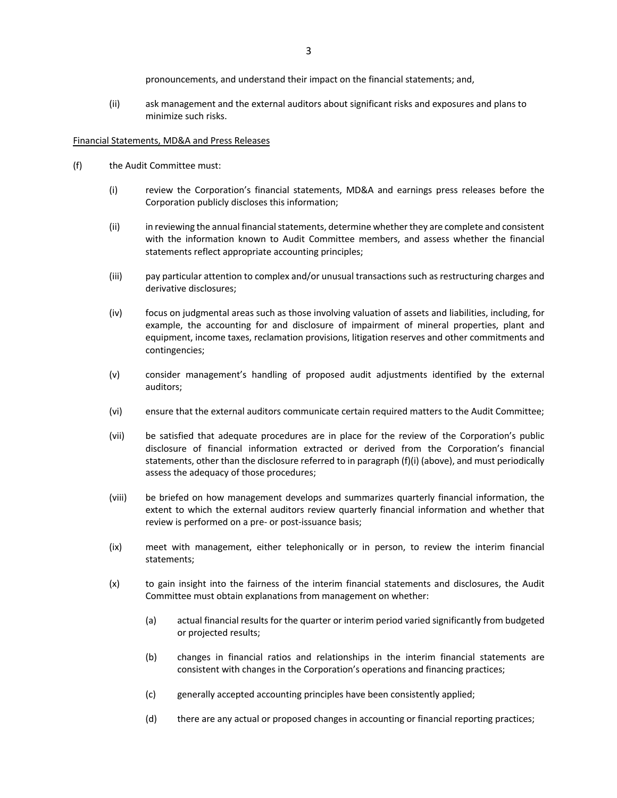pronouncements, and understand their impact on the financial statements; and,

(ii) ask management and the external auditors about significant risks and exposures and plans to minimize such risks.

#### Financial Statements, MD&A and Press Releases

- (f) the Audit Committee must:
	- (i) review the Corporation's financial statements, MD&A and earnings press releases before the Corporation publicly discloses this information;
	- (ii) in reviewing the annual financial statements, determine whether they are complete and consistent with the information known to Audit Committee members, and assess whether the financial statements reflect appropriate accounting principles;
	- (iii) pay particular attention to complex and/or unusual transactions such as restructuring charges and derivative disclosures;
	- (iv) focus on judgmental areas such as those involving valuation of assets and liabilities, including, for example, the accounting for and disclosure of impairment of mineral properties, plant and equipment, income taxes, reclamation provisions, litigation reserves and other commitments and contingencies;
	- (v) consider management's handling of proposed audit adjustments identified by the external auditors;
	- (vi) ensure that the external auditors communicate certain required matters to the Audit Committee;
	- (vii) be satisfied that adequate procedures are in place for the review of the Corporation's public disclosure of financial information extracted or derived from the Corporation's financial statements, other than the disclosure referred to in paragraph (f)(i) (above), and must periodically assess the adequacy of those procedures;
	- (viii) be briefed on how management develops and summarizes quarterly financial information, the extent to which the external auditors review quarterly financial information and whether that review is performed on a pre- or post-issuance basis;
	- (ix) meet with management, either telephonically or in person, to review the interim financial statements;
	- (x) to gain insight into the fairness of the interim financial statements and disclosures, the Audit Committee must obtain explanations from management on whether:
		- (a) actual financial results for the quarter or interim period varied significantly from budgeted or projected results;
		- (b) changes in financial ratios and relationships in the interim financial statements are consistent with changes in the Corporation's operations and financing practices;
		- (c) generally accepted accounting principles have been consistently applied;
		- (d) there are any actual or proposed changes in accounting or financial reporting practices;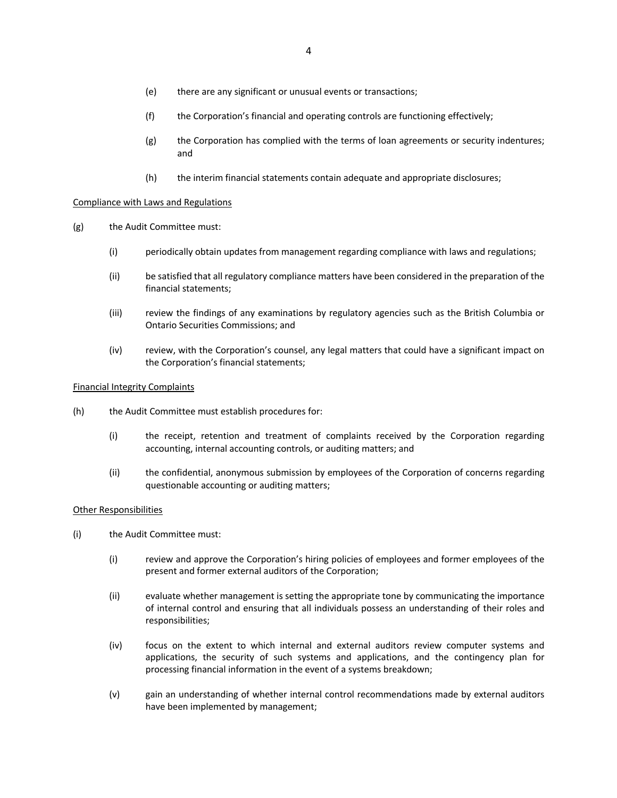- (e) there are any significant or unusual events or transactions;
- (f) the Corporation's financial and operating controls are functioning effectively;
- (g) the Corporation has complied with the terms of loan agreements or security indentures; and
- (h) the interim financial statements contain adequate and appropriate disclosures;

## Compliance with Laws and Regulations

- (g) the Audit Committee must:
	- (i) periodically obtain updates from management regarding compliance with laws and regulations;
	- (ii) be satisfied that all regulatory compliance matters have been considered in the preparation of the financial statements;
	- (iii) review the findings of any examinations by regulatory agencies such as the British Columbia or Ontario Securities Commissions; and
	- (iv) review, with the Corporation's counsel, any legal matters that could have a significant impact on the Corporation's financial statements;

#### Financial Integrity Complaints

- (h) the Audit Committee must establish procedures for:
	- (i) the receipt, retention and treatment of complaints received by the Corporation regarding accounting, internal accounting controls, or auditing matters; and
	- (ii) the confidential, anonymous submission by employees of the Corporation of concerns regarding questionable accounting or auditing matters;

#### Other Responsibilities

- (i) the Audit Committee must:
	- (i) review and approve the Corporation's hiring policies of employees and former employees of the present and former external auditors of the Corporation;
	- (ii) evaluate whether management is setting the appropriate tone by communicating the importance of internal control and ensuring that all individuals possess an understanding of their roles and responsibilities;
	- (iv) focus on the extent to which internal and external auditors review computer systems and applications, the security of such systems and applications, and the contingency plan for processing financial information in the event of a systems breakdown;
	- (v) gain an understanding of whether internal control recommendations made by external auditors have been implemented by management;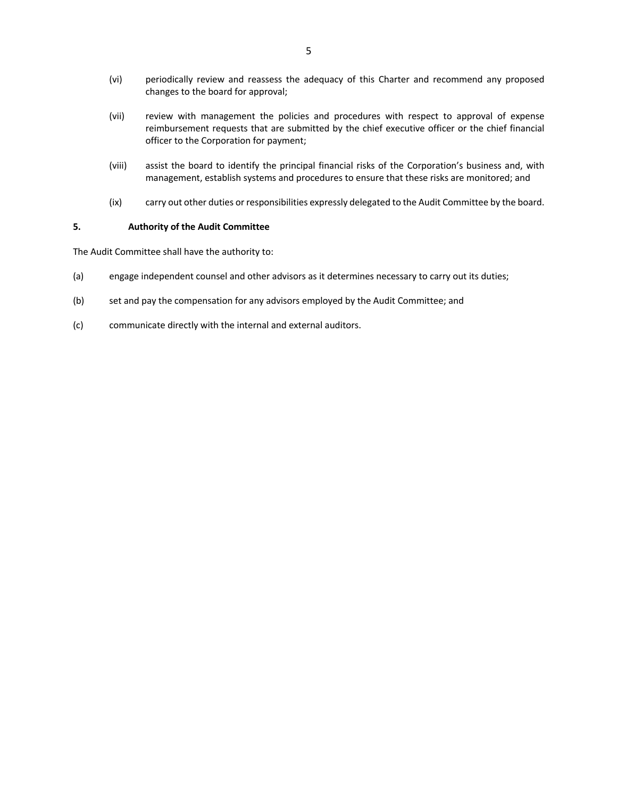- (vi) periodically review and reassess the adequacy of this Charter and recommend any proposed changes to the board for approval;
- (vii) review with management the policies and procedures with respect to approval of expense reimbursement requests that are submitted by the chief executive officer or the chief financial officer to the Corporation for payment;
- (viii) assist the board to identify the principal financial risks of the Corporation's business and, with management, establish systems and procedures to ensure that these risks are monitored; and
- (ix) carry out other duties or responsibilities expressly delegated to the Audit Committee by the board.

#### **5. Authority of the Audit Committee**

The Audit Committee shall have the authority to:

- (a) engage independent counsel and other advisors as it determines necessary to carry out its duties;
- (b) set and pay the compensation for any advisors employed by the Audit Committee; and
- (c) communicate directly with the internal and external auditors.